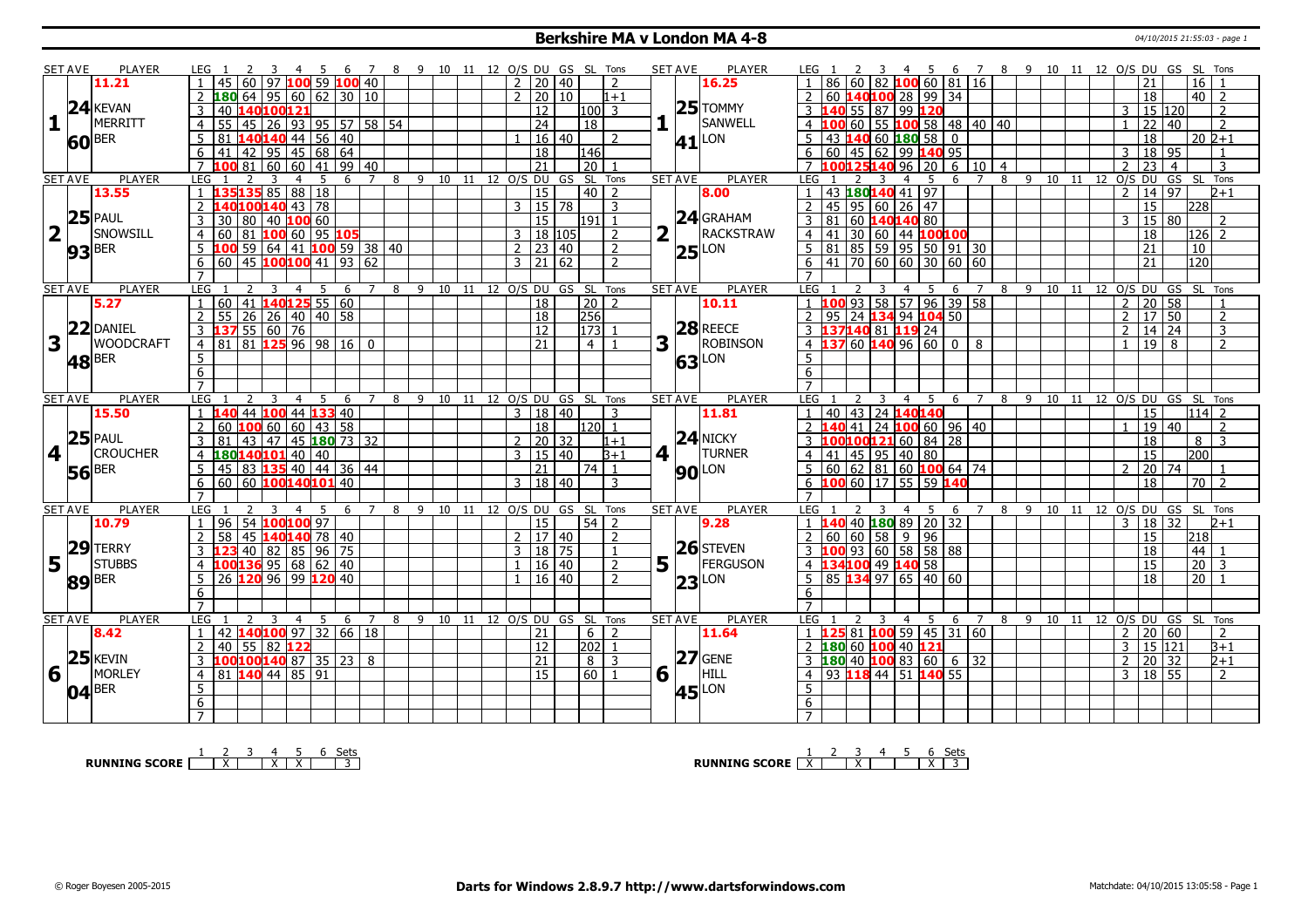#### **Berkshire MA v London MA 4-8** 04/10/2015 21:55:03 - page 1

|                         | <b>SET AVE</b> |                                            |                                                                                                                                                                                                                                                                                                                                                                                                                                                                                                                                                                                                                                                                                                                                                                                                                                                                                                                                                                                                                                                                                                                                                                                                                                                                                                                                                                                                                                                                                                                                                                                                                                                                                                                                                                                                                                                                                                                                                                                                                                                                                                                                                    |                                                   |         |                |                                |  |                              |                |                 |                |                        |                |                 |                                                    |                     |         |                                   |                     |   |    |    |                              |                      |                 |                    |
|-------------------------|----------------|--------------------------------------------|----------------------------------------------------------------------------------------------------------------------------------------------------------------------------------------------------------------------------------------------------------------------------------------------------------------------------------------------------------------------------------------------------------------------------------------------------------------------------------------------------------------------------------------------------------------------------------------------------------------------------------------------------------------------------------------------------------------------------------------------------------------------------------------------------------------------------------------------------------------------------------------------------------------------------------------------------------------------------------------------------------------------------------------------------------------------------------------------------------------------------------------------------------------------------------------------------------------------------------------------------------------------------------------------------------------------------------------------------------------------------------------------------------------------------------------------------------------------------------------------------------------------------------------------------------------------------------------------------------------------------------------------------------------------------------------------------------------------------------------------------------------------------------------------------------------------------------------------------------------------------------------------------------------------------------------------------------------------------------------------------------------------------------------------------------------------------------------------------------------------------------------------------|---------------------------------------------------|---------|----------------|--------------------------------|--|------------------------------|----------------|-----------------|----------------|------------------------|----------------|-----------------|----------------------------------------------------|---------------------|---------|-----------------------------------|---------------------|---|----|----|------------------------------|----------------------|-----------------|--------------------|
|                         |                | 11.21                                      | PLAYER<br>7 8 9 10 11 12 O/S DU GS SL Tons<br><b>SET AVE</b><br><b>PLAYER</b><br>LEG 1<br>LEG 1<br>4 5 6 7 8 9 10 11 12 O/S DU GS SL Tons<br>$\overline{z}$<br>3<br>$-4$<br>- 5<br>- 6<br>45 60 97 100 59 100 40<br>1006081116<br>2 20 40<br>21<br>16<br>$\mathcal{P}$<br>16.25<br>86.<br>60<br>82<br>20 10<br>$\overline{2}$<br>18<br>  40   2<br>$1 + 1$<br>60<br>$25$ TOMMY<br>12<br>55 87 99 120<br>15 120<br>40 140100121<br>$100$   3<br>2<br>3<br>3<br>1<br>SANWELL<br>55 45 26 93 95 57 58 54<br>$\overline{24}$<br>22 40<br><sup>18</sup><br>$\overline{4}$<br>  55 <b>100</b> 58   48   40   40<br>$\mathcal{P}$<br>$\overline{4}$<br>60<br>81 140140 44 56 40<br>60 180 58<br><b>60</b> BER<br>  16   40  <br>5<br>$\overline{0}$<br>18<br>l 20 l2+1<br>5.<br>$\mathcal{L}$<br>41 LON<br>43<br>140<br>41 42 95 45 68 64<br>$\overline{6}$<br>  45   62   99 <b>140</b> 95<br>18<br>60<br>3   18   95<br>6<br>146<br>$\mathbf{1}$<br>100816060419940<br>$\overline{21}$<br>$\overline{20}$<br>$\sqrt{96}$<br>23<br>$\overline{7}$<br>$\overline{7}$<br>$\overline{20}$<br>6 10 4<br>$\mathcal{D}$<br>$\overline{4}$<br>3<br><b>PLAYER</b><br><b>LEG</b><br>9 10 11 12 0/S DU GS SL Tons<br><b>SET AVE</b><br><b>PLAYER</b><br>LEG<br>8<br>$9$ 10 11 12 O/S DU<br>GS SL Tons<br>$\overline{7}$<br>8<br>5.<br>6<br>-5<br>6<br>$\overline{7}$<br>3<br>4<br>3<br>4<br>1 135135 85 88 18<br>43 180140 41 97<br>$\overline{15}$<br>$40$   2<br>14 97<br>$\mathbf{1}$<br>8.00<br>$\mathcal{P}$<br>$2 + 1$<br>$3 \mid 15 \mid 78$<br>140100140 43 78<br>$\overline{2}$<br>45<br>95 60 26 47<br>15<br>$\overline{2}$<br>3<br> 228 <br>$24$ GRAHAM<br>60<br>15<br>$\overline{3}$<br>$\overline{81}$<br>3<br>30<br> 80 40 100 60<br>11911<br>140140 80<br>15 80<br>$\overline{1}$<br>3<br>2<br>RACKSTRAW<br>l t<br>60 81 100 60 95 105<br>3   18   105<br>$\overline{30}$<br>  60   44 100100<br>$\overline{18}$<br>$\overline{2}$<br>$\overline{4}$<br>41<br> 126 <br>$\overline{z}$<br>$\overline{4}$<br>$\overline{5}$<br>00 59 64 41 100 59 38 40<br>23 40<br>85   59   95   50   91   30<br>21<br>$\overline{2}$<br>$\overline{2}$<br>81<br>10 |                                                   |         |                |                                |  |                              |                |                 |                |                        |                |                 |                                                    |                     |         |                                   |                     |   |    |    |                              |                      |                 |                    |
|                         |                |                                            |                                                                                                                                                                                                                                                                                                                                                                                                                                                                                                                                                                                                                                                                                                                                                                                                                                                                                                                                                                                                                                                                                                                                                                                                                                                                                                                                                                                                                                                                                                                                                                                                                                                                                                                                                                                                                                                                                                                                                                                                                                                                                                                                                    |                                                   |         |                |                                |  |                              |                |                 |                |                        |                |                 |                                                    |                     |         |                                   |                     |   |    |    |                              |                      |                 |                    |
|                         |                | $24$ <b>KEVAN</b>                          |                                                                                                                                                                                                                                                                                                                                                                                                                                                                                                                                                                                                                                                                                                                                                                                                                                                                                                                                                                                                                                                                                                                                                                                                                                                                                                                                                                                                                                                                                                                                                                                                                                                                                                                                                                                                                                                                                                                                                                                                                                                                                                                                                    |                                                   |         |                |                                |  |                              |                |                 |                |                        |                |                 |                                                    |                     |         |                                   |                     |   |    |    |                              |                      |                 |                    |
| 1                       |                | MERRITT                                    |                                                                                                                                                                                                                                                                                                                                                                                                                                                                                                                                                                                                                                                                                                                                                                                                                                                                                                                                                                                                                                                                                                                                                                                                                                                                                                                                                                                                                                                                                                                                                                                                                                                                                                                                                                                                                                                                                                                                                                                                                                                                                                                                                    |                                                   |         |                |                                |  |                              |                |                 |                |                        |                |                 |                                                    |                     |         |                                   |                     |   |    |    |                              |                      |                 |                    |
|                         |                |                                            |                                                                                                                                                                                                                                                                                                                                                                                                                                                                                                                                                                                                                                                                                                                                                                                                                                                                                                                                                                                                                                                                                                                                                                                                                                                                                                                                                                                                                                                                                                                                                                                                                                                                                                                                                                                                                                                                                                                                                                                                                                                                                                                                                    |                                                   |         |                |                                |  |                              |                |                 |                |                        |                |                 |                                                    |                     |         |                                   |                     |   |    |    |                              |                      |                 |                    |
|                         |                |                                            |                                                                                                                                                                                                                                                                                                                                                                                                                                                                                                                                                                                                                                                                                                                                                                                                                                                                                                                                                                                                                                                                                                                                                                                                                                                                                                                                                                                                                                                                                                                                                                                                                                                                                                                                                                                                                                                                                                                                                                                                                                                                                                                                                    |                                                   |         |                |                                |  |                              |                |                 |                |                        |                |                 |                                                    |                     |         |                                   |                     |   |    |    |                              |                      |                 |                    |
|                         |                |                                            |                                                                                                                                                                                                                                                                                                                                                                                                                                                                                                                                                                                                                                                                                                                                                                                                                                                                                                                                                                                                                                                                                                                                                                                                                                                                                                                                                                                                                                                                                                                                                                                                                                                                                                                                                                                                                                                                                                                                                                                                                                                                                                                                                    |                                                   |         |                |                                |  |                              |                |                 |                |                        |                |                 |                                                    |                     |         |                                   |                     |   |    |    |                              |                      |                 |                    |
|                         | <b>SET AVE</b> |                                            | $ 25 $ LON<br>$60$   45 100100 41   93   62<br>$3 \mid 21 \mid 62$<br>6<br>70 60 60 30 60 60<br>$\overline{21}$<br>120<br>$\mathcal{P}$<br>41<br>6<br><b>PLAYER</b><br><b>LEG</b><br>9<br>10 11 12 O/S DU GS SL Tons<br><b>SET AVE</b><br><b>PLAYER</b><br>LEG<br>$9 - 10$<br>12 O/S DU GS SL Tons<br>5.<br>$\overline{7}$<br>8<br>5<br>7<br>8<br>11<br>3<br>4<br>-6<br>3<br>4<br>6<br>93<br>$\mathcal{D}$<br>10.11<br>$\mathcal{P}$<br>00                                                                                                                                                                                                                                                                                                                                                                                                                                                                                                                                                                                                                                                                                                                                                                                                                                                                                                                                                                                                                                                                                                                                                                                                                                                                                                                                                                                                                                                                                                                                                                                                                                                                                                         |                                                   |         |                |                                |  |                              |                |                 |                |                        |                |                 |                                                    |                     |         |                                   |                     |   |    |    |                              |                      |                 |                    |
|                         |                |                                            |                                                                                                                                                                                                                                                                                                                                                                                                                                                                                                                                                                                                                                                                                                                                                                                                                                                                                                                                                                                                                                                                                                                                                                                                                                                                                                                                                                                                                                                                                                                                                                                                                                                                                                                                                                                                                                                                                                                                                                                                                                                                                                                                                    |                                                   |         |                |                                |  |                              |                |                 |                |                        |                |                 |                                                    |                     |         |                                   |                     |   |    |    |                              |                      |                 |                    |
|                         |                |                                            |                                                                                                                                                                                                                                                                                                                                                                                                                                                                                                                                                                                                                                                                                                                                                                                                                                                                                                                                                                                                                                                                                                                                                                                                                                                                                                                                                                                                                                                                                                                                                                                                                                                                                                                                                                                                                                                                                                                                                                                                                                                                                                                                                    |                                                   |         |                |                                |  |                              |                |                 |                |                        |                |                 |                                                    |                     |         |                                   |                     |   |    |    |                              |                      |                 |                    |
|                         |                |                                            |                                                                                                                                                                                                                                                                                                                                                                                                                                                                                                                                                                                                                                                                                                                                                                                                                                                                                                                                                                                                                                                                                                                                                                                                                                                                                                                                                                                                                                                                                                                                                                                                                                                                                                                                                                                                                                                                                                                                                                                                                                                                                                                                                    |                                                   |         |                |                                |  |                              |                |                 |                |                        |                |                 |                                                    |                     |         |                                   |                     |   |    |    |                              |                      |                 |                    |
| $\overline{\mathbf{2}}$ | $\mathbf{L}$   |                                            |                                                                                                                                                                                                                                                                                                                                                                                                                                                                                                                                                                                                                                                                                                                                                                                                                                                                                                                                                                                                                                                                                                                                                                                                                                                                                                                                                                                                                                                                                                                                                                                                                                                                                                                                                                                                                                                                                                                                                                                                                                                                                                                                                    |                                                   |         |                |                                |  |                              |                |                 |                |                        |                |                 |                                                    |                     |         |                                   |                     |   |    |    |                              |                      |                 |                    |
|                         |                |                                            |                                                                                                                                                                                                                                                                                                                                                                                                                                                                                                                                                                                                                                                                                                                                                                                                                                                                                                                                                                                                                                                                                                                                                                                                                                                                                                                                                                                                                                                                                                                                                                                                                                                                                                                                                                                                                                                                                                                                                                                                                                                                                                                                                    |                                                   |         |                |                                |  |                              |                |                 |                |                        |                |                 |                                                    |                     |         |                                   |                     |   |    |    |                              |                      |                 |                    |
|                         |                |                                            |                                                                                                                                                                                                                                                                                                                                                                                                                                                                                                                                                                                                                                                                                                                                                                                                                                                                                                                                                                                                                                                                                                                                                                                                                                                                                                                                                                                                                                                                                                                                                                                                                                                                                                                                                                                                                                                                                                                                                                                                                                                                                                                                                    |                                                   |         |                |                                |  |                              |                |                 |                |                        |                |                 |                                                    |                     |         |                                   |                     |   |    |    |                              |                      |                 |                    |
|                         |                |                                            |                                                                                                                                                                                                                                                                                                                                                                                                                                                                                                                                                                                                                                                                                                                                                                                                                                                                                                                                                                                                                                                                                                                                                                                                                                                                                                                                                                                                                                                                                                                                                                                                                                                                                                                                                                                                                                                                                                                                                                                                                                                                                                                                                    |                                                   |         |                |                                |  |                              |                |                 |                |                        |                |                 |                                                    |                     |         |                                   |                     |   |    |    |                              |                      |                 |                    |
|                         |                | 13.55<br>$25$ PAUL<br>SNOWSILL<br>$93$ BER |                                                                                                                                                                                                                                                                                                                                                                                                                                                                                                                                                                                                                                                                                                                                                                                                                                                                                                                                                                                                                                                                                                                                                                                                                                                                                                                                                                                                                                                                                                                                                                                                                                                                                                                                                                                                                                                                                                                                                                                                                                                                                                                                                    |                                                   |         |                |                                |  |                              |                |                 |                |                        |                |                 |                                                    |                     |         |                                   |                     |   |    |    |                              |                      |                 |                    |
|                         | <b>SET AVE</b> |                                            |                                                                                                                                                                                                                                                                                                                                                                                                                                                                                                                                                                                                                                                                                                                                                                                                                                                                                                                                                                                                                                                                                                                                                                                                                                                                                                                                                                                                                                                                                                                                                                                                                                                                                                                                                                                                                                                                                                                                                                                                                                                                                                                                                    |                                                   |         |                |                                |  |                              |                |                 |                |                        |                |                 |                                                    |                     |         |                                   |                     |   |    |    |                              |                      |                 |                    |
|                         |                | 5.27                                       | 60 41 140125 55 60<br>$\overline{20}$<br>18<br>58<br>57  <br>$96$ 39 58<br>20 58<br>55 26 26 40 40 58<br>256<br>$\overline{2}$<br>18<br>$\overline{2}$<br>95<br>24 134 94 104 50<br>$2 \mid 17 \mid 50$<br>2                                                                                                                                                                                                                                                                                                                                                                                                                                                                                                                                                                                                                                                                                                                                                                                                                                                                                                                                                                                                                                                                                                                                                                                                                                                                                                                                                                                                                                                                                                                                                                                                                                                                                                                                                                                                                                                                                                                                       |                                                   |         |                |                                |  |                              |                |                 |                |                        |                |                 |                                                    |                     |         |                                   |                     |   |    |    |                              |                      |                 |                    |
|                         |                | $22$ DANIEL                                |                                                                                                                                                                                                                                                                                                                                                                                                                                                                                                                                                                                                                                                                                                                                                                                                                                                                                                                                                                                                                                                                                                                                                                                                                                                                                                                                                                                                                                                                                                                                                                                                                                                                                                                                                                                                                                                                                                                                                                                                                                                                                                                                                    |                                                   |         |                |                                |  |                              |                |                 |                |                        |                | $28$ REECE      |                                                    |                     |         |                                   |                     |   |    |    |                              |                      |                 |                    |
|                         |                |                                            | 3 <b>137</b> 55 60 76                                                                                                                                                                                                                                                                                                                                                                                                                                                                                                                                                                                                                                                                                                                                                                                                                                                                                                                                                                                                                                                                                                                                                                                                                                                                                                                                                                                                                                                                                                                                                                                                                                                                                                                                                                                                                                                                                                                                                                                                                                                                                                                              |                                                   |         |                |                                |  | 12                           |                | 173             |                |                        |                |                 | 3<br>137140 81 119 24                              |                     |         |                                   |                     |   |    |    | $\overline{2}$               | $14$ 24              |                 | 3                  |
| 3                       |                | <b>WOODCRAFT</b>                           | $\overline{4}$                                                                                                                                                                                                                                                                                                                                                                                                                                                                                                                                                                                                                                                                                                                                                                                                                                                                                                                                                                                                                                                                                                                                                                                                                                                                                                                                                                                                                                                                                                                                                                                                                                                                                                                                                                                                                                                                                                                                                                                                                                                                                                                                     | 81 81 125 96 98 16 0                              |         |                |                                |  | $\overline{21}$              |                | 4 I             | -1             | 3                      |                | <b>ROBINSON</b> | 60 140 96 60<br>$\overline{4}$<br>137              |                     |         | 0 <sup>1</sup>                    | 8                   |   |    |    | $\mathbf{1}$                 | $19$ 8               |                 | $\overline{2}$     |
|                         |                | $ 48 $ <sup>BER</sup>                      | $\overline{5}$                                                                                                                                                                                                                                                                                                                                                                                                                                                                                                                                                                                                                                                                                                                                                                                                                                                                                                                                                                                                                                                                                                                                                                                                                                                                                                                                                                                                                                                                                                                                                                                                                                                                                                                                                                                                                                                                                                                                                                                                                                                                                                                                     |                                                   |         |                |                                |  |                              |                |                 |                |                        | 63             | LON             | $\overline{5}$                                     |                     |         |                                   |                     |   |    |    |                              |                      |                 |                    |
|                         |                |                                            | $\overline{6}$                                                                                                                                                                                                                                                                                                                                                                                                                                                                                                                                                                                                                                                                                                                                                                                                                                                                                                                                                                                                                                                                                                                                                                                                                                                                                                                                                                                                                                                                                                                                                                                                                                                                                                                                                                                                                                                                                                                                                                                                                                                                                                                                     |                                                   |         |                |                                |  |                              |                |                 |                |                        |                |                 | $\overline{6}$                                     |                     |         |                                   |                     |   |    |    |                              |                      |                 |                    |
|                         |                |                                            | $\overline{7}$                                                                                                                                                                                                                                                                                                                                                                                                                                                                                                                                                                                                                                                                                                                                                                                                                                                                                                                                                                                                                                                                                                                                                                                                                                                                                                                                                                                                                                                                                                                                                                                                                                                                                                                                                                                                                                                                                                                                                                                                                                                                                                                                     |                                                   |         |                |                                |  |                              |                |                 |                |                        |                |                 | $\overline{7}$                                     |                     |         |                                   |                     |   |    |    |                              |                      |                 |                    |
|                         | <b>SET AVE</b> | <b>PLAYER</b>                              | <b>LEG</b><br>$\overline{2}$                                                                                                                                                                                                                                                                                                                                                                                                                                                                                                                                                                                                                                                                                                                                                                                                                                                                                                                                                                                                                                                                                                                                                                                                                                                                                                                                                                                                                                                                                                                                                                                                                                                                                                                                                                                                                                                                                                                                                                                                                                                                                                                       | $\overline{4}$                                    | 5<br>6  | $\overline{7}$ | 8 9 10 11 12 0/S DU GS SL Tons |  |                              |                |                 |                |                        | <b>SET AVE</b> | <b>PLAYER</b>   | LEG 1                                              | 3                   | -5<br>4 | -6                                | $\overline{7}$<br>8 |   |    |    | 9 10 11 12 O/S DU GS SL Tons |                      |                 |                    |
|                         |                | 15.50                                      |                                                                                                                                                                                                                                                                                                                                                                                                                                                                                                                                                                                                                                                                                                                                                                                                                                                                                                                                                                                                                                                                                                                                                                                                                                                                                                                                                                                                                                                                                                                                                                                                                                                                                                                                                                                                                                                                                                                                                                                                                                                                                                                                                    | 44 100 44 133 40                                  |         |                |                                |  | $\overline{3}$               | 18 40          |                 | 3              |                        |                | 11.81           | 40<br>143 24 140140                                |                     |         |                                   |                     |   |    |    |                              | $\overline{15}$      | 1114            |                    |
|                         |                |                                            | $\overline{2}$                                                                                                                                                                                                                                                                                                                                                                                                                                                                                                                                                                                                                                                                                                                                                                                                                                                                                                                                                                                                                                                                                                                                                                                                                                                                                                                                                                                                                                                                                                                                                                                                                                                                                                                                                                                                                                                                                                                                                                                                                                                                                                                                     | 60 $100$ 60 $\frac{100}{20}$ 60 $\frac{143}{258}$ |         |                |                                |  | 18                           |                | 1120 L          |                |                        |                |                 | 41                                                 |                     |         | $\sqrt{24}$ 100 60 $\sqrt{96}$ 40 |                     |   |    |    |                              | 19 40                |                 | $\mathcal{P}$      |
|                         |                | $25$ PAUL                                  | 3<br>81                                                                                                                                                                                                                                                                                                                                                                                                                                                                                                                                                                                                                                                                                                                                                                                                                                                                                                                                                                                                                                                                                                                                                                                                                                                                                                                                                                                                                                                                                                                                                                                                                                                                                                                                                                                                                                                                                                                                                                                                                                                                                                                                            | 43 47 45 180 73 32                                |         |                |                                |  |                              | $\sqrt{20}$ 32 |                 | $1 + 1$        |                        |                | $24$ NICKY      | 100 <mark>121</mark> 60   84   28<br>3             |                     |         |                                   |                     |   |    |    |                              | 18                   | 8 <sup>1</sup>  | 3                  |
| $\vert 4 \vert$ $\vert$ |                | <b>CROUCHER</b>                            | 4 180140101 40 40                                                                                                                                                                                                                                                                                                                                                                                                                                                                                                                                                                                                                                                                                                                                                                                                                                                                                                                                                                                                                                                                                                                                                                                                                                                                                                                                                                                                                                                                                                                                                                                                                                                                                                                                                                                                                                                                                                                                                                                                                                                                                                                                  |                                                   |         |                |                                |  | $3 \mid 15 \mid 40$          |                |                 | $3 + 1$        | $4$                    |                | <b>TURNER</b>   | 45   95   40  <br>$\overline{4}$<br>41             |                     | l 80    |                                   |                     |   |    |    |                              | 15                   | 200             |                    |
|                         | <b>56</b> BER  |                                            | 5 <sup>1</sup>                                                                                                                                                                                                                                                                                                                                                                                                                                                                                                                                                                                                                                                                                                                                                                                                                                                                                                                                                                                                                                                                                                                                                                                                                                                                                                                                                                                                                                                                                                                                                                                                                                                                                                                                                                                                                                                                                                                                                                                                                                                                                                                                     | 45 83 135 40 44 36 44                             |         |                |                                |  | 21                           |                | $74$ 1          |                |                        |                | <b>90</b> LON   | 62   81   60   <mark>100</mark> 64   74<br>5<br>60 |                     |         |                                   |                     |   |    |    | $\mathcal{D}$                | 20 74                |                 |                    |
|                         |                |                                            | 6                                                                                                                                                                                                                                                                                                                                                                                                                                                                                                                                                                                                                                                                                                                                                                                                                                                                                                                                                                                                                                                                                                                                                                                                                                                                                                                                                                                                                                                                                                                                                                                                                                                                                                                                                                                                                                                                                                                                                                                                                                                                                                                                                  | 60 60 100140101 40                                |         |                |                                |  | 3   18   40                  |                |                 | 3              |                        |                |                 | $\overline{6}$<br>100 60 17 55 59 140              |                     |         |                                   |                     |   |    |    |                              | 18                   |                 | $\vert 70 \vert 2$ |
|                         |                |                                            | $\overline{7}$                                                                                                                                                                                                                                                                                                                                                                                                                                                                                                                                                                                                                                                                                                                                                                                                                                                                                                                                                                                                                                                                                                                                                                                                                                                                                                                                                                                                                                                                                                                                                                                                                                                                                                                                                                                                                                                                                                                                                                                                                                                                                                                                     |                                                   |         |                |                                |  |                              |                |                 |                |                        |                |                 | $\overline{7}$                                     |                     |         |                                   |                     |   |    |    |                              |                      |                 |                    |
|                         | <b>SET AVE</b> | <b>PLAYER</b>                              | LEG                                                                                                                                                                                                                                                                                                                                                                                                                                                                                                                                                                                                                                                                                                                                                                                                                                                                                                                                                                                                                                                                                                                                                                                                                                                                                                                                                                                                                                                                                                                                                                                                                                                                                                                                                                                                                                                                                                                                                                                                                                                                                                                                                | 4                                                 | 5<br>-6 | $\overline{7}$ | 8                              |  | 9 10 11 12 O/S DU GS SL      |                |                 | Tons           |                        | <b>SET AVE</b> | PLAYER          | <b>LEG</b>                                         | 3<br>$\overline{a}$ | -5      | 6                                 | 8<br>$\overline{7}$ |   |    |    | 9 10 11 12 O/S DU GS SL Tons |                      |                 |                    |
|                         |                | 10.79                                      | $\overline{1}$                                                                                                                                                                                                                                                                                                                                                                                                                                                                                                                                                                                                                                                                                                                                                                                                                                                                                                                                                                                                                                                                                                                                                                                                                                                                                                                                                                                                                                                                                                                                                                                                                                                                                                                                                                                                                                                                                                                                                                                                                                                                                                                                     | 96 54 100 100 97                                  |         |                |                                |  | $\overline{15}$              |                | $\overline{54}$ | $\mathcal{D}$  |                        |                | 9.28            | 40 180 89 20 32<br>$\mathbf{1}$<br>140             |                     |         |                                   |                     |   |    |    |                              | 3   18   32          |                 | $2 + 1$            |
|                         |                |                                            | $\overline{2}$                                                                                                                                                                                                                                                                                                                                                                                                                                                                                                                                                                                                                                                                                                                                                                                                                                                                                                                                                                                                                                                                                                                                                                                                                                                                                                                                                                                                                                                                                                                                                                                                                                                                                                                                                                                                                                                                                                                                                                                                                                                                                                                                     | 58 45 140 140 78 40                               |         |                |                                |  | $2 \mid 17 \mid 40$          |                |                 | $\mathcal{L}$  |                        |                |                 | $\overline{2}$<br> 60 58 9 96<br>60                |                     |         |                                   |                     |   |    |    |                              | 15                   | 218             |                    |
|                         |                | $29$ TERRY                                 |                                                                                                                                                                                                                                                                                                                                                                                                                                                                                                                                                                                                                                                                                                                                                                                                                                                                                                                                                                                                                                                                                                                                                                                                                                                                                                                                                                                                                                                                                                                                                                                                                                                                                                                                                                                                                                                                                                                                                                                                                                                                                                                                                    | 40 82 85 96 75                                    |         |                |                                |  | $\mathbf{3}$                 | 18 75          |                 |                |                        |                | $26$ STEVEN     | 100 93 60 58 58 88<br>$\overline{3}$               |                     |         |                                   |                     |   |    |    |                              | $\overline{18}$      | 44              |                    |
| 5                       | $\mathbf{L}$   | <b>STUBBS</b>                              |                                                                                                                                                                                                                                                                                                                                                                                                                                                                                                                                                                                                                                                                                                                                                                                                                                                                                                                                                                                                                                                                                                                                                                                                                                                                                                                                                                                                                                                                                                                                                                                                                                                                                                                                                                                                                                                                                                                                                                                                                                                                                                                                                    | $00136$ 95 68 62 40                               |         |                |                                |  |                              | 16 40          |                 | $\overline{2}$ | $5\vert \bar{1} \vert$ |                | FERGUSON        | 100 49 140 58<br>$\overline{4}$<br>34              |                     |         |                                   |                     |   |    |    |                              | $\overline{15}$      | 20              | 3                  |
|                         |                | <b>89</b> BER                              | $\overline{5}$                                                                                                                                                                                                                                                                                                                                                                                                                                                                                                                                                                                                                                                                                                                                                                                                                                                                                                                                                                                                                                                                                                                                                                                                                                                                                                                                                                                                                                                                                                                                                                                                                                                                                                                                                                                                                                                                                                                                                                                                                                                                                                                                     | 26 120 96 99 120 40                               |         |                |                                |  | 1                            | $16 \mid 40$   |                 | $\mathcal{P}$  |                        |                | $23$ LON        | $\overline{5}$<br>$134$ 97 65 40 60<br>85          |                     |         |                                   |                     |   |    |    |                              | $\overline{18}$      | $\overline{20}$ |                    |
|                         |                |                                            | 6                                                                                                                                                                                                                                                                                                                                                                                                                                                                                                                                                                                                                                                                                                                                                                                                                                                                                                                                                                                                                                                                                                                                                                                                                                                                                                                                                                                                                                                                                                                                                                                                                                                                                                                                                                                                                                                                                                                                                                                                                                                                                                                                                  |                                                   |         |                |                                |  |                              |                |                 |                |                        |                |                 | 6                                                  |                     |         |                                   |                     |   |    |    |                              |                      |                 |                    |
|                         |                |                                            | $\overline{7}$                                                                                                                                                                                                                                                                                                                                                                                                                                                                                                                                                                                                                                                                                                                                                                                                                                                                                                                                                                                                                                                                                                                                                                                                                                                                                                                                                                                                                                                                                                                                                                                                                                                                                                                                                                                                                                                                                                                                                                                                                                                                                                                                     |                                                   |         |                |                                |  |                              |                |                 |                |                        |                |                 | $\overline{7}$                                     |                     |         |                                   |                     |   |    |    |                              |                      |                 |                    |
|                         | <b>SET AVE</b> | <b>PLAYER</b>                              | <b>LEG</b>                                                                                                                                                                                                                                                                                                                                                                                                                                                                                                                                                                                                                                                                                                                                                                                                                                                                                                                                                                                                                                                                                                                                                                                                                                                                                                                                                                                                                                                                                                                                                                                                                                                                                                                                                                                                                                                                                                                                                                                                                                                                                                                                         | 4                                                 | 5<br>6  | $\overline{7}$ | 8                              |  | 9 10 11 12 O/S DU GS SL Tons |                |                 |                |                        | <b>SET AVE</b> | <b>PLAYER</b>   | LEG                                                | 3<br>$\overline{4}$ | 5       | 6                                 | $\overline{7}$<br>8 | 9 | 10 | 11 | 12 O/S DU GS SL Tons         |                      |                 |                    |
|                         |                | 8.42                                       | $\mathbf{1}$                                                                                                                                                                                                                                                                                                                                                                                                                                                                                                                                                                                                                                                                                                                                                                                                                                                                                                                                                                                                                                                                                                                                                                                                                                                                                                                                                                                                                                                                                                                                                                                                                                                                                                                                                                                                                                                                                                                                                                                                                                                                                                                                       | 42 140100 97 32 66 18                             |         |                |                                |  | 21                           |                | 6 <sup>1</sup>  | $\overline{z}$ |                        |                | 11.64           | $1\,125$<br>81 100                                 |                     | 59      | $145$ 31 60                       |                     |   |    |    |                              | 2   20   60          |                 | $\mathcal{L}$      |
|                         |                |                                            | 40<br>$\overline{2}$                                                                                                                                                                                                                                                                                                                                                                                                                                                                                                                                                                                                                                                                                                                                                                                                                                                                                                                                                                                                                                                                                                                                                                                                                                                                                                                                                                                                                                                                                                                                                                                                                                                                                                                                                                                                                                                                                                                                                                                                                                                                                                                               | 55 82 122                                         |         |                |                                |  | 12                           |                | 202             |                |                        |                |                 | 180 60 100 40 121<br>$\overline{2}$                |                     |         |                                   |                     |   |    |    |                              | $3 \mid 15 \mid 121$ |                 | $B+1$              |
|                         |                | $25$ <b>KEVIN</b>                          | $\mathbf{3}$                                                                                                                                                                                                                                                                                                                                                                                                                                                                                                                                                                                                                                                                                                                                                                                                                                                                                                                                                                                                                                                                                                                                                                                                                                                                                                                                                                                                                                                                                                                                                                                                                                                                                                                                                                                                                                                                                                                                                                                                                                                                                                                                       | LOO <mark>100</mark> 140 87 35 23 8               |         |                |                                |  | 21                           |                | 8               | 3              |                        |                | $27$ GENE       | $180$ 40 $100$ 83 60<br>$\overline{3}$             |                     |         | $6 \mid 32$                       |                     |   |    |    |                              | $2 \ 20 \ 32$        |                 | $2+1$              |
| 6                       | $\mathbf{1}$   | MORLEY                                     | $\overline{4}$                                                                                                                                                                                                                                                                                                                                                                                                                                                                                                                                                                                                                                                                                                                                                                                                                                                                                                                                                                                                                                                                                                                                                                                                                                                                                                                                                                                                                                                                                                                                                                                                                                                                                                                                                                                                                                                                                                                                                                                                                                                                                                                                     | 81 140 44 85 91                                   |         |                |                                |  | 15                           |                | $60$ $1$        |                | 6                      |                | HILL            | 118 44 51 140 55<br>$\overline{4}$<br>93           |                     |         |                                   |                     |   |    |    |                              | 3   18   55          |                 | $\overline{2}$     |
|                         |                |                                            | 5                                                                                                                                                                                                                                                                                                                                                                                                                                                                                                                                                                                                                                                                                                                                                                                                                                                                                                                                                                                                                                                                                                                                                                                                                                                                                                                                                                                                                                                                                                                                                                                                                                                                                                                                                                                                                                                                                                                                                                                                                                                                                                                                                  |                                                   |         |                |                                |  |                              |                |                 |                |                        |                | <b>45</b> LON   | 5                                                  |                     |         |                                   |                     |   |    |    |                              |                      |                 |                    |
|                         |                |                                            |                                                                                                                                                                                                                                                                                                                                                                                                                                                                                                                                                                                                                                                                                                                                                                                                                                                                                                                                                                                                                                                                                                                                                                                                                                                                                                                                                                                                                                                                                                                                                                                                                                                                                                                                                                                                                                                                                                                                                                                                                                                                                                                                                    |                                                   |         |                |                                |  |                              |                |                 |                |                        |                |                 |                                                    |                     |         |                                   |                     |   |    |    |                              |                      |                 |                    |
|                         | $ 04 $ BER     |                                            | 6                                                                                                                                                                                                                                                                                                                                                                                                                                                                                                                                                                                                                                                                                                                                                                                                                                                                                                                                                                                                                                                                                                                                                                                                                                                                                                                                                                                                                                                                                                                                                                                                                                                                                                                                                                                                                                                                                                                                                                                                                                                                                                                                                  |                                                   |         |                |                                |  |                              |                |                 |                |                        |                |                 | 6                                                  |                     |         |                                   |                     |   |    |    |                              |                      |                 |                    |

**RUNNING SCORE**  $\begin{array}{|c|c|c|c|c|c|}\n\hline\n & 2 & 3 & 4 & 5 & 6 & \text{Sets} \\
\hline\n\end{array}$ 

**RUNNING SCORE** <u>X</u> | X | X | X | 3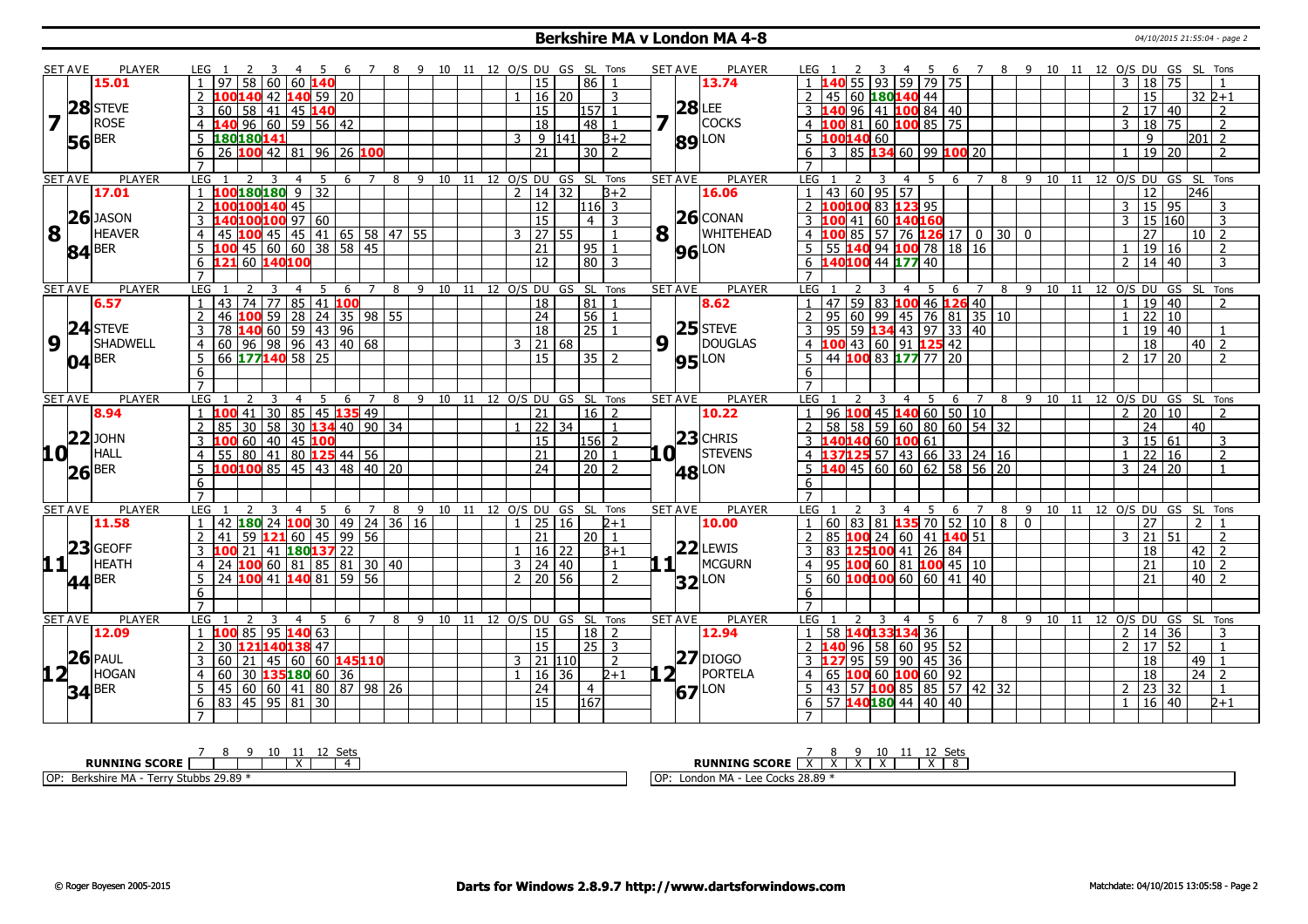#### **Berkshire MA v London MA 4-8** 04/10/2015 21:55:04 - page 2

| <b>SET AVE</b>  | <b>PLAYER</b>                                                | LEG 1<br>-3<br>- 4                                          | - 5<br>- 6                  | 7 8 9 10 11 12 O/S DU GS SL Tons |                              |   |                             |       |                                 | <b>SET AVE</b> | <b>PLAYER</b>  | LEG 1                                   | 3<br>45                            |                                  |                       | 6 7 8 9 10 11 12 O/S DU GS SL Tons |                                      |                                           |                |
|-----------------|--------------------------------------------------------------|-------------------------------------------------------------|-----------------------------|----------------------------------|------------------------------|---|-----------------------------|-------|---------------------------------|----------------|----------------|-----------------------------------------|------------------------------------|----------------------------------|-----------------------|------------------------------------|--------------------------------------|-------------------------------------------|----------------|
|                 | 15.01                                                        | 58<br>l 60<br>60 140<br>97                                  |                             |                                  |                              |   | <sup>15</sup>               |       | $86$   1                        |                | 13.74          |                                         | $\overline{79}$<br>93<br>59        | 75                               |                       |                                    | $3 \mid 18 \mid 75$                  |                                           |                |
|                 |                                                              | 140 42                                                      | $140$ 59 20                 |                                  |                              |   | 16 20                       |       | 3                               |                |                | 2<br>45                                 | 60 180140 44                       |                                  |                       |                                    | 15                                   |                                           | $32 2+1$       |
|                 | 28 STEVE                                                     | 41 <br>60<br>l 58<br>45 140                                 |                             |                                  |                              |   | 15                          |       | 157                             |                | <b>28 LEE</b>  | 140                                     | 96   41   <mark>100</mark> 84   40 |                                  |                       |                                    | $\overline{17}$ 40<br>$\overline{2}$ |                                           | 2              |
|                 | ROSE                                                         | $-40$ 96 60 59 56 42<br>$\overline{4}$                      |                             |                                  |                              |   | 18                          |       | $\overline{48}$                 | 7              | <b>COCKS</b>   | $\overline{4}$                          | $10081$ 60 $10085$ 75              |                                  |                       |                                    | 18 75<br>$\overline{3}$              |                                           | $\overline{2}$ |
|                 | BER                                                          | 180 180 141<br>5                                            |                             |                                  |                              | 3 |                             | 9 141 | $3+2$                           |                |                | 5 100140 60                             |                                    |                                  |                       |                                    | 9                                    | 201                                       | $\overline{2}$ |
| 56              |                                                              | 26 100 42 81 96 26 100<br>6                                 |                             |                                  |                              |   | $\overline{21}$             |       | $30$   2                        |                | <b>89</b> LON  | 6<br>$\overline{3}$                     | 85   134 60   99   100   20        |                                  |                       |                                    | 19 20<br>$\mathbf{1}$                |                                           | $\mathcal{P}$  |
|                 |                                                              | $\overline{7}$                                              |                             |                                  |                              |   |                             |       |                                 |                |                | $\overline{7}$                          |                                    |                                  |                       |                                    |                                      |                                           |                |
| <b>SET AVE</b>  | <b>PLAYER</b>                                                | <b>LEG</b><br>4                                             | 5<br>6<br>$\overline{7}$    | 9<br>8                           | 10 11 12 0/S DU GS SL Tons   |   |                             |       |                                 | <b>SET AVE</b> | PLAYER         | LEG                                     | -5<br>3<br>$\overline{4}$          | 6<br>$\overline{7}$              | 8                     | 9 10 11 12 O/S DU GS SL Tons       |                                      |                                           |                |
|                 | 17.01                                                        | 100 180 180<br>9<br>$\mathbf{1}$                            | $\overline{32}$             |                                  |                              |   | $2 \mid 14 \mid 32$         |       | $3+2$                           |                | 16.06          | 43 60 95 57<br>$\mathbf{1}$             |                                    |                                  |                       |                                    | 12                                   | 246                                       |                |
|                 |                                                              | LOO100140 45<br>$\overline{2}$                              |                             |                                  |                              |   | 12                          |       | $116$ 3                         |                |                | 2                                       | 100100 83 123 95                   |                                  |                       |                                    | $3 \mid 15 \mid 95$                  |                                           | 3              |
|                 | $26$ JASON                                                   | 100 100 97 60<br>3                                          |                             |                                  |                              |   | $\overline{15}$             |       | $\overline{4}$<br>3             |                | $26$ CONAN     | $\overline{3}$<br>41<br>100             | $\overline{60}$<br>140160          |                                  |                       |                                    | $15$ $160$<br>3                      |                                           | 3              |
| 8               | <b>HEAVER</b>                                                | 45 100 45 45 41 65 58 47 55<br>$\overline{4}$               |                             |                                  |                              |   | $3 \mid 27 \mid 55$         |       | $\mathbf{1}$                    | $\mathbf{8}$   | WHITEHEAD      | 4 100 85 57 76 126 17                   |                                    |                                  | 0300                  |                                    | 27                                   | $\vert 10 \vert$ 2                        |                |
|                 | $84$ <sup>BER</sup>                                          | 45 60 60 38 58 45<br>5                                      |                             |                                  |                              |   | $\overline{21}$             |       | 95<br>$\mathbf{1}$              |                | <b>96</b> LON  | $\overline{5}$<br>55 140                | 94<br>100 78                       | $18 \mid 16$                     |                       |                                    | $19$ 16                              |                                           | $\overline{2}$ |
|                 |                                                              | 121 60 140 100<br>$\overline{6}$                            |                             |                                  |                              |   | 12                          |       | $\overline{80}$ 3               |                |                | 6                                       | 140100 44 177 40                   |                                  |                       |                                    | 14 40<br>$\mathcal{P}$               |                                           | $\overline{3}$ |
|                 |                                                              | $\overline{7}$                                              |                             |                                  |                              |   |                             |       |                                 |                |                | $\overline{7}$                          |                                    |                                  |                       |                                    |                                      |                                           |                |
| <b>SET AVE</b>  | <b>PLAYER</b>                                                | LEG 1<br>$\overline{4}$                                     | -5<br>- 6<br>$\overline{7}$ | 8 9 10 11 12 0/S DU GS SL Tons   |                              |   |                             |       |                                 | <b>SET AVE</b> | PLAYER         | <b>LEG</b>                              | - 5<br>$\overline{4}$              | $\overline{7}$<br>$\overline{6}$ |                       | 8 9 10 11 12 O/S DU GS SL Tons     |                                      |                                           |                |
|                 | 6.57                                                         | 43<br>74   77                                               | 85 41 100                   |                                  |                              |   | 18                          |       | 81                              |                | 8.62           | $\overline{1}$<br>47                    | 59   83   100 46   126 40          |                                  |                       |                                    | 19 40                                |                                           |                |
|                 |                                                              | $100$ 59<br>$\overline{2}$<br>28<br>46                      | $24$ 35 98 55               |                                  |                              |   | $\overline{24}$             |       | $\overline{56}$                 |                |                | $\overline{2}$<br>95<br>  60            | 99<br>76<br> 45                    | 81<br>35 10                      |                       |                                    | 22 10                                |                                           |                |
|                 | $24$ STEVE                                                   | <b>40</b> 60 59 43 96<br>3<br>78                            |                             |                                  |                              |   | 18                          |       | $\overline{25}$                 |                | $25$ STEVE     | $\overline{3}$<br>95<br>$\overline{59}$ | $134$ 43 97                        | 33 40                            |                       |                                    | 19 40                                |                                           |                |
| $9\vert$        | SHADWELL                                                     | $96$ 98 96 43 40 68<br>60<br>$\overline{4}$                 |                             |                                  |                              |   | $3 \ 21 \ 68$               |       |                                 | $9\sqrt{1}$    | DOUGLAS        | $\overline{4}$                          | $100$ 43 60 91 125 42              |                                  |                       |                                    | $\overline{18}$                      | l 40 l                                    | $\overline{2}$ |
|                 | $04$ <sup>BER</sup>                                          | 66 177140 58 25<br>5                                        |                             |                                  |                              |   | 15                          |       | $35$   2                        |                | <b>95</b> LON  | 5                                       | 44 100 83 177 77 20                |                                  |                       |                                    | 2 17 20                              |                                           | $\mathcal{P}$  |
|                 |                                                              | 6                                                           |                             |                                  |                              |   |                             |       |                                 |                |                | 6                                       |                                    |                                  |                       |                                    |                                      |                                           |                |
|                 |                                                              | $\overline{7}$                                              |                             |                                  |                              |   |                             |       |                                 |                |                | $\overline{7}$                          |                                    |                                  |                       |                                    |                                      |                                           |                |
| <b>SET AVE</b>  | <b>PLAYER</b>                                                | LEG<br>$\overline{4}$                                       | 5<br>6<br>7                 | 8                                | 9 10 11 12 0/S DU GS SL Tons |   |                             |       |                                 | <b>SET AVE</b> | <b>PLAYER</b>  | LEG                                     | 3<br>$\overline{4}$<br>- 5         | $7^{\circ}$<br>6                 | 8                     | 9 10 11 12 0/S DU GS SL Tons       |                                      |                                           |                |
|                 | 8.94                                                         | $41 \overline{)30}$<br>$\mathbf{1}$                         | 85 45 135 49                |                                  |                              |   | 21                          |       | $16$   2                        |                | 10.22          | 96   100<br>$\overline{1}$              | 45   140   60   50   10            |                                  |                       |                                    | 2 20 10                              |                                           | $\mathcal{L}$  |
|                 |                                                              | 58<br>30<br>$\overline{2}$<br>85                            | 30 134 40 90 34             |                                  |                              |   | 22 34                       |       |                                 |                |                | 58<br>$\overline{2}$<br>58              | 59 60 80 60 54 32                  |                                  |                       |                                    | $\overline{24}$                      | 40                                        |                |
|                 | $ 22 $ JOHN                                                  | 45 100<br>60   40<br>3<br>ത                                 |                             |                                  |                              |   | $\overline{15}$             |       | $ 156 $ 2                       |                | $23$ CHRIS     | 3 140140 60 100 61                      |                                    |                                  |                       |                                    | 3   15   61                          |                                           | 3              |
| 10 <sup>1</sup> | HALL                                                         | 80   41  <br>$\overline{4}$<br>55                           | 80 125 44 56                |                                  |                              |   | 21                          |       | $\overline{20}$<br>$\mathbf{1}$ | .O :           | <b>STEVENS</b> | $\overline{4}$                          | 137125 57 43 66 33 24 16           |                                  |                       |                                    | 22 16<br>$\mathbf{1}$                |                                           | $\overline{2}$ |
|                 | $ 26 $ BER                                                   | 100 100 85 45 43 48 40 20<br>5                              |                             |                                  |                              |   | $\overline{24}$             |       | $\boxed{20}$ $\boxed{2}$        |                | <b>48</b> LON  | $\overline{5}$ 140 45 60 60 62 58 56 20 |                                    |                                  |                       |                                    | $3 \mid 24 \mid 20$                  |                                           | $\mathbf{1}$   |
|                 |                                                              | 6                                                           |                             |                                  |                              |   |                             |       |                                 |                |                | 6                                       |                                    |                                  |                       |                                    |                                      |                                           |                |
|                 |                                                              | $\overline{7}$                                              |                             |                                  |                              |   |                             |       |                                 |                |                | $\overline{7}$                          |                                    |                                  |                       |                                    |                                      |                                           |                |
| <b>SET AVE</b>  | <b>PLAYER</b>                                                | LEG 1<br>$\overline{4}$                                     | 5<br>$\overline{7}$<br>6    | 8                                | 9 10 11 12 0/S DU GS SL Tons |   |                             |       |                                 | <b>SET AVE</b> | <b>PLAYER</b>  | LEG 1                                   | 5<br>$\overline{4}$                | $\overline{7}$<br>6              | 8                     | 9 10 11 12 O/S DU GS SL Tons       |                                      |                                           |                |
|                 | 11.58                                                        | 42 180 24 100 30 49 24 36 16                                |                             |                                  |                              |   | 25 16                       |       | $2 + 1$                         |                | 10.00          | $\overline{1}$                          | 60   83   81   <mark>135</mark> 70 | 52                               | 108<br>$\overline{0}$ |                                    | $\overline{27}$                      | $\mathcal{P}$                             |                |
|                 |                                                              | $59$ 121 60 45 99 56<br>41                                  |                             |                                  |                              |   | $\overline{21}$             |       | 20 <sup>1</sup>                 |                |                | $\overline{2}$<br>85                    | 100 24 60 41 140 51                |                                  |                       |                                    | $\sqrt{21}$ 51<br>$\mathbf{3}$       |                                           |                |
|                 | $\left  \begin{array}{c} 23 \\ 11 \end{array} \right $ HEATH | 21 41 180 137 22<br>3<br><b>100</b>                         |                             |                                  |                              |   | $16 \mid 22$                |       | $3 + 1$                         |                | $22$ LEWIS     | 3                                       | 83 125100 41 26 84                 |                                  |                       |                                    | 18                                   | 42                                        | $\overline{2}$ |
|                 |                                                              | $100$ 60   81   85   81   30   40<br>$\overline{4}$<br>24   |                             |                                  |                              |   | $3 \mid 24 \mid 40$         |       | $\mathbf{1}$                    | . 1            | MCGURN         | $\overline{4}$                          | 95 100 60 81 100 45 10             |                                  |                       |                                    | 21                                   | 10                                        | $\overline{2}$ |
|                 | $44$ <sup>BER</sup>                                          | 100 41 140 81 59 56<br>5<br>24                              |                             |                                  |                              |   | 2 <sup>1</sup><br>  20   56 |       | $\mathcal{P}$                   |                | $32$ LON       | 5                                       | 60 100 100 60 60 41 40             |                                  |                       |                                    | $\overline{21}$                      | 40                                        | $\overline{2}$ |
|                 |                                                              | 6                                                           |                             |                                  |                              |   |                             |       |                                 |                |                | 6                                       |                                    |                                  |                       |                                    |                                      |                                           |                |
|                 |                                                              | $\overline{7}$                                              |                             |                                  |                              |   |                             |       |                                 |                |                | $\overline{7}$                          |                                    |                                  |                       |                                    |                                      |                                           |                |
| <b>SET AVE</b>  | <b>PLAYER</b>                                                | <b>LEG</b><br>3<br>4                                        | 5<br>6<br>$7^{\circ}$       | 8                                | 9 10 11 12 O/S DU GS SL Tons |   |                             |       |                                 | <b>SET AVE</b> | <b>PLAYER</b>  | <b>LEG</b><br>2                         | -5<br>3<br>4                       | $\overline{7}$<br>-6             | 8                     | 9 10 11 12 O/S DU GS SL Tons       |                                      |                                           |                |
|                 | 12.09                                                        | 85 95 140 63<br>$\mathbf{1}$                                |                             |                                  |                              |   | $\overline{15}$             |       | 18<br>$\overline{2}$            |                | 12.94          | $\overline{1}$                          | 58 140133134 36                    |                                  |                       |                                    | $2 \mid 14 \mid 36$                  |                                           | 3              |
|                 | $26$ PAUL                                                    | 12114013847<br>$\overline{2}$<br>30                         |                             |                                  |                              |   | $\overline{15}$             |       | $\overline{25}$ 3               |                | $ 27 $ DIOGO   | 2140                                    | $96$ 58 60 95 52                   |                                  |                       |                                    | 17 52<br>$\mathcal{L}$               |                                           | $\mathbf{1}$   |
|                 | HOGAN                                                        | 3<br>60<br>21<br>135180 60 36<br>$\overline{4}$<br>60<br>30 | 45 60 60 145110             |                                  |                              |   | $3$ 21 110                  |       | $\mathcal{L}$<br>$2 + 1$        | 2 <sub>1</sub> | PORTELA        | $\overline{3}$<br>$\overline{4}$        | 95 59 90 45 36<br>100 60 100 60 92 |                                  |                       |                                    | 18<br><sup>18</sup>                  | $\boxed{49}$ $\boxed{1}$<br>$\sqrt{24}$ 2 |                |
|                 |                                                              |                                                             |                             |                                  |                              |   |                             |       |                                 |                |                | 65                                      |                                    |                                  |                       |                                    |                                      |                                           |                |
| 12 <sub>1</sub> |                                                              |                                                             |                             |                                  |                              |   | 1   16   36                 |       |                                 |                |                |                                         |                                    |                                  |                       |                                    |                                      |                                           |                |
|                 |                                                              | 5<br>  60   60   41   80   87   98   26<br>45               |                             |                                  |                              |   | $\overline{24}$             |       | $\overline{4}$                  | 67             | LON            | 5<br>57<br>43                           | $100$ 85   85   57   42   32       |                                  |                       |                                    | 23 32<br>$\overline{\phantom{a}}$    |                                           |                |
|                 | $34$ <sup>BER</sup>                                          | 45   95   81  <br>6<br>83                                   | 30                          |                                  |                              |   | $\overline{15}$             |       | 167                             |                |                | 6                                       | 57 140180 44 40                    | 40                               |                       |                                    | 16 40                                |                                           | $2 + 1$        |

| ∽+                                                             | .<br>ັບປະ                                                              |
|----------------------------------------------------------------|------------------------------------------------------------------------|
| <b>CORL</b><br>RUI<br>NTN                                      | RUNNING<br><b>SCORE</b>                                                |
| <b>TOF</b><br>3tubbs 29.89<br>п.<br>Stuhl<br>Lorn.<br>יוסו<br> | $\sim$<br>l OF<br>_ond<br><b>OCKS</b><br>$\sim$<br>. 28.89<br>nи.<br>. |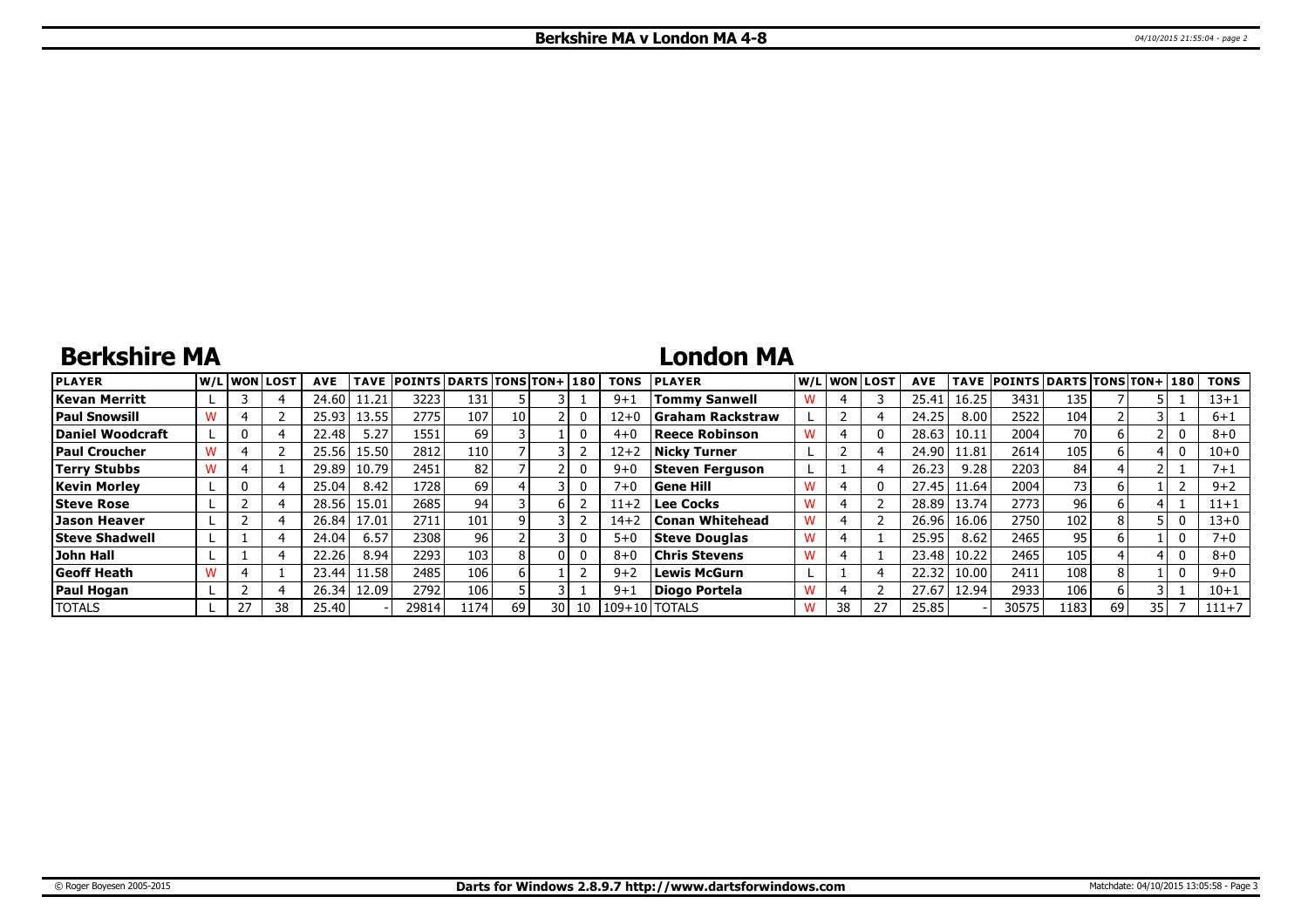# **Berkshire MA**

### **London MA**

| <b>PLAYER</b>         |  | lw/Llwonllost | <b>AVE</b> | <b>TAVE</b> | <b>POINTS DARTS TONS TON+1180</b> |       |      |      |    | <b>TONS</b> | <b>PLAYER</b>           |   |    | W/L WON LOST | <b>AVE</b> | <b>TAVE</b> | <b>POINTS DARTS TONS TON+180</b> |                 |    |  | <b>TONS</b> |
|-----------------------|--|---------------|------------|-------------|-----------------------------------|-------|------|------|----|-------------|-------------------------|---|----|--------------|------------|-------------|----------------------------------|-----------------|----|--|-------------|
| Kevan Merritt         |  |               | 24.60      | 11.21'      | 3223                              | 131   |      |      |    | $9 + 1$     | <b>Tommy Sanwell</b>    |   |    |              | 25.4       | 16.25       | 3431                             | 135             |    |  | 13+1        |
| <b>Paul Snowsill</b>  |  |               | 25.93      | 13.55       | 2775                              | 107   | 10 I |      |    | $12 + 0$    | <b>Graham Rackstraw</b> |   |    |              | 24.25      | 8.00        | 2522                             | 104             |    |  | $6 + 1$     |
| Daniel Woodcraft      |  |               | 22.48      | 5.27        | 1551                              | 69    |      |      |    | $4 + 0$     | <b>Reece Robinson</b>   |   |    |              | 28.63      | 10.11       | 2004                             | 70 I            |    |  | $8+0$       |
| <b>Paul Croucher</b>  |  |               | 25.56      | 15.50       | 2812                              | 110   |      |      |    | $12 + 2$    | <b>Nicky Turner</b>     |   |    |              | 24.90      | 11.81       | 2614                             | 105             |    |  | $10 + 0$    |
| Terry Stubbs          |  |               | 29.89      | 10.79       | 2451                              | 82    |      |      |    | $9 + C$     | <b>Steven Ferguson</b>  |   |    |              | 26.23      | 9.28        | 2203                             | 84              |    |  | $7 + 1$     |
| <b>Kevin Morley</b>   |  |               | 25.04      | 8.42        | 1728                              | 69    |      |      |    | $7 + 0$     | Gene Hill               |   |    |              | 27.45      | 11.64       | 2004                             | 73 I            |    |  | $9 + 2$     |
| <b>Steve Rose</b>     |  |               | 28.56      | 15.01       | 2685                              | 94    |      |      |    | $11+2$      | <b>Lee Cocks</b>        |   |    |              | 28.89      | 13.74       | 2773                             | 96 <sub>1</sub> |    |  | $11 + 1$    |
| Jason Heaver          |  |               | 26.84      | 17.01       | 2711                              | 101   |      |      |    | $14 + 2$    | <b>Conan Whitehead</b>  |   |    |              | 26.96      | 16.06       | 2750                             | 102             |    |  | 13+0        |
| <b>Steve Shadwell</b> |  |               | 24.04      | 6.57        | 2308                              | 96    |      |      |    | $5+0$       | <b>Steve Douglas</b>    | w |    |              | 25.95      | 8.62        | 2465                             | 95 <sub>1</sub> |    |  |             |
| John Hall             |  |               | 22.26      | 8.94        | 2293                              | 103   |      |      |    | $8 + 6$     | <b>Chris Stevens</b>    |   |    |              | 23.48      | 10.22       | 2465                             | 105             |    |  | $8 + 0$     |
| Geoff Heath           |  |               | 23.44      | 11.58       | 2485                              | 106   |      |      |    | $9 + 2$     | <b>Lewis McGurn</b>     |   |    |              | 22.32      | 10.00       | 2411                             | 108             |    |  | $9 + 0$     |
| Paul Hogan            |  |               | 26.34      | 12.09       | 2792                              | 106   |      |      |    | $9+1$       | Diogo Portela           | w |    |              | 27.67      | 12.94       | 2933                             | 106             |    |  | $10 + 1$    |
| <b>TOTALS</b>         |  | 38            | 25.40      |             | 29814                             | 11741 | 69   | 30 I | 10 | $109 + 101$ | <b>TOTALS</b>           |   | 38 |              | 25.85      |             | 30575                            | 1183            | 69 |  | $111+7$     |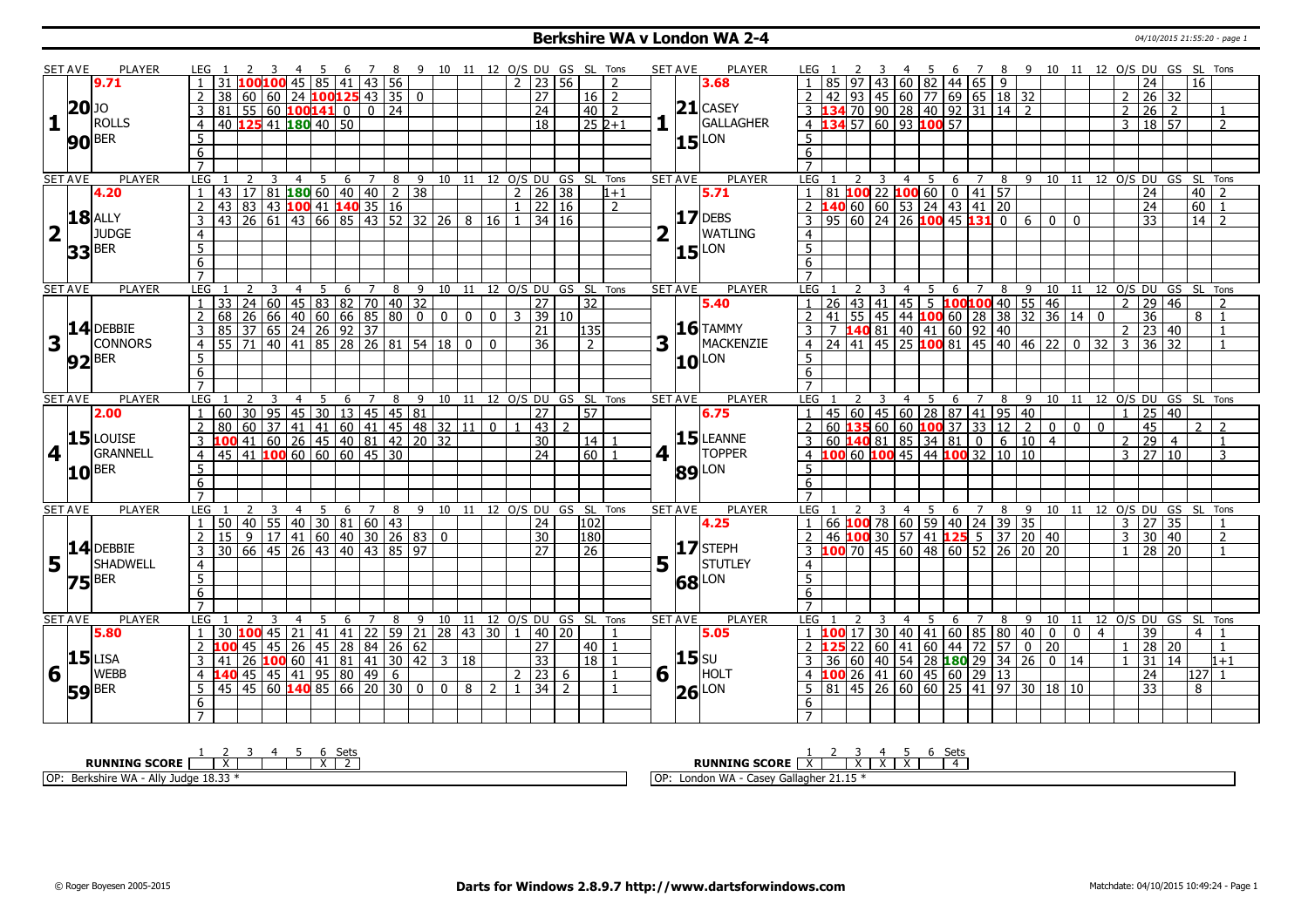### **Berkshire WA v London WA 2-4** 04/10/2015 21:55:20 - page 1

|                         | SET AVE             | <b>PLAYER</b><br>7 8 9 10 11 12 O/S DU GS SL Tons<br><b>SET AVE</b><br><b>PLAYER</b><br>5 6 7 8 9 10 11 12 O/S DU GS SL Tons<br>LEG 1<br>- 3<br>4 5 6<br>LEG 1<br>3<br>-4<br>$\frac{1}{2}$   23   56<br>60 82 44 65<br>$45 \ 85 \ 41$<br> 43 56<br>$\overline{9}$<br>16<br>9.71<br>$\overline{2}$<br>43<br>24<br>3.68<br>  45   60   77   69   65   18   32<br>38 60 60 24 100 125 43 35 0<br>27<br>$16 \mid 2$<br>26 32<br>  93<br>$2^{\circ}$<br>$20$ <sup>JO</sup><br>$21$ CASEY<br>24<br>3 134 70 90 28 40 92 31<br>4 134 57 60 93 100 57<br>$81 \mid 55 \mid 60$ 100141 0<br>$0 \mid 24$<br>$40$   2<br>$2^{\circ}$<br>26 <sup>1</sup><br>2<br>  14  <br>2<br>1<br><b>ROLLS</b><br>GALLAGHER<br>40 125 41 180 40 50<br>$252+1$<br>3   18   57<br>$\overline{2}$<br>$\overline{18}$<br>$\overline{4}$<br>5<br>$15$ <sup>LON</sup><br>$5\overline{)}$<br>$90$ BER<br>$\overline{6}$<br>6<br>$\overline{7}$<br>$\overline{7}$<br><b>PLAYER</b><br><b>PLAYER</b><br><b>LEG</b><br><b>LEG</b><br>9 10 11 12 0/S DU GS SL Tons<br><b>SET AVE</b><br>10 11 12 O/S DU GS SL Tons<br>$\overline{4}$<br>5<br>6<br>7<br>8<br>3<br>5<br>6<br>8<br>9<br>4<br>7<br>$17$   81   180   60   40   40   2   38<br>81 100 22<br>100600014157<br> 26 38<br>$\boxed{40}$ 2<br>4.20<br>$\mathbf{1}$<br>43<br>2 <sup>1</sup><br>5.71<br>$\mathbf{1}$<br>24<br>1+1<br>2 <b>140</b> 60 60 53 24 43 41 20<br>60<br>83 43 100 41 140 35 16<br>22 16<br>$\overline{24}$<br>$2 \mid 43$<br>$\overline{2}$<br>$ 17 $ DEBS<br><b>18</b> ALLY<br>100 45 131<br>  43   26   61   43   66   85   43   52   32   26   8   16<br>95   60   24<br>$\overline{26}$<br>3 <sup>1</sup><br>34 16<br>$\overline{3}$<br>$\overline{0}$<br>6<br>33<br>14<br>$\overline{z}$<br>$\mathbf{0}$<br>$\Omega$<br>2<br>JUDGE<br><b>WATLING</b><br>$\overline{4}$<br>$\overline{4}$ |                                                                                                                                                                                                                                                                                                                                                                                                                                                                                                                                                                                                                                                                                                                                                                                                                                                       |                                                                         |    |   |                |    |   |                |            |                                                                    |                         |   |                |              |                 |                |                 |                              |   |                |               |                |              |                |                                                                                                                                    |                |                |                 |                 |                |                    |                |                                |                |                |                     |                              |                |                |
|-------------------------|---------------------|-------------------------------------------------------------------------------------------------------------------------------------------------------------------------------------------------------------------------------------------------------------------------------------------------------------------------------------------------------------------------------------------------------------------------------------------------------------------------------------------------------------------------------------------------------------------------------------------------------------------------------------------------------------------------------------------------------------------------------------------------------------------------------------------------------------------------------------------------------------------------------------------------------------------------------------------------------------------------------------------------------------------------------------------------------------------------------------------------------------------------------------------------------------------------------------------------------------------------------------------------------------------------------------------------------------------------------------------------------------------------------------------------------------------------------------------------------------------------------------------------------------------------------------------------------------------------------------------------------------------------------------------------------------------------------------------------------------------------------------------------------------------------------------------------------------------------------------|-------------------------------------------------------------------------------------------------------------------------------------------------------------------------------------------------------------------------------------------------------------------------------------------------------------------------------------------------------------------------------------------------------------------------------------------------------------------------------------------------------------------------------------------------------------------------------------------------------------------------------------------------------------------------------------------------------------------------------------------------------------------------------------------------------------------------------------------------------|-------------------------------------------------------------------------|----|---|----------------|----|---|----------------|------------|--------------------------------------------------------------------|-------------------------|---|----------------|--------------|-----------------|----------------|-----------------|------------------------------|---|----------------|---------------|----------------|--------------|----------------|------------------------------------------------------------------------------------------------------------------------------------|----------------|----------------|-----------------|-----------------|----------------|--------------------|----------------|--------------------------------|----------------|----------------|---------------------|------------------------------|----------------|----------------|
|                         |                     |                                                                                                                                                                                                                                                                                                                                                                                                                                                                                                                                                                                                                                                                                                                                                                                                                                                                                                                                                                                                                                                                                                                                                                                                                                                                                                                                                                                                                                                                                                                                                                                                                                                                                                                                                                                                                                     | $\overline{5}$<br>$\overline{5}$<br>LON<br> 15 <br>$\overline{6}$<br>$\overline{6}$                                                                                                                                                                                                                                                                                                                                                                                                                                                                                                                                                                                                                                                                                                                                                                   |                                                                         |    |   |                |    |   |                |            |                                                                    |                         |   |                |              |                 |                |                 |                              |   |                |               |                |              |                |                                                                                                                                    |                |                |                 |                 |                |                    |                |                                |                |                |                     |                              |                |                |
|                         |                     |                                                                                                                                                                                                                                                                                                                                                                                                                                                                                                                                                                                                                                                                                                                                                                                                                                                                                                                                                                                                                                                                                                                                                                                                                                                                                                                                                                                                                                                                                                                                                                                                                                                                                                                                                                                                                                     |                                                                                                                                                                                                                                                                                                                                                                                                                                                                                                                                                                                                                                                                                                                                                                                                                                                       |                                                                         |    |   |                |    |   |                |            |                                                                    |                         |   |                |              |                 |                |                 |                              |   |                |               |                |              |                |                                                                                                                                    |                |                |                 |                 |                |                    |                |                                |                |                |                     |                              |                |                |
|                         |                     |                                                                                                                                                                                                                                                                                                                                                                                                                                                                                                                                                                                                                                                                                                                                                                                                                                                                                                                                                                                                                                                                                                                                                                                                                                                                                                                                                                                                                                                                                                                                                                                                                                                                                                                                                                                                                                     |                                                                                                                                                                                                                                                                                                                                                                                                                                                                                                                                                                                                                                                                                                                                                                                                                                                       |                                                                         |    |   |                |    |   |                |            |                                                                    |                         |   |                |              |                 |                |                 |                              |   |                |               |                |              |                |                                                                                                                                    |                |                |                 |                 |                |                    |                |                                |                |                |                     |                              |                |                |
| $\mathbf{1}$            |                     |                                                                                                                                                                                                                                                                                                                                                                                                                                                                                                                                                                                                                                                                                                                                                                                                                                                                                                                                                                                                                                                                                                                                                                                                                                                                                                                                                                                                                                                                                                                                                                                                                                                                                                                                                                                                                                     |                                                                                                                                                                                                                                                                                                                                                                                                                                                                                                                                                                                                                                                                                                                                                                                                                                                       |                                                                         |    |   |                |    |   |                |            |                                                                    |                         |   |                |              |                 |                |                 |                              |   |                |               |                |              |                |                                                                                                                                    |                |                |                 |                 |                |                    |                |                                |                |                |                     |                              |                |                |
|                         |                     |                                                                                                                                                                                                                                                                                                                                                                                                                                                                                                                                                                                                                                                                                                                                                                                                                                                                                                                                                                                                                                                                                                                                                                                                                                                                                                                                                                                                                                                                                                                                                                                                                                                                                                                                                                                                                                     |                                                                                                                                                                                                                                                                                                                                                                                                                                                                                                                                                                                                                                                                                                                                                                                                                                                       |                                                                         |    |   |                |    |   |                |            |                                                                    |                         |   |                |              |                 |                |                 |                              |   |                |               |                |              |                |                                                                                                                                    |                |                |                 |                 |                |                    |                |                                |                |                |                     |                              |                |                |
|                         |                     |                                                                                                                                                                                                                                                                                                                                                                                                                                                                                                                                                                                                                                                                                                                                                                                                                                                                                                                                                                                                                                                                                                                                                                                                                                                                                                                                                                                                                                                                                                                                                                                                                                                                                                                                                                                                                                     |                                                                                                                                                                                                                                                                                                                                                                                                                                                                                                                                                                                                                                                                                                                                                                                                                                                       |                                                                         |    |   |                |    |   |                |            |                                                                    |                         |   |                |              |                 |                |                 |                              |   |                |               |                |              |                |                                                                                                                                    |                |                |                 |                 |                |                    |                |                                |                |                |                     |                              |                |                |
|                         |                     |                                                                                                                                                                                                                                                                                                                                                                                                                                                                                                                                                                                                                                                                                                                                                                                                                                                                                                                                                                                                                                                                                                                                                                                                                                                                                                                                                                                                                                                                                                                                                                                                                                                                                                                                                                                                                                     |                                                                                                                                                                                                                                                                                                                                                                                                                                                                                                                                                                                                                                                                                                                                                                                                                                                       |                                                                         |    |   |                |    |   |                |            |                                                                    |                         |   |                |              |                 |                |                 |                              |   |                |               |                |              |                |                                                                                                                                    |                |                |                 |                 |                |                    |                |                                |                |                |                     |                              |                |                |
|                         |                     |                                                                                                                                                                                                                                                                                                                                                                                                                                                                                                                                                                                                                                                                                                                                                                                                                                                                                                                                                                                                                                                                                                                                                                                                                                                                                                                                                                                                                                                                                                                                                                                                                                                                                                                                                                                                                                     | $\overline{7}$<br>$\overline{7}$                                                                                                                                                                                                                                                                                                                                                                                                                                                                                                                                                                                                                                                                                                                                                                                                                      |                                                                         |    |   |                |    |   |                |            |                                                                    |                         |   |                |              |                 |                |                 |                              |   |                |               |                |              |                |                                                                                                                                    |                |                |                 |                 |                |                    |                |                                |                |                |                     |                              |                |                |
|                         | <b>SET AVE</b>      |                                                                                                                                                                                                                                                                                                                                                                                                                                                                                                                                                                                                                                                                                                                                                                                                                                                                                                                                                                                                                                                                                                                                                                                                                                                                                                                                                                                                                                                                                                                                                                                                                                                                                                                                                                                                                                     |                                                                                                                                                                                                                                                                                                                                                                                                                                                                                                                                                                                                                                                                                                                                                                                                                                                       |                                                                         |    |   |                |    |   |                |            |                                                                    |                         |   |                |              |                 |                |                 |                              |   |                |               |                |              |                |                                                                                                                                    |                |                |                 |                 |                |                    |                |                                |                |                |                     |                              |                |                |
|                         |                     |                                                                                                                                                                                                                                                                                                                                                                                                                                                                                                                                                                                                                                                                                                                                                                                                                                                                                                                                                                                                                                                                                                                                                                                                                                                                                                                                                                                                                                                                                                                                                                                                                                                                                                                                                                                                                                     |                                                                                                                                                                                                                                                                                                                                                                                                                                                                                                                                                                                                                                                                                                                                                                                                                                                       |                                                                         |    |   |                |    |   |                |            |                                                                    |                         |   |                |              |                 |                |                 |                              |   |                |               |                |              |                |                                                                                                                                    |                |                |                 |                 |                |                    |                |                                |                |                |                     |                              |                |                |
|                         |                     |                                                                                                                                                                                                                                                                                                                                                                                                                                                                                                                                                                                                                                                                                                                                                                                                                                                                                                                                                                                                                                                                                                                                                                                                                                                                                                                                                                                                                                                                                                                                                                                                                                                                                                                                                                                                                                     |                                                                                                                                                                                                                                                                                                                                                                                                                                                                                                                                                                                                                                                                                                                                                                                                                                                       |                                                                         |    |   |                |    |   |                |            |                                                                    |                         |   |                |              |                 |                |                 |                              |   |                |               |                |              |                |                                                                                                                                    |                |                |                 |                 |                |                    |                |                                |                |                |                     |                              |                |                |
|                         |                     |                                                                                                                                                                                                                                                                                                                                                                                                                                                                                                                                                                                                                                                                                                                                                                                                                                                                                                                                                                                                                                                                                                                                                                                                                                                                                                                                                                                                                                                                                                                                                                                                                                                                                                                                                                                                                                     |                                                                                                                                                                                                                                                                                                                                                                                                                                                                                                                                                                                                                                                                                                                                                                                                                                                       |                                                                         |    |   |                |    |   |                |            |                                                                    |                         |   |                |              |                 |                |                 |                              |   |                |               |                |              |                |                                                                                                                                    |                |                |                 |                 |                |                    |                |                                |                |                |                     |                              |                |                |
| $\overline{\mathbf{2}}$ |                     |                                                                                                                                                                                                                                                                                                                                                                                                                                                                                                                                                                                                                                                                                                                                                                                                                                                                                                                                                                                                                                                                                                                                                                                                                                                                                                                                                                                                                                                                                                                                                                                                                                                                                                                                                                                                                                     |                                                                                                                                                                                                                                                                                                                                                                                                                                                                                                                                                                                                                                                                                                                                                                                                                                                       |                                                                         |    |   |                |    |   |                |            |                                                                    |                         |   |                |              |                 |                |                 |                              |   |                |               |                |              |                |                                                                                                                                    |                |                |                 |                 |                |                    |                |                                |                |                |                     |                              |                |                |
|                         |                     | $33$ <sup>BER</sup>                                                                                                                                                                                                                                                                                                                                                                                                                                                                                                                                                                                                                                                                                                                                                                                                                                                                                                                                                                                                                                                                                                                                                                                                                                                                                                                                                                                                                                                                                                                                                                                                                                                                                                                                                                                                                 |                                                                                                                                                                                                                                                                                                                                                                                                                                                                                                                                                                                                                                                                                                                                                                                                                                                       |                                                                         |    |   |                |    |   |                |            |                                                                    |                         |   |                |              |                 |                |                 |                              |   |                |               |                |              |                |                                                                                                                                    |                |                |                 |                 |                |                    |                |                                |                |                |                     |                              |                |                |
|                         |                     |                                                                                                                                                                                                                                                                                                                                                                                                                                                                                                                                                                                                                                                                                                                                                                                                                                                                                                                                                                                                                                                                                                                                                                                                                                                                                                                                                                                                                                                                                                                                                                                                                                                                                                                                                                                                                                     |                                                                                                                                                                                                                                                                                                                                                                                                                                                                                                                                                                                                                                                                                                                                                                                                                                                       |                                                                         |    |   |                |    |   |                |            |                                                                    |                         |   |                |              |                 |                |                 |                              |   |                |               |                |              |                |                                                                                                                                    |                |                |                 |                 |                |                    |                |                                |                |                |                     |                              |                |                |
|                         |                     |                                                                                                                                                                                                                                                                                                                                                                                                                                                                                                                                                                                                                                                                                                                                                                                                                                                                                                                                                                                                                                                                                                                                                                                                                                                                                                                                                                                                                                                                                                                                                                                                                                                                                                                                                                                                                                     |                                                                                                                                                                                                                                                                                                                                                                                                                                                                                                                                                                                                                                                                                                                                                                                                                                                       |                                                                         |    |   |                |    |   |                |            |                                                                    |                         |   |                |              |                 |                |                 |                              |   |                |               |                |              |                |                                                                                                                                    |                |                |                 |                 |                |                    |                |                                |                |                |                     |                              |                |                |
|                         | <b>SET AVE</b>      | <b>PLAYER</b>                                                                                                                                                                                                                                                                                                                                                                                                                                                                                                                                                                                                                                                                                                                                                                                                                                                                                                                                                                                                                                                                                                                                                                                                                                                                                                                                                                                                                                                                                                                                                                                                                                                                                                                                                                                                                       | <b>LEG</b><br><u>LEG 1 2 3 4 5 6 7 8 9 10 11 12 0/5 DU GS SL Tons</u><br>1 33 24 60 45 83 82 70 40 32       27   32  <br><b>SET AVE</b><br>PLAYER<br><b>LEG</b><br>9 10 11 12 O/S DU GS SL Tons<br>2<br>$\overline{4}$<br>$5\overline{}$<br>$6\overline{}$<br>$\overline{7}$<br>8<br>3<br>$5 \mid 100100 \mid 40 \mid 55 \mid 46$<br>$\frac{45}{44}$<br>$\overline{43}$<br>41<br>$\overline{29}$<br>$\overline{46}$<br>26<br>$\overline{2}$<br>$\mathcal{D}$<br>$\overline{1}$<br>5.40<br>$\overline{2}$<br>$100$ 60 28 38 32 36 14<br>$2   68   26   66   40   60   66   85   80   0   0   0   0$<br>3   39   10<br>$\overline{36}$<br>41<br>55<br>45<br>$8 \mid 1$<br>$\mathbf{0}$<br>$16$ TAMMY<br>$\overline{\mathbf{3}}$<br>3   85   37   65   24   26   92   37<br>$141$ 60 92 40<br>21<br>140 81<br>$ 40\rangle$<br>$2 \mid 23 \mid 40$<br>135 |                                                                         |    |   |                |    |   |                |            |                                                                    |                         |   |                |              |                 |                |                 |                              |   |                |               |                |              |                |                                                                                                                                    |                |                |                 |                 |                |                    |                |                                |                |                |                     |                              |                |                |
|                         |                     |                                                                                                                                                                                                                                                                                                                                                                                                                                                                                                                                                                                                                                                                                                                                                                                                                                                                                                                                                                                                                                                                                                                                                                                                                                                                                                                                                                                                                                                                                                                                                                                                                                                                                                                                                                                                                                     |                                                                                                                                                                                                                                                                                                                                                                                                                                                                                                                                                                                                                                                                                                                                                                                                                                                       |                                                                         |    |   |                |    |   |                |            |                                                                    |                         |   |                |              |                 |                |                 |                              |   |                |               |                |              |                |                                                                                                                                    |                |                |                 |                 |                |                    |                |                                |                |                |                     |                              |                |                |
|                         |                     |                                                                                                                                                                                                                                                                                                                                                                                                                                                                                                                                                                                                                                                                                                                                                                                                                                                                                                                                                                                                                                                                                                                                                                                                                                                                                                                                                                                                                                                                                                                                                                                                                                                                                                                                                                                                                                     |                                                                                                                                                                                                                                                                                                                                                                                                                                                                                                                                                                                                                                                                                                                                                                                                                                                       |                                                                         |    |   |                |    |   |                |            |                                                                    |                         |   |                |              |                 |                |                 |                              |   |                |               |                |              |                |                                                                                                                                    |                |                |                 |                 |                |                    |                |                                |                |                |                     |                              |                |                |
|                         |                     | $14$ DEBBIE                                                                                                                                                                                                                                                                                                                                                                                                                                                                                                                                                                                                                                                                                                                                                                                                                                                                                                                                                                                                                                                                                                                                                                                                                                                                                                                                                                                                                                                                                                                                                                                                                                                                                                                                                                                                                         |                                                                                                                                                                                                                                                                                                                                                                                                                                                                                                                                                                                                                                                                                                                                                                                                                                                       |                                                                         |    |   |                |    |   |                |            |                                                                    |                         |   |                |              |                 |                |                 |                              |   |                |               |                |              |                |                                                                                                                                    |                |                |                 |                 |                |                    |                |                                |                |                |                     |                              |                |                |
| 3                       |                     | <b>CONNORS</b>                                                                                                                                                                                                                                                                                                                                                                                                                                                                                                                                                                                                                                                                                                                                                                                                                                                                                                                                                                                                                                                                                                                                                                                                                                                                                                                                                                                                                                                                                                                                                                                                                                                                                                                                                                                                                      | $\overline{4}$                                                                                                                                                                                                                                                                                                                                                                                                                                                                                                                                                                                                                                                                                                                                                                                                                                        | 55 71 40 41 85 28 26 81 54 18 0                                         |    |   |                |    |   |                |            |                                                                    |                         |   | $\mathbf{0}$   |              | $\overline{36}$ |                | $\overline{2}$  |                              | 3 | $\mathbf{I}$   | MACKENZIE     | $\overline{4}$ | $24 \mid 41$ |                | l 45                                                                                                                               | 25             |                |                 |                 |                |                    |                | <b>100</b> 81 45 40 46 22 0 32 |                | $\overline{3}$ | 36 32               |                              |                |                |
|                         | $92$ <sup>BER</sup> |                                                                                                                                                                                                                                                                                                                                                                                                                                                                                                                                                                                                                                                                                                                                                                                                                                                                                                                                                                                                                                                                                                                                                                                                                                                                                                                                                                                                                                                                                                                                                                                                                                                                                                                                                                                                                                     | 5                                                                                                                                                                                                                                                                                                                                                                                                                                                                                                                                                                                                                                                                                                                                                                                                                                                     |                                                                         |    |   |                |    |   |                |            |                                                                    |                         |   |                |              |                 |                |                 |                              |   | 10             | LON           | $\overline{5}$ |              |                |                                                                                                                                    |                |                |                 |                 |                |                    |                |                                |                |                |                     |                              |                |                |
|                         |                     |                                                                                                                                                                                                                                                                                                                                                                                                                                                                                                                                                                                                                                                                                                                                                                                                                                                                                                                                                                                                                                                                                                                                                                                                                                                                                                                                                                                                                                                                                                                                                                                                                                                                                                                                                                                                                                     | $6\overline{6}$                                                                                                                                                                                                                                                                                                                                                                                                                                                                                                                                                                                                                                                                                                                                                                                                                                       |                                                                         |    |   |                |    |   |                |            |                                                                    |                         |   |                |              |                 |                |                 |                              |   |                |               | 6              |              |                |                                                                                                                                    |                |                |                 |                 |                |                    |                |                                |                |                |                     |                              |                |                |
|                         |                     |                                                                                                                                                                                                                                                                                                                                                                                                                                                                                                                                                                                                                                                                                                                                                                                                                                                                                                                                                                                                                                                                                                                                                                                                                                                                                                                                                                                                                                                                                                                                                                                                                                                                                                                                                                                                                                     | $\overline{7}$                                                                                                                                                                                                                                                                                                                                                                                                                                                                                                                                                                                                                                                                                                                                                                                                                                        |                                                                         |    |   |                |    |   |                |            |                                                                    |                         |   |                |              |                 |                |                 |                              |   |                |               |                |              |                |                                                                                                                                    |                |                |                 |                 |                |                    |                |                                |                |                |                     |                              |                |                |
|                         | <b>SET AVE</b>      | <b>PLAYER</b>                                                                                                                                                                                                                                                                                                                                                                                                                                                                                                                                                                                                                                                                                                                                                                                                                                                                                                                                                                                                                                                                                                                                                                                                                                                                                                                                                                                                                                                                                                                                                                                                                                                                                                                                                                                                                       | LEG                                                                                                                                                                                                                                                                                                                                                                                                                                                                                                                                                                                                                                                                                                                                                                                                                                                   |                                                                         |    |   | $\overline{4}$ | 5  | 6 | $7^{\circ}$    | 8          |                                                                    |                         |   |                |              |                 |                |                 | 9 10 11 12 O/S DU GS SL Tons |   | <b>SET AVE</b> | <b>PLAYER</b> | <b>LEG</b>     |              |                | $\overline{3}$                                                                                                                     | $\overline{4}$ | $\overline{5}$ | $6\overline{}$  | $7\overline{ }$ | 8              | $\overline{9}$     |                |                                |                |                |                     | 10 11 12 0/S DU GS SL Tons   |                |                |
|                         |                     | 2.00                                                                                                                                                                                                                                                                                                                                                                                                                                                                                                                                                                                                                                                                                                                                                                                                                                                                                                                                                                                                                                                                                                                                                                                                                                                                                                                                                                                                                                                                                                                                                                                                                                                                                                                                                                                                                                | $\mathbf{1}$                                                                                                                                                                                                                                                                                                                                                                                                                                                                                                                                                                                                                                                                                                                                                                                                                                          | 60 l                                                                    |    |   |                |    |   |                |            | 30 95 45 30 13 45 45 81                                            |                         |   |                |              | 27              |                | 57              |                              |   |                | 6.75          | $\overline{1}$ |              |                | 45 60 45 60 28 87 41 95 40                                                                                                         |                |                |                 |                 |                |                    |                |                                |                |                | 25 40               |                              |                |                |
|                         |                     |                                                                                                                                                                                                                                                                                                                                                                                                                                                                                                                                                                                                                                                                                                                                                                                                                                                                                                                                                                                                                                                                                                                                                                                                                                                                                                                                                                                                                                                                                                                                                                                                                                                                                                                                                                                                                                     | 2                                                                                                                                                                                                                                                                                                                                                                                                                                                                                                                                                                                                                                                                                                                                                                                                                                                     | 80                                                                      |    |   |                |    |   |                |            | 60 37 41 41 60 41 45 48 32 11 0                                    |                         |   |                |              | 43              | $\overline{2}$ |                 |                              |   |                |               | $\overline{2}$ |              |                |                                                                                                                                    |                |                |                 | $\overline{33}$ | 12             | $\overline{2}$     | $\overline{0}$ | $\Omega$                       | $\Omega$       |                | 45                  |                              | 2 <sup>1</sup> | $\overline{2}$ |
|                         |                     | $15$ LOUISE                                                                                                                                                                                                                                                                                                                                                                                                                                                                                                                                                                                                                                                                                                                                                                                                                                                                                                                                                                                                                                                                                                                                                                                                                                                                                                                                                                                                                                                                                                                                                                                                                                                                                                                                                                                                                         |                                                                                                                                                                                                                                                                                                                                                                                                                                                                                                                                                                                                                                                                                                                                                                                                                                                       |                                                                         |    |   |                |    |   |                |            |                                                                    |                         |   |                |              | $\overline{30}$ |                | 14              |                              |   |                | $15$ LEANNE   | $\overline{3}$ |              |                | 60 135 60 60 100 37                                                                                                                |                |                |                 | $\overline{0}$  |                | $\frac{1}{6}$ 10 4 |                |                                |                |                | 2 29 4              |                              |                | $\mathbf{1}$   |
| 4 1                     |                     | GRANNELL                                                                                                                                                                                                                                                                                                                                                                                                                                                                                                                                                                                                                                                                                                                                                                                                                                                                                                                                                                                                                                                                                                                                                                                                                                                                                                                                                                                                                                                                                                                                                                                                                                                                                                                                                                                                                            |                                                                                                                                                                                                                                                                                                                                                                                                                                                                                                                                                                                                                                                                                                                                                                                                                                                       | $4 \overline{\smash{)}\ 41}$ $\overline{\smash{)}\ 400}$ 60 60 60 45 30 |    |   |                |    |   |                |            |                                                                    |                         |   |                |              | 24              |                | 60              |                              | 4 | $\mathbf{L}$   | <b>TOPPER</b> |                |              |                | 4 100 60 100 45 44 100 32                                                                                                          |                |                |                 |                 | 10             | 10                 |                |                                |                |                | 3   27   10         |                              |                | $\overline{3}$ |
|                         |                     | $10^{BER}$                                                                                                                                                                                                                                                                                                                                                                                                                                                                                                                                                                                                                                                                                                                                                                                                                                                                                                                                                                                                                                                                                                                                                                                                                                                                                                                                                                                                                                                                                                                                                                                                                                                                                                                                                                                                                          | 5                                                                                                                                                                                                                                                                                                                                                                                                                                                                                                                                                                                                                                                                                                                                                                                                                                                     |                                                                         |    |   |                |    |   |                |            |                                                                    |                         |   |                |              |                 |                |                 |                              |   |                | <b>89 LON</b> | 5              |              |                |                                                                                                                                    |                |                |                 |                 |                |                    |                |                                |                |                |                     |                              |                |                |
|                         |                     |                                                                                                                                                                                                                                                                                                                                                                                                                                                                                                                                                                                                                                                                                                                                                                                                                                                                                                                                                                                                                                                                                                                                                                                                                                                                                                                                                                                                                                                                                                                                                                                                                                                                                                                                                                                                                                     | 6                                                                                                                                                                                                                                                                                                                                                                                                                                                                                                                                                                                                                                                                                                                                                                                                                                                     |                                                                         |    |   |                |    |   |                |            |                                                                    |                         |   |                |              |                 |                |                 |                              |   |                |               | 6              |              |                |                                                                                                                                    |                |                |                 |                 |                |                    |                |                                |                |                |                     |                              |                |                |
|                         |                     |                                                                                                                                                                                                                                                                                                                                                                                                                                                                                                                                                                                                                                                                                                                                                                                                                                                                                                                                                                                                                                                                                                                                                                                                                                                                                                                                                                                                                                                                                                                                                                                                                                                                                                                                                                                                                                     | $\overline{7}$                                                                                                                                                                                                                                                                                                                                                                                                                                                                                                                                                                                                                                                                                                                                                                                                                                        |                                                                         |    |   |                |    |   |                |            |                                                                    |                         |   |                |              |                 |                |                 |                              |   |                |               | $\overline{7}$ |              |                |                                                                                                                                    |                |                |                 |                 |                |                    |                |                                |                |                |                     |                              |                |                |
|                         | <b>SET AVE</b>      | <b>PLAYER</b>                                                                                                                                                                                                                                                                                                                                                                                                                                                                                                                                                                                                                                                                                                                                                                                                                                                                                                                                                                                                                                                                                                                                                                                                                                                                                                                                                                                                                                                                                                                                                                                                                                                                                                                                                                                                                       | <b>LEG</b>                                                                                                                                                                                                                                                                                                                                                                                                                                                                                                                                                                                                                                                                                                                                                                                                                                            |                                                                         |    |   | $\overline{4}$ | 5  | 6 |                | $7 \t 8$   |                                                                    | 9 10 11 12 0/S DU GS SL |   |                |              |                 |                |                 | Tons                         |   | <b>SET AVE</b> | <b>PLAYER</b> | LEG            |              |                | 3                                                                                                                                  | $\overline{4}$ | $\overline{5}$ | 6               | $7 \t 8$        |                |                    |                |                                |                |                |                     | 9 10 11 12 0/S DU GS SL Tons |                |                |
|                         |                     |                                                                                                                                                                                                                                                                                                                                                                                                                                                                                                                                                                                                                                                                                                                                                                                                                                                                                                                                                                                                                                                                                                                                                                                                                                                                                                                                                                                                                                                                                                                                                                                                                                                                                                                                                                                                                                     |                                                                                                                                                                                                                                                                                                                                                                                                                                                                                                                                                                                                                                                                                                                                                                                                                                                       | 1 50 40 55 40 30 81 60 43                                               |    |   |                |    |   |                |            |                                                                    |                         |   |                |              | 24              |                | 102             |                              |   |                | 4.25          | 1              |              |                |                                                                                                                                    |                |                |                 |                 |                |                    |                |                                |                |                | $3 \mid 27 \mid 35$ |                              |                | $\mathbf{1}$   |
|                         |                     |                                                                                                                                                                                                                                                                                                                                                                                                                                                                                                                                                                                                                                                                                                                                                                                                                                                                                                                                                                                                                                                                                                                                                                                                                                                                                                                                                                                                                                                                                                                                                                                                                                                                                                                                                                                                                                     | $\overline{2}$                                                                                                                                                                                                                                                                                                                                                                                                                                                                                                                                                                                                                                                                                                                                                                                                                                        | 15                                                                      |    |   |                |    |   |                |            | $9 \mid 17 \mid 41 \mid 60 \mid 40 \mid 30 \mid 26 \mid 83 \mid 0$ |                         |   |                |              | 30              |                | 180             |                              |   |                |               | $\overline{2}$ |              |                | 66   <b>100</b> 78   60   59   40   24   39   35   <sup>11</sup><br>  46   <b>100</b> 30   57   41   <b>125</b>   5   37   20   40 |                |                |                 |                 |                |                    |                |                                |                | $\overline{3}$ | 30 40               |                              |                | $\overline{2}$ |
|                         |                     | $14$ DEBBIE                                                                                                                                                                                                                                                                                                                                                                                                                                                                                                                                                                                                                                                                                                                                                                                                                                                                                                                                                                                                                                                                                                                                                                                                                                                                                                                                                                                                                                                                                                                                                                                                                                                                                                                                                                                                                         |                                                                                                                                                                                                                                                                                                                                                                                                                                                                                                                                                                                                                                                                                                                                                                                                                                                       | $3   30   66   45   26   43   40   43   85   97$                        |    |   |                |    |   |                |            |                                                                    |                         |   |                |              | 27              |                | $\overline{26}$ |                              |   |                | $ 17 $ STEPH  |                |              |                | 3 100 70 45 60 48 60 52 26 20 20                                                                                                   |                |                |                 |                 |                |                    |                |                                |                |                | $1 \ 28 \ 20$       |                              |                | $\overline{1}$ |
| 5                       |                     | <b>SHADWELL</b>                                                                                                                                                                                                                                                                                                                                                                                                                                                                                                                                                                                                                                                                                                                                                                                                                                                                                                                                                                                                                                                                                                                                                                                                                                                                                                                                                                                                                                                                                                                                                                                                                                                                                                                                                                                                                     | $\overline{4}$                                                                                                                                                                                                                                                                                                                                                                                                                                                                                                                                                                                                                                                                                                                                                                                                                                        |                                                                         |    |   |                |    |   |                |            |                                                                    |                         |   |                |              |                 |                |                 |                              | 5 |                | STUTLEY       | $\overline{4}$ |              |                |                                                                                                                                    |                |                |                 |                 |                |                    |                |                                |                |                |                     |                              |                |                |
|                         |                     |                                                                                                                                                                                                                                                                                                                                                                                                                                                                                                                                                                                                                                                                                                                                                                                                                                                                                                                                                                                                                                                                                                                                                                                                                                                                                                                                                                                                                                                                                                                                                                                                                                                                                                                                                                                                                                     | $\overline{5}$                                                                                                                                                                                                                                                                                                                                                                                                                                                                                                                                                                                                                                                                                                                                                                                                                                        |                                                                         |    |   |                |    |   |                |            |                                                                    |                         |   |                |              |                 |                |                 |                              |   |                |               | 5 <sup>2</sup> |              |                |                                                                                                                                    |                |                |                 |                 |                |                    |                |                                |                |                |                     |                              |                |                |
|                         | $75$ <sup>BER</sup> |                                                                                                                                                                                                                                                                                                                                                                                                                                                                                                                                                                                                                                                                                                                                                                                                                                                                                                                                                                                                                                                                                                                                                                                                                                                                                                                                                                                                                                                                                                                                                                                                                                                                                                                                                                                                                                     |                                                                                                                                                                                                                                                                                                                                                                                                                                                                                                                                                                                                                                                                                                                                                                                                                                                       |                                                                         |    |   |                |    |   |                |            |                                                                    |                         |   |                |              |                 |                |                 |                              |   | 68             | LON           |                |              |                |                                                                                                                                    |                |                |                 |                 |                |                    |                |                                |                |                |                     |                              |                |                |
|                         |                     |                                                                                                                                                                                                                                                                                                                                                                                                                                                                                                                                                                                                                                                                                                                                                                                                                                                                                                                                                                                                                                                                                                                                                                                                                                                                                                                                                                                                                                                                                                                                                                                                                                                                                                                                                                                                                                     | 6                                                                                                                                                                                                                                                                                                                                                                                                                                                                                                                                                                                                                                                                                                                                                                                                                                                     |                                                                         |    |   |                |    |   |                |            |                                                                    |                         |   |                |              |                 |                |                 |                              |   |                |               | 6              |              |                |                                                                                                                                    |                |                |                 |                 |                |                    |                |                                |                |                |                     |                              |                |                |
|                         |                     |                                                                                                                                                                                                                                                                                                                                                                                                                                                                                                                                                                                                                                                                                                                                                                                                                                                                                                                                                                                                                                                                                                                                                                                                                                                                                                                                                                                                                                                                                                                                                                                                                                                                                                                                                                                                                                     | $\overline{7}$                                                                                                                                                                                                                                                                                                                                                                                                                                                                                                                                                                                                                                                                                                                                                                                                                                        |                                                                         |    |   |                |    |   |                |            |                                                                    |                         |   |                |              |                 |                |                 |                              |   |                |               |                |              |                |                                                                                                                                    |                |                |                 |                 |                |                    |                |                                |                |                |                     |                              |                |                |
|                         | <b>SET AVE</b>      | <b>PLAYER</b>                                                                                                                                                                                                                                                                                                                                                                                                                                                                                                                                                                                                                                                                                                                                                                                                                                                                                                                                                                                                                                                                                                                                                                                                                                                                                                                                                                                                                                                                                                                                                                                                                                                                                                                                                                                                                       | LEG                                                                                                                                                                                                                                                                                                                                                                                                                                                                                                                                                                                                                                                                                                                                                                                                                                                   |                                                                         |    | 3 | $\overline{4}$ | 5  | 6 | $\overline{7}$ |            | 8 9 10 11 12 0/S DU GS SL Tons                                     |                         |   |                |              |                 |                |                 |                              |   | <b>SET AVE</b> | <b>PLAYER</b> | LEG            |              | $\overline{2}$ | 3<br>$1$ 100 17 30 40 41 60 85 80 40                                                                                               | $\overline{4}$ | 5              | 6               | $\overline{7}$  | $\overline{8}$ | $-9$               | 10 11          |                                |                |                |                     | 12 O/S DU GS SL Tons         |                |                |
|                         |                     | 5.80                                                                                                                                                                                                                                                                                                                                                                                                                                                                                                                                                                                                                                                                                                                                                                                                                                                                                                                                                                                                                                                                                                                                                                                                                                                                                                                                                                                                                                                                                                                                                                                                                                                                                                                                                                                                                                | $\blacksquare$                                                                                                                                                                                                                                                                                                                                                                                                                                                                                                                                                                                                                                                                                                                                                                                                                                        | 30 100 45 21 41 41 22 59 21 28 43 30                                    |    |   |                |    |   |                |            |                                                                    |                         |   |                | $\mathbf{1}$ | 40 20           |                |                 |                              |   |                | 5.05          |                |              |                |                                                                                                                                    |                |                |                 |                 |                |                    | $\boxed{0}$    | $\overline{0}$                 | $\overline{4}$ |                | $\overline{39}$     |                              | $\overline{4}$ |                |
|                         |                     | $15$ LISA                                                                                                                                                                                                                                                                                                                                                                                                                                                                                                                                                                                                                                                                                                                                                                                                                                                                                                                                                                                                                                                                                                                                                                                                                                                                                                                                                                                                                                                                                                                                                                                                                                                                                                                                                                                                                           | 2                                                                                                                                                                                                                                                                                                                                                                                                                                                                                                                                                                                                                                                                                                                                                                                                                                                     | <mark>100</mark> 45   45   26   45   28   84   26   62                  |    |   |                |    |   |                |            |                                                                    |                         |   |                |              | 27              |                | <u>40   1</u>   |                              |   |                | <b>15</b> SU  |                |              |                | 60 41 60 44 72 57                                                                                                                  |                |                |                 |                 |                | $0$ 20             |                |                                |                |                | 28 20               |                              |                |                |
|                         |                     |                                                                                                                                                                                                                                                                                                                                                                                                                                                                                                                                                                                                                                                                                                                                                                                                                                                                                                                                                                                                                                                                                                                                                                                                                                                                                                                                                                                                                                                                                                                                                                                                                                                                                                                                                                                                                                     |                                                                                                                                                                                                                                                                                                                                                                                                                                                                                                                                                                                                                                                                                                                                                                                                                                                       |                                                                         | 26 |   |                |    |   |                |            | <b>100</b> 60 41 81 41 30 42 3 18                                  |                         |   |                |              | 33              |                | $18$   1        |                              |   |                |               | 3              |              |                | 36 60 40 54 28 180 29 34 26 0 14                                                                                                   |                |                |                 |                 |                |                    |                |                                |                |                | $31$ 14             |                              |                | $1+1$          |
| 6                       |                     | <b>WEBB</b>                                                                                                                                                                                                                                                                                                                                                                                                                                                                                                                                                                                                                                                                                                                                                                                                                                                                                                                                                                                                                                                                                                                                                                                                                                                                                                                                                                                                                                                                                                                                                                                                                                                                                                                                                                                                                         |                                                                                                                                                                                                                                                                                                                                                                                                                                                                                                                                                                                                                                                                                                                                                                                                                                                       | 4 140 45 45 41 95 80 49 6                                               |    |   |                |    |   |                |            |                                                                    |                         |   |                |              | $\overline{23}$ | 6              |                 |                              | 6 |                | HOLT          | $\overline{4}$ |              |                |                                                                                                                                    |                |                |                 |                 |                |                    |                |                                |                |                | $\overline{24}$     |                              | 127            | $\overline{1}$ |
|                         | $59$ <sup>BER</sup> |                                                                                                                                                                                                                                                                                                                                                                                                                                                                                                                                                                                                                                                                                                                                                                                                                                                                                                                                                                                                                                                                                                                                                                                                                                                                                                                                                                                                                                                                                                                                                                                                                                                                                                                                                                                                                                     | 5 <sup>1</sup>                                                                                                                                                                                                                                                                                                                                                                                                                                                                                                                                                                                                                                                                                                                                                                                                                                        | 45 45 60 140                                                            |    |   |                | 85 |   |                | $66$ 20 30 | $\overline{0}$                                                     | $\overline{0}$          | 8 | $\overline{2}$ | $\mathbf{1}$ | $\overline{34}$ | $\overline{2}$ |                 |                              |   |                | $ 26 $ LON    | 5              | 81           | 45             | 26                                                                                                                                 | 60             | 60             | $\overline{25}$ | 41              |                | $97$ 30 18 10      |                |                                |                |                | $\overline{33}$     |                              | 8              |                |
|                         |                     |                                                                                                                                                                                                                                                                                                                                                                                                                                                                                                                                                                                                                                                                                                                                                                                                                                                                                                                                                                                                                                                                                                                                                                                                                                                                                                                                                                                                                                                                                                                                                                                                                                                                                                                                                                                                                                     | 6                                                                                                                                                                                                                                                                                                                                                                                                                                                                                                                                                                                                                                                                                                                                                                                                                                                     |                                                                         |    |   |                |    |   |                |            |                                                                    |                         |   |                |              |                 |                |                 |                              |   |                |               | 6              |              |                |                                                                                                                                    |                |                |                 |                 |                |                    |                |                                |                |                |                     |                              |                |                |
|                         |                     |                                                                                                                                                                                                                                                                                                                                                                                                                                                                                                                                                                                                                                                                                                                                                                                                                                                                                                                                                                                                                                                                                                                                                                                                                                                                                                                                                                                                                                                                                                                                                                                                                                                                                                                                                                                                                                     | $\overline{7}$                                                                                                                                                                                                                                                                                                                                                                                                                                                                                                                                                                                                                                                                                                                                                                                                                                        |                                                                         |    |   |                |    |   |                |            |                                                                    |                         |   |                |              |                 |                |                 |                              |   |                |               |                |              |                |                                                                                                                                    |                |                |                 |                 |                |                    |                |                                |                |                |                     |                              |                |                |
|                         |                     |                                                                                                                                                                                                                                                                                                                                                                                                                                                                                                                                                                                                                                                                                                                                                                                                                                                                                                                                                                                                                                                                                                                                                                                                                                                                                                                                                                                                                                                                                                                                                                                                                                                                                                                                                                                                                                     |                                                                                                                                                                                                                                                                                                                                                                                                                                                                                                                                                                                                                                                                                                                                                                                                                                                       |                                                                         |    |   |                |    |   |                |            |                                                                    |                         |   |                |              |                 |                |                 |                              |   |                |               | $\overline{7}$ |              |                |                                                                                                                                    |                |                |                 |                 |                |                    |                |                                |                |                |                     |                              |                |                |

| זמר<br>$\sim$                                                                   | חם ~                                                                      |
|---------------------------------------------------------------------------------|---------------------------------------------------------------------------|
| <b>RUNNING SCORE</b>                                                            | <b>RUNNING SCORE</b>                                                      |
| $\sim$ $\sim$ $\sim$<br>l OP:<br>Berkshire WA<br><b>Rarlu</b><br>. دد.۱۵<br>Juu | Gallagher<br>London WA<br>l OP<br>, asev<br>$\overline{\phantom{a}}$<br>. |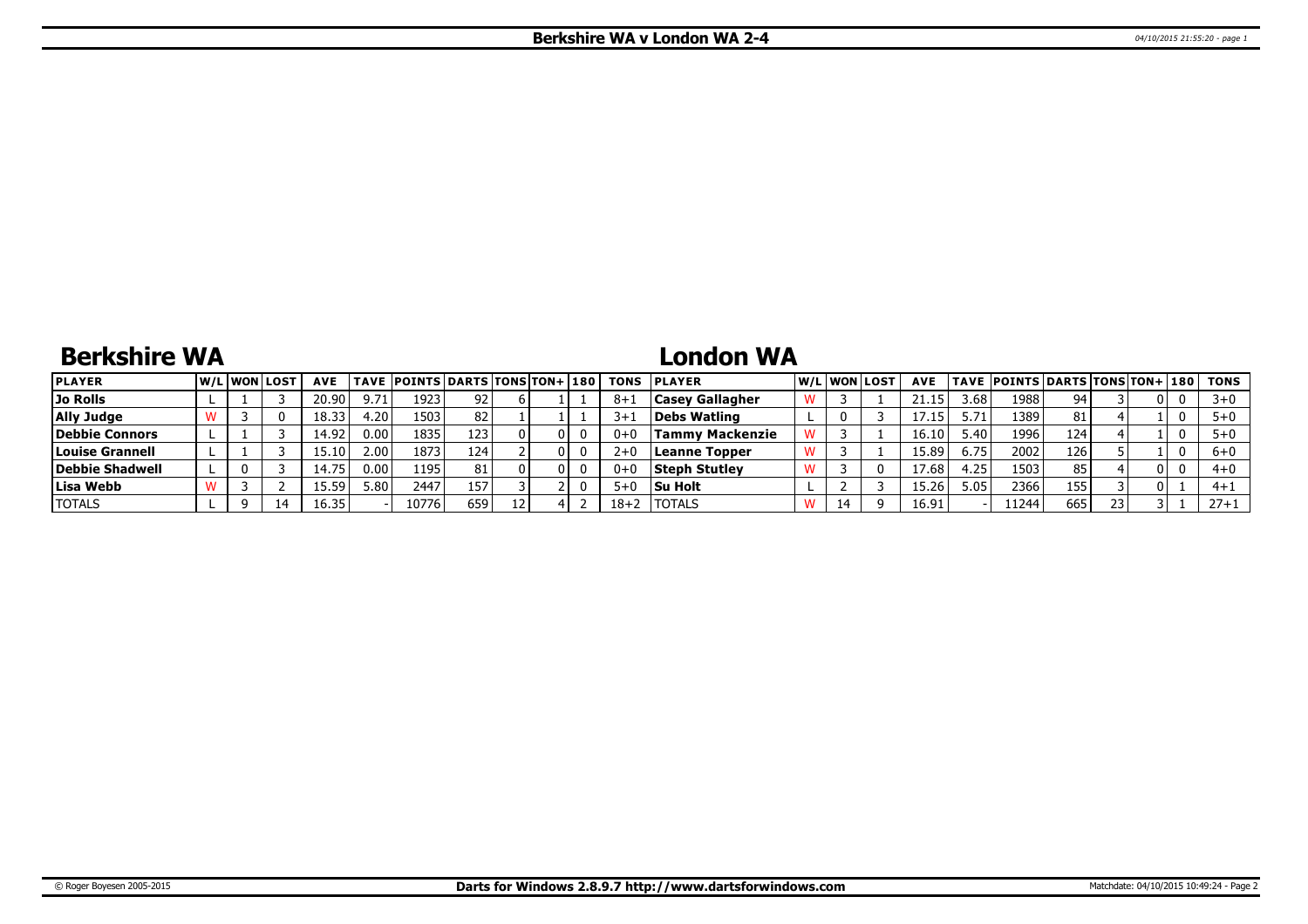# **Berkshire WA**

## **London WA**

| <b>PLAYER</b>   |  | <b>W/LIWONILOST</b> | <b>AVE</b> |      | TAVE  POINTS   DARTS   TONS   TON+   180 |     |  |          | <b>TONS PLAYER</b>     |    | W/L WON LOST | <b>AVE</b> |        | TAVE  POINTS DARTS TONS TON+ 180 |     |    |     | TONS     |
|-----------------|--|---------------------|------------|------|------------------------------------------|-----|--|----------|------------------------|----|--------------|------------|--------|----------------------------------|-----|----|-----|----------|
| Jo Rolls        |  |                     | 20.90      | 9.71 | 1923                                     | 92  |  | 8+1      | <b>Casey Gallagher</b> |    |              |            | 3.68   | 19881                            | 94  |    | υı  | -3411    |
| Ally Judge      |  |                     | 18.33      | 1.20 | 1503                                     | 82  |  | $3+1$    | Debs Watling           |    |              |            | 5.71   | 13891                            | 81  |    |     |          |
| Debbie Connors  |  |                     | 14.92      | 0.00 | 1835                                     | 123 |  | $0+0$    | Tammy Mackenzie        |    |              | 16.10      | ا 40.د | 1996                             | 124 |    |     |          |
| Louise Grannell |  |                     |            | 2.00 | 1873                                     | 124 |  | $2+0$    | Leanne Topper          |    |              | 15.89      | 6.75   | 2002                             | 126 |    |     | $6 + 0$  |
| Debbie Shadwell |  |                     | 75<br>ا 4  | 0.00 | 1195                                     | 81  |  | $0 + 0$  | <b>Steph Stutley</b>   |    |              | 17.68      | l.25   | 1503                             | 85  |    | D L | $4 + 0$  |
| Lisa Webb       |  |                     | 15.59      | 5.80 | 2447                                     | 157 |  | $5 + C$  | <b>Su Holt</b>         |    |              | 15.26      | 5.05   | 2366                             | 155 |    | 01. | $4 + 1$  |
| <b>TOTALS</b>   |  | 14                  | 16.35      |      | 10776                                    | 659 |  | $18 + 2$ | <b>ITOTALS</b>         | 14 |              | 16.91      |        | 11244                            | 665 | 23 |     | $27 + 1$ |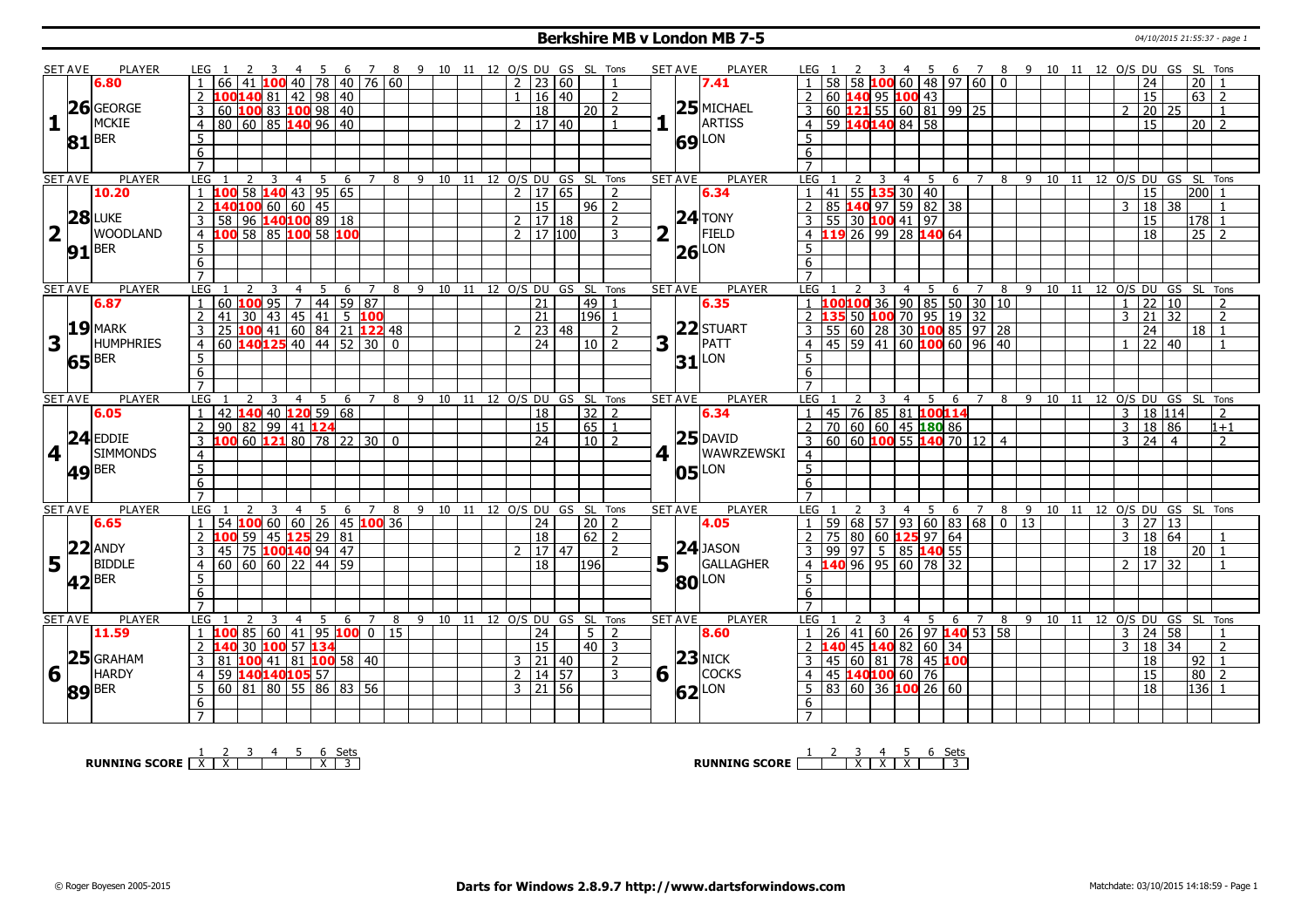#### **Berkshire MB v London MB 7-5 1998 120 120 121:55:37** - page 1

|   | <b>SET AVE</b> |                     |                                                                                                                                                                                                                                                                                                                                                                                                                                                                                                                                                                                                                                                                                                                                                                                                                                                                                                                                                                                                                                                                                                                                                                                                                                                                                                                                                                                                                                                                                                                                                                                                                                                                                                                                                                                                                                                                                                                                                                                                                                                                                                                                                                                                                                                                                                                                                |                          |   |                |   |    |             |               |  |  |                |                 |               |                              |                |   |                |                           |                 |    |                 |   |                |                                         |   |                                                 |   |   |       |    |                      |                     |          |                |
|---|----------------|---------------------|------------------------------------------------------------------------------------------------------------------------------------------------------------------------------------------------------------------------------------------------------------------------------------------------------------------------------------------------------------------------------------------------------------------------------------------------------------------------------------------------------------------------------------------------------------------------------------------------------------------------------------------------------------------------------------------------------------------------------------------------------------------------------------------------------------------------------------------------------------------------------------------------------------------------------------------------------------------------------------------------------------------------------------------------------------------------------------------------------------------------------------------------------------------------------------------------------------------------------------------------------------------------------------------------------------------------------------------------------------------------------------------------------------------------------------------------------------------------------------------------------------------------------------------------------------------------------------------------------------------------------------------------------------------------------------------------------------------------------------------------------------------------------------------------------------------------------------------------------------------------------------------------------------------------------------------------------------------------------------------------------------------------------------------------------------------------------------------------------------------------------------------------------------------------------------------------------------------------------------------------------------------------------------------------------------------------------------------------|--------------------------|---|----------------|---|----|-------------|---------------|--|--|----------------|-----------------|---------------|------------------------------|----------------|---|----------------|---------------------------|-----------------|----|-----------------|---|----------------|-----------------------------------------|---|-------------------------------------------------|---|---|-------|----|----------------------|---------------------|----------|----------------|
|   |                | 6.80                | <b>PLAYER</b><br>7 8 9 10 11 12 O/S DU GS SL Tons<br><b>SET AVE</b><br>PLAYER<br>8 9 10 11 12 O/S DU GS SL Tons<br>LEG 1<br>LEG 1<br>5<br>6 7<br>- 5<br>- 6<br><sup>2</sup><br>3<br>-4<br>78 40 76 60<br>58 100 60 48 97 60<br>40<br>$\overline{0}$<br> 20 <br>66<br>$2^{\circ}$<br> 23 60<br>24<br>7.41<br>100140 81 42 98 40<br>16 40<br>60 140 95 100 43<br>$\overline{15}$<br>63 2<br>2<br>$\mathcal{L}$<br>2<br>$\mathbf{1}$<br>$25$ MICHAEL<br>100 83 100 98 40<br>60 121 55 60 81 99 25<br>$\overline{3}$<br>60<br>18<br>20 2<br>$\overline{3}$<br>20 25<br>$\mathcal{P}$<br>$1\Gamma$<br>ARTISS<br>80 60 85 140 96 40<br>59 140140 84 58<br>2   17   40<br>$20\overline{2}$<br>$\overline{4}$<br>15<br>$\overline{4}$<br>$\mathbf{1}$<br>$5\phantom{.0}$<br>-5<br>69 LON<br>6<br>6<br>$\overline{7}$<br><b>PLAYER</b><br><b>LEG</b><br>8 9 10 11 12 0/S DU GS SL Tons<br><b>SET AVE</b><br>PLAYER<br>LEG <sub>1</sub><br>5<br>7 8 9 10 11 12 0/S DU GS SL Tons<br>3<br>$\overline{4}$<br>5<br>6<br>$\overline{7}$<br>$\overline{3}$<br>$\overline{4}$<br>6<br><mark>100</mark> 58 <b>140</b> 43 95 65<br>$\frac{1}{2}$ 17 65<br>  41   55 <b>135</b> 30   40<br>15<br>200<br>1<br>2<br>6.34<br>$\mathbf{1}$<br>40100 60 60 45<br>$\overline{2}$<br>85 140 97 59 82 38<br>15<br>$96$ 2<br>2<br>3   18  <br>38<br>$24$ TONY<br>58 96 140100 89 18<br>55 30 100 41 97<br>$\mathbf{3}$<br>17 18<br>$\overline{3}$<br>15<br>l178l 1<br>$\overline{2}$<br>$\overline{2}$<br>FIELD<br>100 58 85 100 58 100<br><b>119</b> 26 99 28 <b>140</b> 64<br>2 17 100<br>$\overline{18}$<br>$\overline{25}$<br>$\overline{2}$<br>$\overline{4}$<br>3<br>4<br>$5\overline{)}$<br>5<br>$26$ LON<br>$\overline{6}$<br>6<br>$\overline{7}$<br>$\overline{7}$<br><b>PLAYER</b><br><b>LEG</b><br>9 10 11 12 O/S DU GS SL Tons<br><b>SET AVE</b><br><b>PLAYER</b><br>LEG<br>$\overline{5}$<br>5<br>8<br>3<br>$\overline{4}$<br>6<br>$7\overline{ }$<br>8<br>9 10<br>11<br>12 O/S DU GS SL Tons<br>$\overline{4}$<br>-6<br>7<br>$44 \mid 59 \mid 87$<br>60 100 95 7<br>21<br> 22 10<br>49<br>$\overline{2}$<br>$\overline{1}$<br>6.35<br>$\mathbf{1}$<br>41<br>30 43 45 41 5 100<br>100 41 60 84 21 122 48<br> 196 1<br>$\overline{2}$<br>21<br>$3 \mid 21 \mid 32$<br>$\overline{2}$<br>22 STUART<br> 23 48<br>3<br>25<br>24<br>$18$   1<br>2<br>$\mathcal{P}$ |                          |   |                |   |    |             |               |  |  |                |                 |               |                              |                |   |                |                           |                 |    |                 |   |                |                                         |   |                                                 |   |   |       |    |                      |                     |          |                |
|   |                |                     |                                                                                                                                                                                                                                                                                                                                                                                                                                                                                                                                                                                                                                                                                                                                                                                                                                                                                                                                                                                                                                                                                                                                                                                                                                                                                                                                                                                                                                                                                                                                                                                                                                                                                                                                                                                                                                                                                                                                                                                                                                                                                                                                                                                                                                                                                                                                                |                          |   |                |   |    |             |               |  |  |                |                 |               |                              |                |   |                |                           |                 |    |                 |   |                |                                         |   |                                                 |   |   |       |    |                      |                     |          |                |
|   |                | $26$ GEORGE         | <u>1 100100 36 90 85 50 30 10</u><br>2 135 50 100 70 95 19 32<br>3 55 60 28 30 100 85 97 28<br>4 45 59 41 60 100 60 96 40<br>3<br>PATT<br>$60$ 140125 40 44 52 30 0<br>$\overline{24}$<br>$10\sqrt{2}$<br>  22   40<br>$\overline{4}$                                                                                                                                                                                                                                                                                                                                                                                                                                                                                                                                                                                                                                                                                                                                                                                                                                                                                                                                                                                                                                                                                                                                                                                                                                                                                                                                                                                                                                                                                                                                                                                                                                                                                                                                                                                                                                                                                                                                                                                                                                                                                                          |                          |   |                |   |    |             |               |  |  |                |                 |               |                              |                |   |                |                           |                 |    |                 |   |                |                                         |   |                                                 |   |   |       |    |                      |                     |          |                |
|   |                | MCKIE               |                                                                                                                                                                                                                                                                                                                                                                                                                                                                                                                                                                                                                                                                                                                                                                                                                                                                                                                                                                                                                                                                                                                                                                                                                                                                                                                                                                                                                                                                                                                                                                                                                                                                                                                                                                                                                                                                                                                                                                                                                                                                                                                                                                                                                                                                                                                                                |                          |   |                |   |    |             |               |  |  |                |                 |               |                              |                |   |                |                           |                 |    |                 |   |                |                                         |   |                                                 |   |   |       |    |                      |                     |          |                |
| 1 |                |                     |                                                                                                                                                                                                                                                                                                                                                                                                                                                                                                                                                                                                                                                                                                                                                                                                                                                                                                                                                                                                                                                                                                                                                                                                                                                                                                                                                                                                                                                                                                                                                                                                                                                                                                                                                                                                                                                                                                                                                                                                                                                                                                                                                                                                                                                                                                                                                |                          |   |                |   |    |             |               |  |  |                |                 |               |                              |                |   |                |                           |                 |    |                 |   |                |                                         |   |                                                 |   |   |       |    |                      |                     |          |                |
|   | 81             | <b>BER</b>          | 5                                                                                                                                                                                                                                                                                                                                                                                                                                                                                                                                                                                                                                                                                                                                                                                                                                                                                                                                                                                                                                                                                                                                                                                                                                                                                                                                                                                                                                                                                                                                                                                                                                                                                                                                                                                                                                                                                                                                                                                                                                                                                                                                                                                                                                                                                                                                              |                          |   |                |   |    |             |               |  |  |                |                 |               |                              |                |   |                |                           |                 |    |                 |   |                |                                         |   |                                                 |   |   |       |    |                      |                     |          |                |
|   |                |                     |                                                                                                                                                                                                                                                                                                                                                                                                                                                                                                                                                                                                                                                                                                                                                                                                                                                                                                                                                                                                                                                                                                                                                                                                                                                                                                                                                                                                                                                                                                                                                                                                                                                                                                                                                                                                                                                                                                                                                                                                                                                                                                                                                                                                                                                                                                                                                |                          |   |                |   |    |             |               |  |  |                |                 |               |                              |                |   |                |                           |                 |    |                 |   |                |                                         |   |                                                 |   |   |       |    |                      |                     |          |                |
|   |                |                     |                                                                                                                                                                                                                                                                                                                                                                                                                                                                                                                                                                                                                                                                                                                                                                                                                                                                                                                                                                                                                                                                                                                                                                                                                                                                                                                                                                                                                                                                                                                                                                                                                                                                                                                                                                                                                                                                                                                                                                                                                                                                                                                                                                                                                                                                                                                                                |                          |   |                |   |    |             |               |  |  |                |                 |               |                              |                |   |                |                           |                 |    |                 |   |                |                                         |   |                                                 |   |   |       |    |                      |                     |          |                |
|   | <b>SET AVE</b> |                     |                                                                                                                                                                                                                                                                                                                                                                                                                                                                                                                                                                                                                                                                                                                                                                                                                                                                                                                                                                                                                                                                                                                                                                                                                                                                                                                                                                                                                                                                                                                                                                                                                                                                                                                                                                                                                                                                                                                                                                                                                                                                                                                                                                                                                                                                                                                                                |                          |   |                |   |    |             |               |  |  |                |                 |               |                              |                |   |                |                           |                 |    |                 |   |                |                                         |   |                                                 |   |   |       |    |                      |                     |          |                |
|   |                | 10.20               |                                                                                                                                                                                                                                                                                                                                                                                                                                                                                                                                                                                                                                                                                                                                                                                                                                                                                                                                                                                                                                                                                                                                                                                                                                                                                                                                                                                                                                                                                                                                                                                                                                                                                                                                                                                                                                                                                                                                                                                                                                                                                                                                                                                                                                                                                                                                                |                          |   |                |   |    |             |               |  |  |                |                 |               |                              |                |   |                |                           |                 |    |                 |   |                |                                         |   |                                                 |   |   |       |    |                      |                     |          |                |
|   |                |                     |                                                                                                                                                                                                                                                                                                                                                                                                                                                                                                                                                                                                                                                                                                                                                                                                                                                                                                                                                                                                                                                                                                                                                                                                                                                                                                                                                                                                                                                                                                                                                                                                                                                                                                                                                                                                                                                                                                                                                                                                                                                                                                                                                                                                                                                                                                                                                |                          |   |                |   |    |             |               |  |  |                |                 |               |                              |                |   |                |                           |                 |    |                 |   |                |                                         |   |                                                 |   |   |       |    |                      |                     |          |                |
|   |                | <b>28 LUKE</b>      |                                                                                                                                                                                                                                                                                                                                                                                                                                                                                                                                                                                                                                                                                                                                                                                                                                                                                                                                                                                                                                                                                                                                                                                                                                                                                                                                                                                                                                                                                                                                                                                                                                                                                                                                                                                                                                                                                                                                                                                                                                                                                                                                                                                                                                                                                                                                                |                          |   |                |   |    |             |               |  |  |                |                 |               |                              |                |   |                |                           |                 |    |                 |   |                |                                         |   |                                                 |   |   |       |    |                      |                     |          |                |
|   | $\mathbf{L}$   | <b>WOODLAND</b>     |                                                                                                                                                                                                                                                                                                                                                                                                                                                                                                                                                                                                                                                                                                                                                                                                                                                                                                                                                                                                                                                                                                                                                                                                                                                                                                                                                                                                                                                                                                                                                                                                                                                                                                                                                                                                                                                                                                                                                                                                                                                                                                                                                                                                                                                                                                                                                |                          |   |                |   |    |             |               |  |  |                |                 |               |                              |                |   |                |                           |                 |    |                 |   |                |                                         |   |                                                 |   |   |       |    |                      |                     |          |                |
|   |                | $91$ <sup>BER</sup> |                                                                                                                                                                                                                                                                                                                                                                                                                                                                                                                                                                                                                                                                                                                                                                                                                                                                                                                                                                                                                                                                                                                                                                                                                                                                                                                                                                                                                                                                                                                                                                                                                                                                                                                                                                                                                                                                                                                                                                                                                                                                                                                                                                                                                                                                                                                                                |                          |   |                |   |    |             |               |  |  |                |                 |               |                              |                |   |                |                           |                 |    |                 |   |                |                                         |   |                                                 |   |   |       |    |                      |                     |          |                |
|   |                |                     |                                                                                                                                                                                                                                                                                                                                                                                                                                                                                                                                                                                                                                                                                                                                                                                                                                                                                                                                                                                                                                                                                                                                                                                                                                                                                                                                                                                                                                                                                                                                                                                                                                                                                                                                                                                                                                                                                                                                                                                                                                                                                                                                                                                                                                                                                                                                                |                          |   |                |   |    |             |               |  |  |                |                 |               |                              |                |   |                |                           |                 |    |                 |   |                |                                         |   |                                                 |   |   |       |    |                      |                     |          |                |
|   |                |                     |                                                                                                                                                                                                                                                                                                                                                                                                                                                                                                                                                                                                                                                                                                                                                                                                                                                                                                                                                                                                                                                                                                                                                                                                                                                                                                                                                                                                                                                                                                                                                                                                                                                                                                                                                                                                                                                                                                                                                                                                                                                                                                                                                                                                                                                                                                                                                |                          |   |                |   |    |             |               |  |  |                |                 |               |                              |                |   |                |                           |                 |    |                 |   |                |                                         |   |                                                 |   |   |       |    |                      |                     |          |                |
|   | <b>SET AVE</b> |                     |                                                                                                                                                                                                                                                                                                                                                                                                                                                                                                                                                                                                                                                                                                                                                                                                                                                                                                                                                                                                                                                                                                                                                                                                                                                                                                                                                                                                                                                                                                                                                                                                                                                                                                                                                                                                                                                                                                                                                                                                                                                                                                                                                                                                                                                                                                                                                |                          |   |                |   |    |             |               |  |  |                |                 |               |                              |                |   |                |                           |                 |    |                 |   |                |                                         |   |                                                 |   |   |       |    |                      |                     |          |                |
|   |                | 6.87                |                                                                                                                                                                                                                                                                                                                                                                                                                                                                                                                                                                                                                                                                                                                                                                                                                                                                                                                                                                                                                                                                                                                                                                                                                                                                                                                                                                                                                                                                                                                                                                                                                                                                                                                                                                                                                                                                                                                                                                                                                                                                                                                                                                                                                                                                                                                                                |                          |   |                |   |    |             |               |  |  |                |                 |               |                              |                |   |                |                           |                 |    |                 |   |                |                                         |   |                                                 |   |   |       |    |                      |                     |          |                |
|   |                |                     |                                                                                                                                                                                                                                                                                                                                                                                                                                                                                                                                                                                                                                                                                                                                                                                                                                                                                                                                                                                                                                                                                                                                                                                                                                                                                                                                                                                                                                                                                                                                                                                                                                                                                                                                                                                                                                                                                                                                                                                                                                                                                                                                                                                                                                                                                                                                                |                          |   |                |   |    |             |               |  |  |                |                 |               |                              |                |   |                |                           |                 |    |                 |   |                |                                         |   |                                                 |   |   |       |    |                      |                     |          |                |
|   |                | $19$ MARK           | $\overline{5}$                                                                                                                                                                                                                                                                                                                                                                                                                                                                                                                                                                                                                                                                                                                                                                                                                                                                                                                                                                                                                                                                                                                                                                                                                                                                                                                                                                                                                                                                                                                                                                                                                                                                                                                                                                                                                                                                                                                                                                                                                                                                                                                                                                                                                                                                                                                                 |                          |   |                |   |    |             |               |  |  |                |                 |               |                              |                |   |                |                           |                 |    |                 |   |                |                                         |   |                                                 |   |   |       |    |                      |                     |          |                |
| 3 |                | <b>HUMPHRIES</b>    |                                                                                                                                                                                                                                                                                                                                                                                                                                                                                                                                                                                                                                                                                                                                                                                                                                                                                                                                                                                                                                                                                                                                                                                                                                                                                                                                                                                                                                                                                                                                                                                                                                                                                                                                                                                                                                                                                                                                                                                                                                                                                                                                                                                                                                                                                                                                                |                          |   |                |   |    |             |               |  |  |                |                 |               |                              |                |   |                |                           |                 |    |                 |   |                |                                         |   |                                                 |   |   |       |    |                      |                     |          |                |
|   |                |                     |                                                                                                                                                                                                                                                                                                                                                                                                                                                                                                                                                                                                                                                                                                                                                                                                                                                                                                                                                                                                                                                                                                                                                                                                                                                                                                                                                                                                                                                                                                                                                                                                                                                                                                                                                                                                                                                                                                                                                                                                                                                                                                                                                                                                                                                                                                                                                |                          |   |                |   |    |             |               |  |  |                |                 |               |                              |                |   |                |                           |                 |    |                 |   |                |                                         |   |                                                 |   |   |       |    |                      |                     |          |                |
|   |                | $ 65 $ BER          |                                                                                                                                                                                                                                                                                                                                                                                                                                                                                                                                                                                                                                                                                                                                                                                                                                                                                                                                                                                                                                                                                                                                                                                                                                                                                                                                                                                                                                                                                                                                                                                                                                                                                                                                                                                                                                                                                                                                                                                                                                                                                                                                                                                                                                                                                                                                                |                          |   |                |   |    |             |               |  |  |                |                 |               |                              |                |   |                |                           |                 |    |                 |   |                |                                         |   |                                                 |   |   |       |    |                      |                     |          |                |
|   |                |                     |                                                                                                                                                                                                                                                                                                                                                                                                                                                                                                                                                                                                                                                                                                                                                                                                                                                                                                                                                                                                                                                                                                                                                                                                                                                                                                                                                                                                                                                                                                                                                                                                                                                                                                                                                                                                                                                                                                                                                                                                                                                                                                                                                                                                                                                                                                                                                |                          |   |                |   |    |             |               |  |  |                |                 |               |                              |                |   |                |                           |                 |    |                 |   |                |                                         |   |                                                 |   |   |       |    |                      |                     |          |                |
|   |                | <b>PLAYER</b>       |                                                                                                                                                                                                                                                                                                                                                                                                                                                                                                                                                                                                                                                                                                                                                                                                                                                                                                                                                                                                                                                                                                                                                                                                                                                                                                                                                                                                                                                                                                                                                                                                                                                                                                                                                                                                                                                                                                                                                                                                                                                                                                                                                                                                                                                                                                                                                |                          |   |                |   |    |             |               |  |  |                |                 |               |                              |                |   |                |                           |                 |    |                 |   |                |                                         |   |                                                 |   |   |       |    |                      |                     |          |                |
|   |                |                     |                                                                                                                                                                                                                                                                                                                                                                                                                                                                                                                                                                                                                                                                                                                                                                                                                                                                                                                                                                                                                                                                                                                                                                                                                                                                                                                                                                                                                                                                                                                                                                                                                                                                                                                                                                                                                                                                                                                                                                                                                                                                                                                                                                                                                                                                                                                                                |                          |   |                |   |    |             |               |  |  |                |                 |               |                              |                |   |                |                           |                 |    |                 |   |                |                                         |   |                                                 |   |   |       |    |                      |                     |          |                |
|   | <b>SET AVE</b> |                     |                                                                                                                                                                                                                                                                                                                                                                                                                                                                                                                                                                                                                                                                                                                                                                                                                                                                                                                                                                                                                                                                                                                                                                                                                                                                                                                                                                                                                                                                                                                                                                                                                                                                                                                                                                                                                                                                                                                                                                                                                                                                                                                                                                                                                                                                                                                                                |                          |   |                |   |    |             |               |  |  |                |                 |               |                              |                |   |                |                           |                 |    |                 |   |                |                                         |   |                                                 |   |   |       |    |                      |                     |          |                |
|   |                | 6.05                | $\mathbf{1}$<br>42                                                                                                                                                                                                                                                                                                                                                                                                                                                                                                                                                                                                                                                                                                                                                                                                                                                                                                                                                                                                                                                                                                                                                                                                                                                                                                                                                                                                                                                                                                                                                                                                                                                                                                                                                                                                                                                                                                                                                                                                                                                                                                                                                                                                                                                                                                                             |                          |   |                |   |    |             |               |  |  |                |                 |               |                              |                |   |                |                           |                 |    |                 |   |                |                                         |   |                                                 |   |   |       |    |                      |                     |          |                |
|   |                |                     | $\overline{2}$                                                                                                                                                                                                                                                                                                                                                                                                                                                                                                                                                                                                                                                                                                                                                                                                                                                                                                                                                                                                                                                                                                                                                                                                                                                                                                                                                                                                                                                                                                                                                                                                                                                                                                                                                                                                                                                                                                                                                                                                                                                                                                                                                                                                                                                                                                                                 |                          |   |                |   |    |             |               |  |  |                |                 |               |                              |                |   |                |                           | 2               |    |                 |   |                |                                         |   |                                                 |   |   |       |    |                      |                     |          |                |
|   |                | $24$ EDDIE          | 3                                                                                                                                                                                                                                                                                                                                                                                                                                                                                                                                                                                                                                                                                                                                                                                                                                                                                                                                                                                                                                                                                                                                                                                                                                                                                                                                                                                                                                                                                                                                                                                                                                                                                                                                                                                                                                                                                                                                                                                                                                                                                                                                                                                                                                                                                                                                              |                          |   |                |   |    |             |               |  |  |                |                 |               |                              |                |   |                |                           | $\overline{3}$  |    |                 |   |                |                                         |   |                                                 |   |   |       |    |                      |                     |          | $\overline{2}$ |
|   | 4 1            | <b>SIMMONDS</b>     | $31$ <sup>LON</sup><br>6<br>6<br>$\overline{7}$<br><b>PLAYER</b><br>LEG<br><b>SET AVE</b><br>LEG<br>5<br>9<br>10<br>11 12 O/S DU GS SL Tons<br>3<br>4 5 6<br>12 O/S DU GS SL Tons<br>4<br>6<br>8<br>7<br>8<br>9<br>10<br>11<br>$140$ 40 120 59 68<br>45 76 85 81 <b>100114</b><br>70 60 60 45 <b>180</b> 86<br>60 60 <b>100</b> 55 <b>140</b> 70 12 4<br>$32 \mid 2$<br>3   18   114<br>18<br>6.34<br>$\overline{2}$<br>$90 82 99 41$ 124<br><sup>15</sup><br>$65 \mid 1$<br>3   18   86<br>$1 + 1$<br>$25$ DAVID<br>100 60 121 80 78 22 30 0<br>$\overline{24}$<br>$3 \mid 24 \mid 4$<br>$10$   2<br>$4 \mid$<br><b>WAWRZEWSKI</b><br>$\overline{4}$<br>$\overline{4}$                                                                                                                                                                                                                                                                                                                                                                                                                                                                                                                                                                                                                                                                                                                                                                                                                                                                                                                                                                                                                                                                                                                                                                                                                                                                                                                                                                                                                                                                                                                                                                                                                                                                        |                          |   |                |   |    |             |               |  |  |                |                 |               |                              |                |   |                |                           |                 |    |                 |   |                |                                         |   |                                                 |   |   |       |    |                      |                     |          |                |
|   |                |                     | $\overline{5}$                                                                                                                                                                                                                                                                                                                                                                                                                                                                                                                                                                                                                                                                                                                                                                                                                                                                                                                                                                                                                                                                                                                                                                                                                                                                                                                                                                                                                                                                                                                                                                                                                                                                                                                                                                                                                                                                                                                                                                                                                                                                                                                                                                                                                                                                                                                                 |                          |   |                |   |    |             |               |  |  |                |                 |               |                              |                |   |                |                           | 5               |    |                 |   |                |                                         |   |                                                 |   |   |       |    |                      |                     |          |                |
|   |                | $ 49 $ BER          | 6                                                                                                                                                                                                                                                                                                                                                                                                                                                                                                                                                                                                                                                                                                                                                                                                                                                                                                                                                                                                                                                                                                                                                                                                                                                                                                                                                                                                                                                                                                                                                                                                                                                                                                                                                                                                                                                                                                                                                                                                                                                                                                                                                                                                                                                                                                                                              |                          |   |                |   |    |             |               |  |  |                |                 |               |                              |                |   |                | $ 05 $ LON                | $6\overline{6}$ |    |                 |   |                |                                         |   |                                                 |   |   |       |    |                      |                     |          |                |
|   |                |                     | $\overline{7}$                                                                                                                                                                                                                                                                                                                                                                                                                                                                                                                                                                                                                                                                                                                                                                                                                                                                                                                                                                                                                                                                                                                                                                                                                                                                                                                                                                                                                                                                                                                                                                                                                                                                                                                                                                                                                                                                                                                                                                                                                                                                                                                                                                                                                                                                                                                                 |                          |   |                |   |    |             |               |  |  |                |                 |               |                              |                |   |                |                           | $\overline{7}$  |    |                 |   |                |                                         |   |                                                 |   |   |       |    |                      |                     |          |                |
|   | <b>SET AVE</b> | <b>PLAYER</b>       | <b>LEG</b>                                                                                                                                                                                                                                                                                                                                                                                                                                                                                                                                                                                                                                                                                                                                                                                                                                                                                                                                                                                                                                                                                                                                                                                                                                                                                                                                                                                                                                                                                                                                                                                                                                                                                                                                                                                                                                                                                                                                                                                                                                                                                                                                                                                                                                                                                                                                     |                          | 3 | $\overline{4}$ | 5 | -6 | 7           | 8             |  |  |                |                 |               | 9 10 11 12 0/S DU GS SL Tons |                |   | <b>SET AVE</b> | PLAYER                    | LEG             |    | 2               | 3 | 4              | - 5                                     | 6 | $\overline{7}$                                  | 8 | 9 | 10 11 |    | 12 O/S DU GS SL Tons |                     |          |                |
|   |                | 6.65                | $\overline{1}$<br>54                                                                                                                                                                                                                                                                                                                                                                                                                                                                                                                                                                                                                                                                                                                                                                                                                                                                                                                                                                                                                                                                                                                                                                                                                                                                                                                                                                                                                                                                                                                                                                                                                                                                                                                                                                                                                                                                                                                                                                                                                                                                                                                                                                                                                                                                                                                           | 100 60 60 26 45 100 36   |   |                |   |    |             |               |  |  |                | 24              |               | $20$   2                     |                |   |                | 4.05                      | $\mathbf{1}$    |    |                 |   |                |                                         |   | 59 68 57 93 60 83 68 0 13                       |   |   |       |    |                      | $3 \mid 27 \mid 13$ |          |                |
|   |                |                     | $\overline{2}$                                                                                                                                                                                                                                                                                                                                                                                                                                                                                                                                                                                                                                                                                                                                                                                                                                                                                                                                                                                                                                                                                                                                                                                                                                                                                                                                                                                                                                                                                                                                                                                                                                                                                                                                                                                                                                                                                                                                                                                                                                                                                                                                                                                                                                                                                                                                 | 59   45   125 29   81    |   |                |   |    |             |               |  |  |                | 18              |               | $62$   2                     |                |   |                |                           | $\overline{2}$  | 75 |                 |   |                | 80   60   <mark>125</mark>   97   64    |   |                                                 |   |   |       |    |                      | 3   18   64         |          |                |
|   |                |                     | $\overline{3}$<br>45 75 100140 94 47                                                                                                                                                                                                                                                                                                                                                                                                                                                                                                                                                                                                                                                                                                                                                                                                                                                                                                                                                                                                                                                                                                                                                                                                                                                                                                                                                                                                                                                                                                                                                                                                                                                                                                                                                                                                                                                                                                                                                                                                                                                                                                                                                                                                                                                                                                           |                          |   |                |   |    |             |               |  |  | $\overline{2}$ |                 | 17   47       |                              | 2              |   |                | $24$ JASON                | $\overline{3}$  |    |                 |   |                | 99   97   5   85   140   55             |   |                                                 |   |   |       |    |                      | 18                  | 20       | $\mathbf{1}$   |
|   |                | <b>BIDDLE</b>       | 60   60   60   22   44   59<br>$\overline{4}$                                                                                                                                                                                                                                                                                                                                                                                                                                                                                                                                                                                                                                                                                                                                                                                                                                                                                                                                                                                                                                                                                                                                                                                                                                                                                                                                                                                                                                                                                                                                                                                                                                                                                                                                                                                                                                                                                                                                                                                                                                                                                                                                                                                                                                                                                                  |                          |   |                |   |    |             |               |  |  |                | 18              |               | 196                          |                | 5 |                | GALLAGHER                 |                 |    |                 |   |                | 4 140 96 95 60 78 32                    |   |                                                 |   |   |       |    |                      | $2 \mid 17 \mid 32$ |          | $\overline{1}$ |
|   |                | $I_5$ $22$ ANDY     | $\overline{5}$                                                                                                                                                                                                                                                                                                                                                                                                                                                                                                                                                                                                                                                                                                                                                                                                                                                                                                                                                                                                                                                                                                                                                                                                                                                                                                                                                                                                                                                                                                                                                                                                                                                                                                                                                                                                                                                                                                                                                                                                                                                                                                                                                                                                                                                                                                                                 |                          |   |                |   |    |             |               |  |  |                |                 |               |                              |                |   |                |                           | 5               |    |                 |   |                |                                         |   |                                                 |   |   |       |    |                      |                     |          |                |
|   |                | $ 42 $ BER          | 6                                                                                                                                                                                                                                                                                                                                                                                                                                                                                                                                                                                                                                                                                                                                                                                                                                                                                                                                                                                                                                                                                                                                                                                                                                                                                                                                                                                                                                                                                                                                                                                                                                                                                                                                                                                                                                                                                                                                                                                                                                                                                                                                                                                                                                                                                                                                              |                          |   |                |   |    |             |               |  |  |                |                 |               |                              |                |   |                | <b>80 LON</b>             | 6               |    |                 |   |                |                                         |   |                                                 |   |   |       |    |                      |                     |          |                |
|   |                |                     | $\overline{7}$                                                                                                                                                                                                                                                                                                                                                                                                                                                                                                                                                                                                                                                                                                                                                                                                                                                                                                                                                                                                                                                                                                                                                                                                                                                                                                                                                                                                                                                                                                                                                                                                                                                                                                                                                                                                                                                                                                                                                                                                                                                                                                                                                                                                                                                                                                                                 |                          |   |                |   |    |             |               |  |  |                |                 |               |                              |                |   |                |                           | $\overline{7}$  |    |                 |   |                |                                         |   |                                                 |   |   |       |    |                      |                     |          |                |
|   | <b>SET AVE</b> | PLAYER              | <b>LEG</b>                                                                                                                                                                                                                                                                                                                                                                                                                                                                                                                                                                                                                                                                                                                                                                                                                                                                                                                                                                                                                                                                                                                                                                                                                                                                                                                                                                                                                                                                                                                                                                                                                                                                                                                                                                                                                                                                                                                                                                                                                                                                                                                                                                                                                                                                                                                                     | 2                        | 3 | $\overline{4}$ | 5 | 6  | $7^{\circ}$ | 8             |  |  |                |                 |               | 9 10 11 12 O/S DU GS SL Tons |                |   | <b>SET AVE</b> | <b>PLAYER</b>             | LEG 1           |    |                 | 3 | $\overline{4}$ | 5                                       | 6 | $\overline{7}$                                  | 8 | 9 | 10    | 11 | 12 O/S DU GS SL Tons |                     |          |                |
|   |                | 11.59               | -1                                                                                                                                                                                                                                                                                                                                                                                                                                                                                                                                                                                                                                                                                                                                                                                                                                                                                                                                                                                                                                                                                                                                                                                                                                                                                                                                                                                                                                                                                                                                                                                                                                                                                                                                                                                                                                                                                                                                                                                                                                                                                                                                                                                                                                                                                                                                             |                          |   |                |   |    |             | $95$ 100 0 15 |  |  |                | 24              |               | - 5 I                        | $\overline{2}$ |   |                | 8.60                      | -1              |    |                 |   |                |                                         |   |                                                 |   |   |       |    |                      | $3 \mid 24 \mid 58$ |          | $\overline{1}$ |
|   |                |                     | $\overline{2}$                                                                                                                                                                                                                                                                                                                                                                                                                                                                                                                                                                                                                                                                                                                                                                                                                                                                                                                                                                                                                                                                                                                                                                                                                                                                                                                                                                                                                                                                                                                                                                                                                                                                                                                                                                                                                                                                                                                                                                                                                                                                                                                                                                                                                                                                                                                                 | 85   60   41  <br>30 100 |   | 57 134         |   |    |             |               |  |  |                | $\overline{15}$ |               | $40 \mid 3$                  |                |   |                |                           | $\overline{2}$  |    |                 |   |                |                                         |   |                                                 |   |   |       |    |                      | $3 \mid 18 \mid 34$ |          | $\overline{2}$ |
|   | 25             | <b>GRAHAM</b>       | 3<br>81                                                                                                                                                                                                                                                                                                                                                                                                                                                                                                                                                                                                                                                                                                                                                                                                                                                                                                                                                                                                                                                                                                                                                                                                                                                                                                                                                                                                                                                                                                                                                                                                                                                                                                                                                                                                                                                                                                                                                                                                                                                                                                                                                                                                                                                                                                                                        | 100 41 81 100 58 40      |   |                |   |    |             |               |  |  |                |                 | $3 \ 21 \ 40$ |                              | 2              |   |                |                           | $\overline{3}$  |    |                 |   |                |                                         |   | 26 41 60 26 97 140 53 58<br>140 45 140 82 60 34 |   |   |       |    |                      | 18                  | 92 1     |                |
|   |                | <b>HARDY</b>        | 59<br>$\overline{4}$                                                                                                                                                                                                                                                                                                                                                                                                                                                                                                                                                                                                                                                                                                                                                                                                                                                                                                                                                                                                                                                                                                                                                                                                                                                                                                                                                                                                                                                                                                                                                                                                                                                                                                                                                                                                                                                                                                                                                                                                                                                                                                                                                                                                                                                                                                                           |                          |   |                |   |    |             |               |  |  | $2^{\circ}$    |                 | 14 57         |                              | 3              |   |                | $23$ NICK<br><b>COCKS</b> | $\overline{4}$  |    |                 |   |                | 45   60   81   78   45 <mark>100</mark> |   |                                                 |   |   |       |    |                      | 15                  |          |                |
| 6 |                |                     | 5                                                                                                                                                                                                                                                                                                                                                                                                                                                                                                                                                                                                                                                                                                                                                                                                                                                                                                                                                                                                                                                                                                                                                                                                                                                                                                                                                                                                                                                                                                                                                                                                                                                                                                                                                                                                                                                                                                                                                                                                                                                                                                                                                                                                                                                                                                                                              | 140140105 57             |   |                |   |    |             |               |  |  |                |                 |               |                              |                |   | 6 1            |                           | 5               |    | 45 140100 60 76 |   |                |                                         |   |                                                 |   |   |       |    |                      | 18                  | $80$   2 |                |
|   |                | $ 89 $ BER          | 60 81 80 55 86 83 56                                                                                                                                                                                                                                                                                                                                                                                                                                                                                                                                                                                                                                                                                                                                                                                                                                                                                                                                                                                                                                                                                                                                                                                                                                                                                                                                                                                                                                                                                                                                                                                                                                                                                                                                                                                                                                                                                                                                                                                                                                                                                                                                                                                                                                                                                                                           |                          |   |                |   |    |             |               |  |  |                |                 | 3   21   56   |                              |                |   |                | $62$ <sup>LON</sup>       |                 |    |                 |   |                | 83 60 36 100 26 60                      |   |                                                 |   |   |       |    |                      |                     | 136 1    |                |
|   |                |                     | 6<br>$\overline{7}$                                                                                                                                                                                                                                                                                                                                                                                                                                                                                                                                                                                                                                                                                                                                                                                                                                                                                                                                                                                                                                                                                                                                                                                                                                                                                                                                                                                                                                                                                                                                                                                                                                                                                                                                                                                                                                                                                                                                                                                                                                                                                                                                                                                                                                                                                                                            |                          |   |                |   |    |             |               |  |  |                |                 |               |                              |                |   |                |                           | -6              |    |                 |   |                |                                         |   |                                                 |   |   |       |    |                      |                     |          |                |

**RUNNING SCORE**  $\begin{array}{|c|c|c|c|c|}\n\hline\n\textbf{1} & \textbf{2} & \textbf{3} & \textbf{4} & \textbf{5} & \textbf{6} & \textbf{Sets} \\
\hline\n\textbf{5} & \textbf{5} & \textbf{6} & \textbf{7} & \textbf{8} & \textbf{8} & \textbf{8} \\
\hline\n\textbf{6} & \textbf{7} & \textbf{8} & \textbf{8} & \textbf{8} & \textbf{8} & \textbf{8} \\
\hline\n\textbf{7} & \textbf{8} & \textbf{8} & \textbf$ 

**RUNNING SCORE** 1 2 3 X 4 X 5 X 6 Sets 3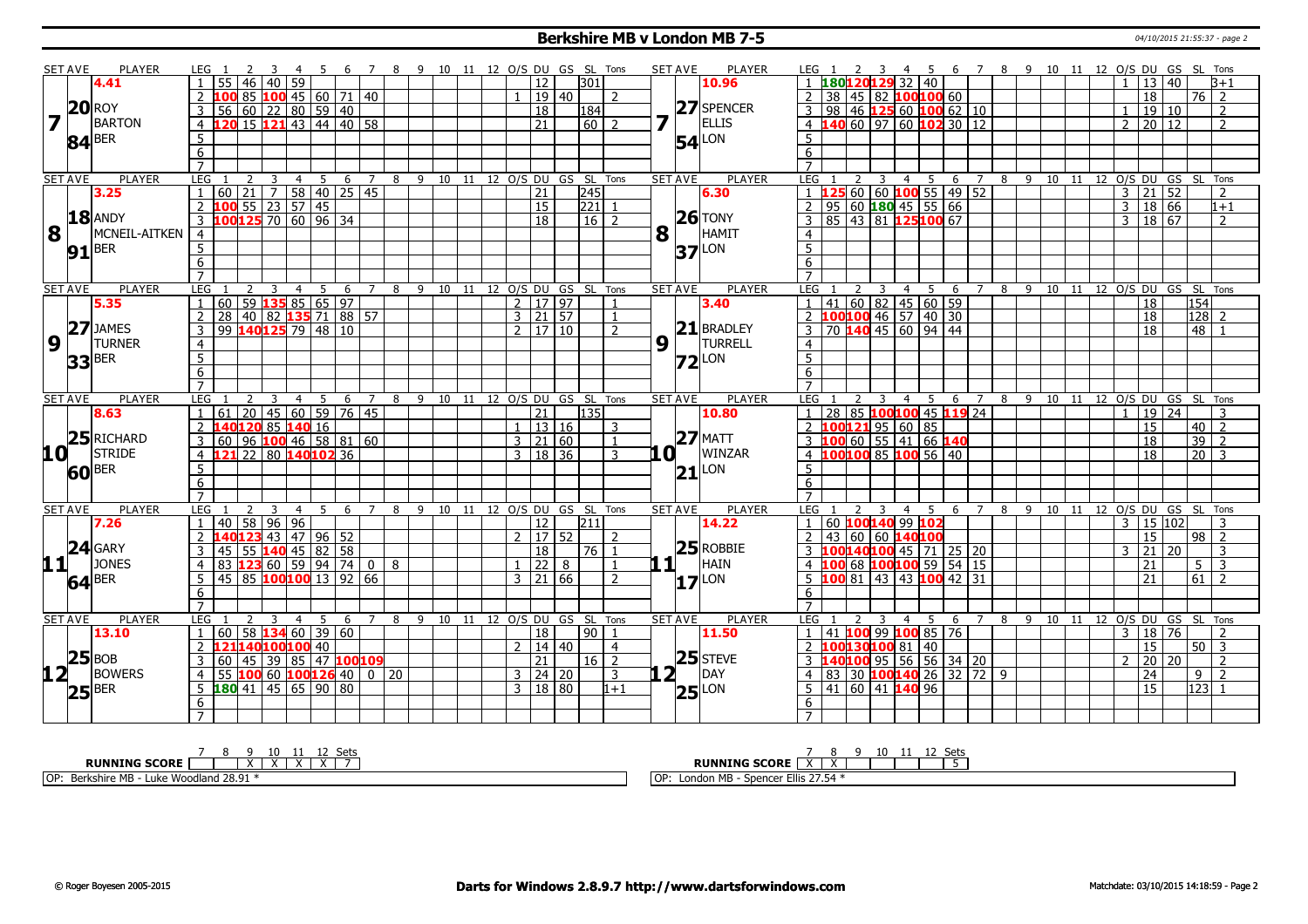#### **Berkshire MB v London MB 7-5** 04/10/2015 21:55:37 - page 2

|                   | <b>SET AVE</b>      | <b>PLAYER</b>                                    | LEG 1                   |                                        |                |                              |    | - 6                        |                | -8                                     |           |       |               |                     |       |                              | 9 10 11 12 O/S DU GS SL Tons         | <b>SET AVE</b> |                           | <b>PLAYER</b>       | LEG 1            |    |              | -3 | - 4                                  | -5             | - 6                                                                   |                              |   |   |  | 7 8 9 10 11 12 O/S DU GS SL Tons     |                     |                 |                  |                  |
|-------------------|---------------------|--------------------------------------------------|-------------------------|----------------------------------------|----------------|------------------------------|----|----------------------------|----------------|----------------------------------------|-----------|-------|---------------|---------------------|-------|------------------------------|--------------------------------------|----------------|---------------------------|---------------------|------------------|----|--------------|----|--------------------------------------|----------------|-----------------------------------------------------------------------|------------------------------|---|---|--|--------------------------------------|---------------------|-----------------|------------------|------------------|
|                   |                     | 4.41                                             |                         | 46                                     | 40             | 59                           |    |                            |                |                                        |           |       |               | 12 <sup>1</sup>     |       | 301                          |                                      |                |                           | 10.96               |                  |    | 180120129    |    |                                      | 32 40          |                                                                       |                              |   |   |  |                                      |                     | 13   40         |                  | $3+1$            |
|                   |                     |                                                  |                         |                                        |                |                              |    | 85 100 45 60 71 40         |                |                                        |           |       |               | 19 40               |       |                              | $\overline{z}$                       |                |                           |                     | $\overline{2}$   | 38 |              |    |                                      |                | 45   82   100 100 60                                                  |                              |   |   |  |                                      |                     | 18              | 76   2           |                  |
|                   |                     | $20$ ROY                                         | $\overline{3}$          | 56                                     |                |                              |    | $60$   22   80   59   40   |                |                                        |           |       |               | 18                  |       | 184                          |                                      |                |                           | 27 SPENCER          | $\mathbf{3}$     | 98 |              |    |                                      |                | 46   125 60   100 62   10                                             |                              |   |   |  |                                      | $\mathbf{1}$        | 19 10           |                  | 2                |
| $\overline{7}$    |                     | BARTON                                           |                         | 4 120 15 121 43 44 40 58               |                |                              |    |                            |                |                                        |           |       |               | 21                  |       | 60   2                       |                                      |                | $\mathbf{1}_{\mathbf{1}}$ | ELLIS               |                  |    |              |    |                                      |                | 4 $140$ 60 97 60 102 30 12                                            |                              |   |   |  |                                      | $2 \mid 20 \mid 12$ |                 |                  | $\mathcal{P}$    |
|                   |                     |                                                  | 5                       |                                        |                |                              |    |                            |                |                                        |           |       |               |                     |       |                              |                                      |                |                           |                     | $5\overline{)}$  |    |              |    |                                      |                |                                                                       |                              |   |   |  |                                      |                     |                 |                  |                  |
|                   |                     | $84$ <sup>BER</sup>                              | 6                       |                                        |                |                              |    |                            |                |                                        |           |       |               |                     |       |                              |                                      |                |                           | <b>54</b> LON       | 6                |    |              |    |                                      |                |                                                                       |                              |   |   |  |                                      |                     |                 |                  |                  |
|                   |                     |                                                  | $\overline{7}$          |                                        |                |                              |    |                            |                |                                        |           |       |               |                     |       |                              |                                      |                |                           |                     | $\overline{7}$   |    |              |    |                                      |                |                                                                       |                              |   |   |  |                                      |                     |                 |                  |                  |
|                   | <b>SET AVE</b>      | <b>PLAYER</b>                                    | LEG                     |                                        | $\overline{3}$ | $\overline{4}$               |    |                            |                |                                        |           |       |               |                     |       |                              | 5 6 7 8 9 10 11 12 O/S DU GS SL Tons | <b>SET AVE</b> |                           | <b>PLAYER</b>       | LEG <sub>1</sub> |    | 2            | 3  | $\overline{4}$                       | 5              |                                                                       |                              |   |   |  | 6 7 8 9 10 11 12 O/S DU GS SL Tons   |                     |                 |                  |                  |
|                   |                     | 3.25                                             | $\mathbf{1}$            | $60$   21   7   58   40   25   45      |                |                              |    |                            |                |                                        |           |       |               | $\overline{21}$     |       | $\overline{245}$             |                                      |                |                           | 6.30                | $1 \, 125$       |    |              |    |                                      |                |                                                                       | 60 60 100 55 49 52           |   |   |  |                                      | 3   21   52         |                 |                  | 2                |
|                   |                     |                                                  | $\overline{2}$          | 100                                    |                | $55 \mid 23 \mid 57 \mid 45$ |    |                            |                |                                        |           |       |               | 15                  |       | 221 1                        |                                      |                |                           |                     | $\overline{2}$   | 95 |              |    |                                      |                | $ 60 $ 180 45 55 66                                                   |                              |   |   |  |                                      | $3 \t18 \t66$       |                 |                  | $\overline{1+1}$ |
|                   |                     | <b>18 ANDY</b>                                   | $\overline{3}$          | 100125 70 60 96 34                     |                |                              |    |                            |                |                                        |           |       |               | 18                  |       | $16$   2                     |                                      |                |                           | $26$ TONY           | $\overline{3}$   | 85 |              |    |                                      |                | $143$ 81 125100 67                                                    |                              |   |   |  |                                      | 3 18 67             |                 |                  | $\overline{2}$   |
| 8                 |                     | MCNEIL-AITKEN                                    | $\overline{4}$          |                                        |                |                              |    |                            |                |                                        |           |       |               |                     |       |                              |                                      | 8              | H.                        | HAMIT               |                  |    |              |    |                                      |                |                                                                       |                              |   |   |  |                                      |                     |                 |                  |                  |
|                   |                     |                                                  |                         |                                        |                |                              |    |                            |                |                                        |           |       |               |                     |       |                              |                                      |                |                           |                     | 4                |    |              |    |                                      |                |                                                                       |                              |   |   |  |                                      |                     |                 |                  |                  |
|                   |                     | $91$ <sup>BER</sup>                              | $\overline{5}$          |                                        |                |                              |    |                            |                |                                        |           |       |               |                     |       |                              |                                      |                |                           | $37$ <sup>LON</sup> | $\overline{5}$   |    |              |    |                                      |                |                                                                       |                              |   |   |  |                                      |                     |                 |                  |                  |
|                   |                     |                                                  | $6\overline{6}$         |                                        |                |                              |    |                            |                |                                        |           |       |               |                     |       |                              |                                      |                |                           |                     | $6\overline{6}$  |    |              |    |                                      |                |                                                                       |                              |   |   |  |                                      |                     |                 |                  |                  |
|                   |                     |                                                  | $\overline{7}$          |                                        |                |                              |    |                            |                |                                        |           |       |               |                     |       |                              |                                      |                |                           |                     | $\overline{7}$   |    |              |    |                                      |                |                                                                       |                              |   |   |  |                                      |                     |                 |                  |                  |
|                   | <b>SET AVE</b>      | <b>PLAYER</b>                                    | LEG<br>$\overline{1}$   |                                        | $\overline{3}$ | $\overline{4}$               |    | 5 6 7<br>$59$ 135 85 65 97 |                |                                        | 8 9 10 11 |       |               | 2   17   97         |       | 12 O/S DU GS SL Tons         |                                      | <b>SET AVE</b> |                           | PLAYER              | LEG              | 41 |              | 3  | $\overline{4}$                       | 5 <sub>5</sub> | 6<br>$\left  \frac{60}{82} \right $ 45 $\left  \frac{60}{59} \right $ | 7                            |   |   |  | 8 9 10 11 12 0/S DU GS SL Tons       |                     |                 | 154              |                  |
|                   |                     | 5.35                                             |                         | 60 <sub>1</sub>                        |                |                              |    |                            |                |                                        |           |       |               |                     |       |                              |                                      |                |                           | 3.40                |                  |    |              |    |                                      |                |                                                                       |                              |   |   |  |                                      |                     | 18              |                  |                  |
|                   |                     | $ 27 $ JAMES                                     | $\overline{2}$          | 28 40 82 135 71 88 57                  |                |                              |    |                            |                |                                        |           |       |               | $3 \mid 21 \mid 57$ |       |                              | $\overline{1}$                       |                |                           | $21$ BRADLEY        |                  |    |              |    |                                      |                | 2 100100 46 57 40 30                                                  |                              |   |   |  |                                      |                     | 18              | 128              | $\overline{2}$   |
|                   |                     |                                                  | $\overline{\mathbf{3}}$ | 99 140 125 79 48 10                    |                |                              |    |                            |                |                                        |           |       |               | $2 \mid 17 \mid 10$ |       |                              | $\overline{z}$                       |                |                           | TURRELL             | 3                |    |              |    |                                      |                | 70 140 45 60 94 44                                                    |                              |   |   |  |                                      |                     | 18              | 48               | $\mathbf{1}$     |
| $\overline{9}$    |                     | <b>TURNER</b>                                    | $\overline{4}$          |                                        |                |                              |    |                            |                |                                        |           |       |               |                     |       |                              |                                      | 9              |                           |                     | $\overline{4}$   |    |              |    |                                      |                |                                                                       |                              |   |   |  |                                      |                     |                 |                  |                  |
|                   | 33                  | <b>BER</b>                                       | $\overline{5}$          |                                        |                |                              |    |                            |                |                                        |           |       |               |                     |       |                              |                                      |                |                           | $Z2$ LON            | $\overline{5}$   |    |              |    |                                      |                |                                                                       |                              |   |   |  |                                      |                     |                 |                  |                  |
|                   |                     |                                                  | 6                       |                                        |                |                              |    |                            |                |                                        |           |       |               |                     |       |                              |                                      |                |                           |                     | $6\overline{6}$  |    |              |    |                                      |                |                                                                       |                              |   |   |  |                                      |                     |                 |                  |                  |
|                   |                     |                                                  | $\overline{7}$          |                                        |                |                              |    |                            |                |                                        |           |       |               |                     |       |                              |                                      |                |                           |                     | $\overline{7}$   |    |              |    |                                      |                |                                                                       |                              |   |   |  |                                      |                     |                 |                  |                  |
|                   | <b>SET AVE</b>      | <b>PLAYER</b>                                    | LEG                     |                                        | $\overline{3}$ |                              |    |                            |                | 4 5 6 7 8 9 10 11 12 O/S DU GS SL Tons |           |       |               |                     |       |                              |                                      | <b>SET AVE</b> |                           | <b>PLAYER</b>       | LEG <sub>1</sub> |    |              | 3  | $\overline{4}$                       |                |                                                                       | 85 100100 45 119 24          |   |   |  | 5 6 7 8 9 10 11 12 O/S DU GS SL Tons |                     |                 |                  |                  |
|                   |                     | 8.63                                             | $\overline{1}$          | $61$ 20 45 60 59 76 45                 |                |                              |    |                            |                |                                        |           |       |               | 21                  |       | 135                          |                                      |                |                           | 10.80               | $\mathbf{1}$     | 28 |              |    |                                      |                |                                                                       |                              |   |   |  |                                      | 1   19   24         |                 |                  | 3                |
|                   |                     | $25$ RICHARD                                     | 2                       | 140120 85 140 16                       |                |                              |    |                            |                |                                        |           |       |               |                     | 13 16 |                              | 3                                    |                |                           | $27$ MATT           | $\overline{2}$   |    |              |    | 10012195 60 85                       |                |                                                                       |                              |   |   |  |                                      |                     | 15              | $40\overline{2}$ |                  |
|                   |                     |                                                  | 3                       | $60$   96 <b>100</b> 46   58   81   60 |                |                              |    |                            |                |                                        |           |       |               | $3 \mid 21 \mid 60$ |       |                              |                                      |                |                           | WINZAR              | 3                |    |              |    |                                      |                | 100 60 55 41 66 140                                                   |                              |   |   |  |                                      |                     | 18              | $39$   2         |                  |
|                   |                     | $10$ <sup><math>\overline{1}</math></sup> Stride | $\overline{4}$          | 21                                     |                |                              |    | 22 80 140 102 36           |                |                                        |           |       |               | $3 \mid 18 \mid 36$ |       |                              |                                      |                | 10 I                      |                     | $\overline{4}$   |    |              |    |                                      |                | LOO100 85 100 56 40                                                   |                              |   |   |  |                                      |                     | $\overline{18}$ | $\sqrt{20}$ 3    |                  |
|                   | $60$ <sup>BER</sup> |                                                  | 5                       |                                        |                |                              |    |                            |                |                                        |           |       |               |                     |       |                              |                                      |                |                           | $21$ <sup>LON</sup> | 5                |    |              |    |                                      |                |                                                                       |                              |   |   |  |                                      |                     |                 |                  |                  |
|                   |                     |                                                  | $6\overline{6}$         |                                        |                |                              |    |                            |                |                                        |           |       |               |                     |       |                              |                                      |                |                           |                     | 6                |    |              |    |                                      |                |                                                                       |                              |   |   |  |                                      |                     |                 |                  |                  |
|                   |                     |                                                  | $\overline{7}$          |                                        |                |                              |    |                            |                |                                        |           |       |               |                     |       |                              |                                      |                |                           |                     | $\overline{7}$   |    |              |    |                                      |                |                                                                       |                              |   |   |  |                                      |                     |                 |                  |                  |
|                   | <b>SET AVE</b>      | <b>PLAYER</b>                                    | LEG                     |                                        |                | 4                            | 5. | 6                          | $\overline{7}$ | 8                                      | 9         | 10 11 |               |                     |       | 12 O/S DU GS SL              | Tons                                 | <b>SET AVE</b> |                           | <b>PLAYER</b>       | LEG              |    |              | 3  | 4                                    | 5              | 6                                                                     | 7                            | 8 | 9 |  | 10 11 12 O/S DU GS SL Tons           |                     |                 |                  |                  |
|                   |                     | 7.26                                             | $\overline{1}$          | 40 58 96 96                            |                |                              |    |                            |                |                                        |           |       |               | 12 <sup>1</sup>     |       | 1211                         |                                      |                |                           | 14.22               | $\mathbf{1}$     |    |              |    | 60 <b>100140</b> 99 <mark>102</mark> |                |                                                                       |                              |   |   |  |                                      | 3   15   102        |                 |                  | 3                |
|                   |                     | $24$ GARY                                        | $\overline{2}$          | 40 <mark>123</mark> 43 47 96 52        |                |                              |    |                            |                |                                        |           |       | $\mathcal{L}$ | $17\sqrt{52}$       |       |                              | $\mathcal{D}$                        |                |                           | $25$ ROBBIE         | $\mathcal{P}$    | 43 |              |    | 60 60 140100                         |                |                                                                       |                              |   |   |  |                                      |                     | 15              | $\sqrt{98}$ 2    |                  |
|                   |                     |                                                  | 3                       | 45 55 140 45 82 58                     |                |                              |    |                            |                |                                        |           |       |               | 18                  |       | $76$   1                     |                                      |                |                           |                     | $\mathbf{3}$     |    |              |    |                                      |                | 100140100 45 71 25 20                                                 |                              |   |   |  |                                      | $3 \mid 21 \mid 20$ |                 |                  | 3                |
| 111               |                     | JONES                                            | $\overline{4}$          | $83$ 123 60 59 94 74 0 8               |                |                              |    |                            |                |                                        |           |       |               | $\overline{22}$     | 8     |                              | $\overline{1}$                       |                | 1 <sub>1</sub>            | HAIN                | $\overline{4}$   |    |              |    |                                      |                | 100 68 100 100 59 54 15                                               |                              |   |   |  |                                      |                     | 21              | 5 <sup>7</sup>   | $\overline{3}$   |
|                   |                     | $64$ <sup>BER</sup>                              | 5                       | 45 85 100100 13 92 66                  |                |                              |    |                            |                |                                        |           |       | 3             | 21 66               |       |                              | $\mathcal{P}$                        |                |                           | $17$ LON            | 5                |    | $ 81\rangle$ |    |                                      |                | 43 43 100 42 31                                                       |                              |   |   |  |                                      |                     | 21              | 61               | $\overline{2}$   |
|                   |                     |                                                  | 6                       |                                        |                |                              |    |                            |                |                                        |           |       |               |                     |       |                              |                                      |                |                           |                     | 6                |    |              |    |                                      |                |                                                                       |                              |   |   |  |                                      |                     |                 |                  |                  |
|                   |                     |                                                  | $\overline{7}$          |                                        |                |                              |    |                            |                |                                        |           |       |               |                     |       |                              |                                      |                |                           |                     | $\overline{7}$   |    |              |    |                                      |                |                                                                       |                              |   |   |  |                                      |                     |                 |                  |                  |
|                   | <b>SET AVE</b>      | <b>PLAYER</b>                                    | LEG                     |                                        | 3              | 4                            | 5  | - 6                        |                | 7 8                                    |           |       |               |                     |       | 9 10 11 12 O/S DU GS SL Tons |                                      | <b>SET AVE</b> |                           | PLAYER              | LEG              |    |              | 3  | $\overline{4}$                       | -5             | - 6                                                                   | $\overline{7}$               | 8 |   |  | 9 10 11 12 O/S DU GS SL Tons         |                     |                 |                  |                  |
|                   |                     | 13.10                                            | $\mathbf{1}$            | $60$ 58 <b>134</b> 60 39 60            |                |                              |    |                            |                |                                        |           |       |               | $\overline{18}$     |       | $90$   1                     |                                      |                |                           | 11.50               | $\mathbf{1}$     | 41 | 100          |    |                                      |                | 99 <b>100</b> 85 76                                                   |                              |   |   |  |                                      | 3   18   76         |                 |                  | $\mathcal{P}$    |
|                   |                     |                                                  | $\overline{2}$          | 121140100100 40                        |                |                              |    |                            |                |                                        |           |       |               | 2   14   40         |       |                              | $\overline{4}$                       |                |                           | $25$ STEVE          | $\mathcal{P}$    |    |              |    | 100130100 81   40                    |                |                                                                       |                              |   |   |  |                                      |                     | 15              | $\sqrt{50}$ 3    |                  |
|                   |                     | $ 25 $ BOB                                       | 3                       | 60 45 39 85 47 100 109                 |                |                              |    |                            |                |                                        |           |       |               | $\overline{21}$     |       | $16\overline{2}$             |                                      |                |                           |                     | 3                |    |              |    |                                      |                | 40 <b>100</b> 95 56 56 34 20                                          |                              |   |   |  |                                      |                     | 20 20           |                  | $\overline{2}$   |
| $12$ <sup>T</sup> |                     | BOWERS                                           | $\overline{4}$          | 55                                     |                |                              |    |                            |                | 100 60 100126 40 0 20                  |           |       |               | $3 \mid 24 \mid 20$ |       |                              | 3                                    |                | 2⊺                        | DAY                 | $\overline{4}$   | 83 |              |    |                                      |                |                                                                       | 30 <b>100 140</b> 26 32 72 9 |   |   |  |                                      |                     | $\overline{24}$ | 9                | 2                |
|                   |                     | $ 25 $ BER                                       | 5                       | $180$ 41 45 65 90 80                   |                |                              |    |                            |                |                                        |           |       |               | 3   18   80         |       |                              | $1 + 1$                              |                |                           | $ 25 $ LON          | 5                |    |              |    | 41 60 41 140 96                      |                |                                                                       |                              |   |   |  |                                      |                     | $\overline{15}$ | 123              |                  |
|                   |                     |                                                  | 6                       |                                        |                |                              |    |                            |                |                                        |           |       |               |                     |       |                              |                                      |                |                           |                     | 6                |    |              |    |                                      |                |                                                                       |                              |   |   |  |                                      |                     |                 |                  |                  |
|                   |                     |                                                  | $\overline{7}$          |                                        |                |                              |    |                            |                |                                        |           |       |               |                     |       |                              |                                      |                |                           |                     |                  |    |              |    |                                      |                |                                                                       |                              |   |   |  |                                      |                     |                 |                  |                  |

|                                                      | $\ddot{\phantom{1}}$                                                                                    |
|------------------------------------------------------|---------------------------------------------------------------------------------------------------------|
| <b>INING SCORE</b><br>DIIN                           | <b>RUNNING SCORE</b>                                                                                    |
| 28.91<br>IOP<br>Berkshire MB -<br>Woodland<br>Luke ' | MR<br>$\sim$ $\sim$ $\sim$ $\sim$<br>$- \cdot \cdot$<br>l Ol<br>Ellis $27.54$<br>$\sim$<br>-54<br>Longo |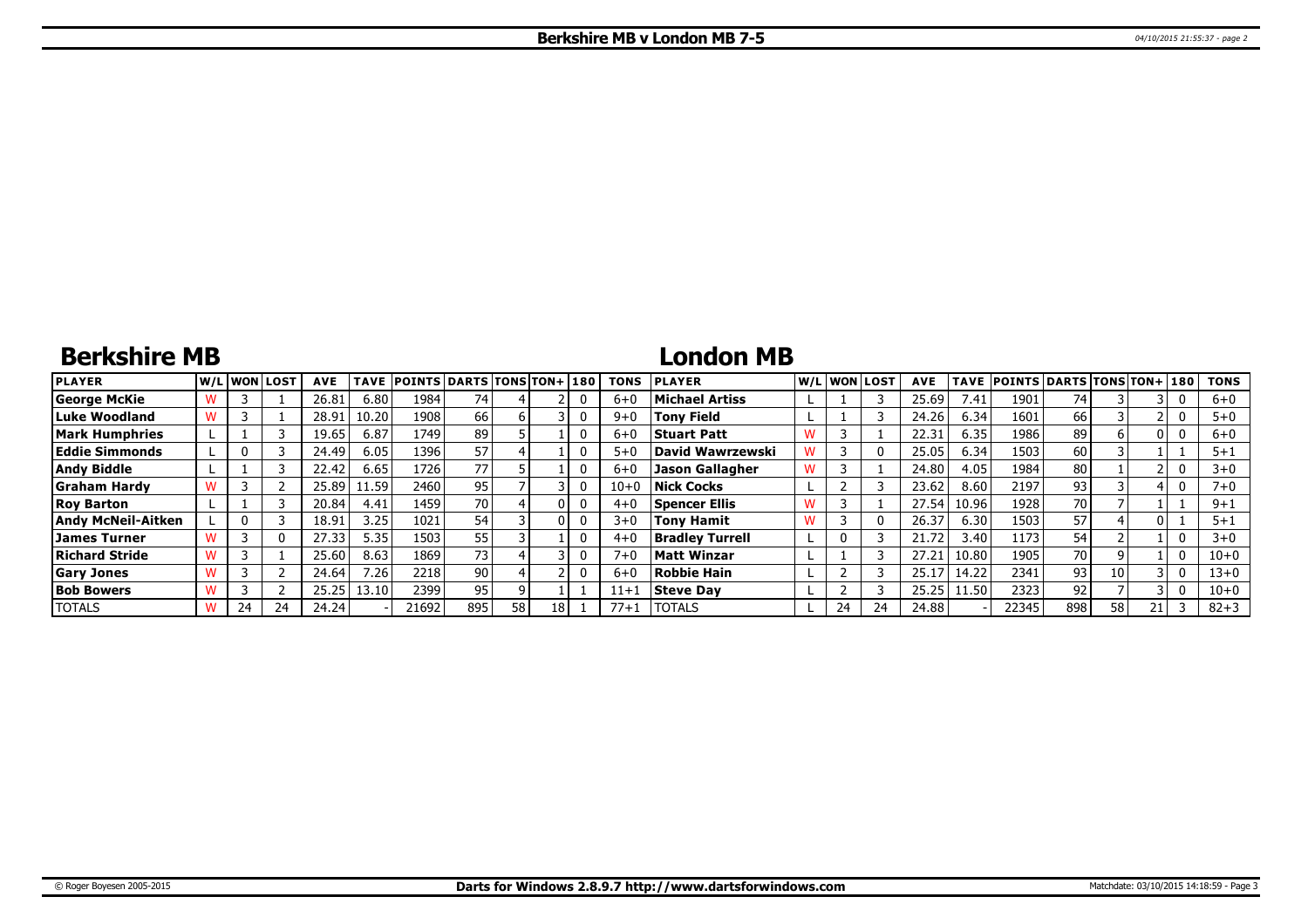# **Berkshire MB**

# **London MB**

| <b>PLAYER</b>             |    | lw/Llwonllost | <b>AVE</b> | TAVE  | <b>POINTS DARTS TONS TON+180</b> |                 |    |  | <b>TONS</b> | <b>PLAYER</b>          |   |    | W/L WON LOST | <b>AVE</b> | TAVE  | <b>POINTS DARTS TONS TON+ 180</b> |      |    |   | <b>TONS</b> |
|---------------------------|----|---------------|------------|-------|----------------------------------|-----------------|----|--|-------------|------------------------|---|----|--------------|------------|-------|-----------------------------------|------|----|---|-------------|
| George McKie              |    |               | 26.81      | 6.80  | 1984                             | 74              |    |  | $6+$        | <b>Michael Artiss</b>  |   |    |              | 25.69      | 7.41  | 190.                              | 74   |    | υ | $6 + 0$     |
| Luke Woodland             |    |               | 28.91      | 10.20 | 1908                             | 66              |    |  | $9 + 0$     | <b>Tony Field</b>      |   |    |              | 24.26      | 6.34  | 160:                              | 66 l |    | 0 | $5 + 0$     |
| Mark Humphries            |    |               | 19.65      | 6.87  | 1749                             | 89              |    |  | $6 + 0$     | <b>Stuart Patt</b>     |   |    |              | 22.31      | 6.35  | 1986 l                            | 89   |    |   | $6+0$       |
| <b>Eddie Simmonds</b>     |    |               | 24.49      | 6.05  | 1396                             | 57              |    |  | $5 + C$     | David Wawrzewski       |   |    |              | 25.05      | 6.34  | 1503                              | 60   |    |   | $5 + 1$     |
| <b>Andy Biddle</b>        |    |               | 22.42      | 6.65  | 1726                             | 77              |    |  | $6 + C$     | <b>Jason Gallagher</b> | w |    |              | 24.80      | 4.05  | 1984                              | 80   |    | 0 | $3 + 0$     |
| <b>Graham Hardy</b>       |    |               | 25.89      | 1.59  | 2460                             | 95              |    |  | $10 + 0$    | <b>Nick Cocks</b>      |   |    |              | 23.62      | 8.60  | 2197                              | 93   |    |   | $7 + 0$     |
| <b>Roy Barton</b>         |    |               | 20.84      | 4.41  | 1459                             | 70              |    |  | $4 + 0$     | <b>Spencer Ellis</b>   |   |    |              | 27.54      | 10.96 | 1928                              | 70 l |    |   | $9 + 1$     |
| <b>Andy McNeil-Aitken</b> |    |               | 18.91      | 3.25  | 1021                             | 54              |    |  | $3+0$       | <b>Tony Hamit</b>      | w |    |              | 26.37      | 6.30  | 1503                              | 57   |    |   | $5 + 1$     |
| James Turner              |    |               | 27.33      | 5.35  | 1503                             | 55              |    |  | $4 + 0$     | <b>Bradley Turrell</b> |   |    |              | 21.72      | 3.40  | 11731                             | 54   |    |   | $3+0$       |
| Richard Stride            |    |               | 25.60      | 8.63  | 1869                             | 73              |    |  | $7 + C$     | <b>Matt Winzar</b>     |   |    |              | 27.21      | 10.80 | 1905                              | 70 l |    | 0 | $10 + 0$    |
| <b>Gary Jones</b>         |    |               | 24.64      | 7.26  | 2218                             | 90 <sub>1</sub> |    |  | $6+$        | <b>Robbie Hain</b>     |   |    |              | 25.1       | 14.22 | 2341                              | 931  | 10 | 0 | $13+0$      |
| <b>Bob Bowers</b>         |    |               | 25.25      | 13.10 | 2399                             | 95              |    |  | $11 + 1$    | <b>Steve Dav</b>       |   |    |              | 25.25      | 11.50 | 2323                              | 92   |    |   | $10 + 0$    |
| <b>TOTALS</b>             | 24 | 24            | 24.24      |       | 21692                            | 895             | 58 |  | $77 + 1$    | <b>TOTALS</b>          |   | 24 | 24           | 24.88      |       | 22345                             | 898  | 58 |   | $82 + 3$    |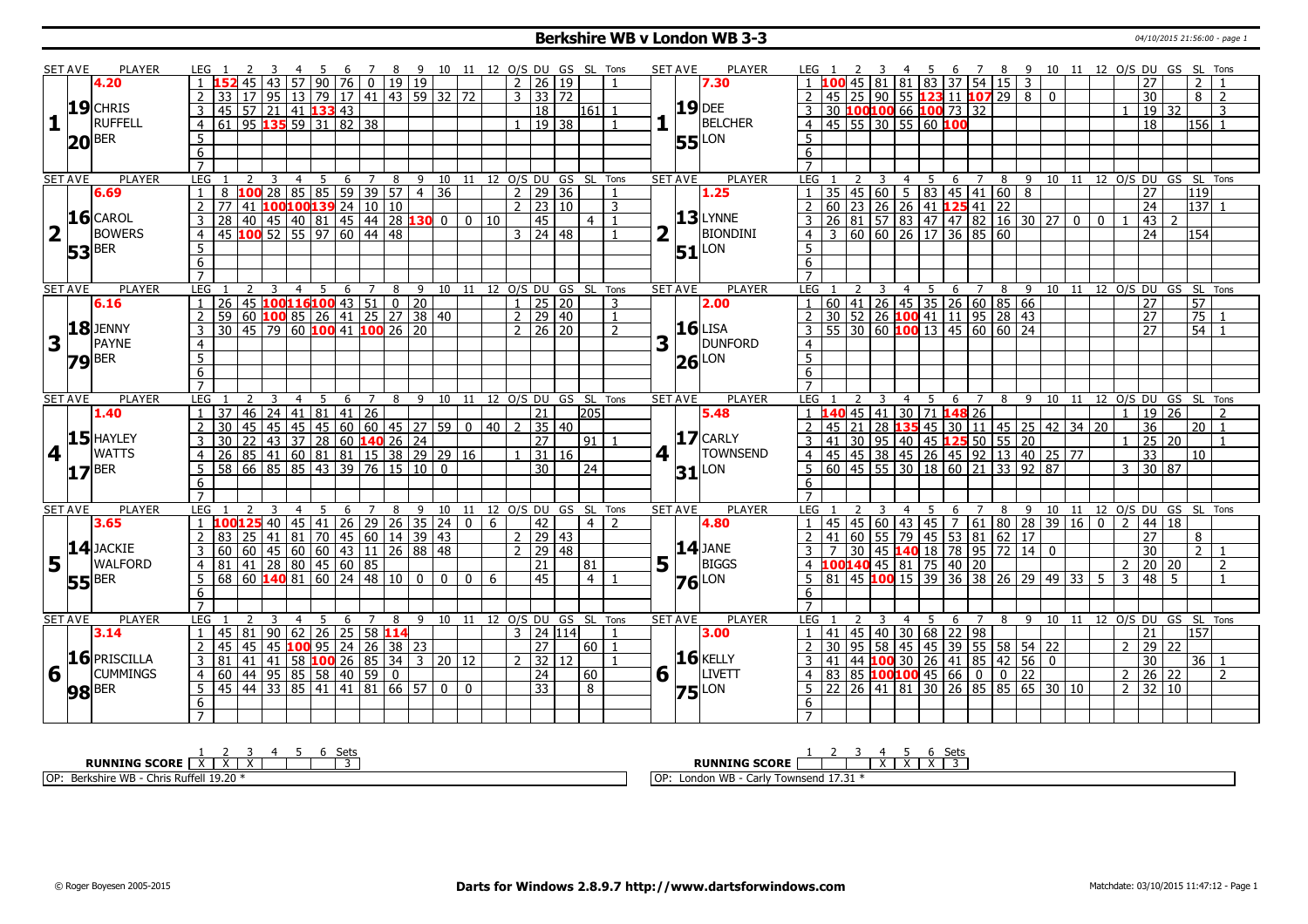### **Berkshire WB v London WB 3-3** 04/10/2015 21:56:00 - page 1

|             | <b>SET AVE</b>      | <b>PLAYER</b>                                                                                                                                                                                                                                                                                                                                                                                          | LEG 1                                                                                                                                                                                                                                                                                                                                                                                                                                                                                                                                                                                                                                                                                                                                                                                                                                                                                                                                                                                                                                                                                                                                                                                                                                                                                                                                                                                                                                                                                                                                                                                                                                                                                                                                                                                                                                                                                     |                                     |                |                                                 |   |   | 4 5 6 7 8 9 10 11 12 O/S DU GS SL Tons |   |                 |              |              |          |                     |                           |                              |                 | <b>SET AVE</b>   | <b>PLAYER</b>       | LEG 1            |                                             |        | -4                  | - 5 | - 6 |                                                      | 78 |          |  |                |                |                     | 9 10 11 12 O/S DU GS SL Tons     |                 |                |
|-------------|---------------------|--------------------------------------------------------------------------------------------------------------------------------------------------------------------------------------------------------------------------------------------------------------------------------------------------------------------------------------------------------------------------------------------------------|-------------------------------------------------------------------------------------------------------------------------------------------------------------------------------------------------------------------------------------------------------------------------------------------------------------------------------------------------------------------------------------------------------------------------------------------------------------------------------------------------------------------------------------------------------------------------------------------------------------------------------------------------------------------------------------------------------------------------------------------------------------------------------------------------------------------------------------------------------------------------------------------------------------------------------------------------------------------------------------------------------------------------------------------------------------------------------------------------------------------------------------------------------------------------------------------------------------------------------------------------------------------------------------------------------------------------------------------------------------------------------------------------------------------------------------------------------------------------------------------------------------------------------------------------------------------------------------------------------------------------------------------------------------------------------------------------------------------------------------------------------------------------------------------------------------------------------------------------------------------------------------------|-------------------------------------|----------------|-------------------------------------------------|---|---|----------------------------------------|---|-----------------|--------------|--------------|----------|---------------------|---------------------------|------------------------------|-----------------|------------------|---------------------|------------------|---------------------------------------------|--------|---------------------|-----|-----|------------------------------------------------------|----|----------|--|----------------|----------------|---------------------|----------------------------------|-----------------|----------------|
|             |                     |                                                                                                                                                                                                                                                                                                                                                                                                        |                                                                                                                                                                                                                                                                                                                                                                                                                                                                                                                                                                                                                                                                                                                                                                                                                                                                                                                                                                                                                                                                                                                                                                                                                                                                                                                                                                                                                                                                                                                                                                                                                                                                                                                                                                                                                                                                                           |                                     |                |                                                 |   |   |                                        |   |                 |              |              |          |                     |                           |                              |                 |                  |                     |                  |                                             |        |                     |     |     |                                                      |    |          |  |                |                |                     |                                  |                 |                |
|             |                     |                                                                                                                                                                                                                                                                                                                                                                                                        |                                                                                                                                                                                                                                                                                                                                                                                                                                                                                                                                                                                                                                                                                                                                                                                                                                                                                                                                                                                                                                                                                                                                                                                                                                                                                                                                                                                                                                                                                                                                                                                                                                                                                                                                                                                                                                                                                           |                                     |                |                                                 |   |   |                                        |   |                 |              |              |          |                     |                           |                              |                 |                  |                     |                  |                                             |        |                     |     |     |                                                      |    |          |  |                |                |                     |                                  |                 |                |
|             |                     |                                                                                                                                                                                                                                                                                                                                                                                                        |                                                                                                                                                                                                                                                                                                                                                                                                                                                                                                                                                                                                                                                                                                                                                                                                                                                                                                                                                                                                                                                                                                                                                                                                                                                                                                                                                                                                                                                                                                                                                                                                                                                                                                                                                                                                                                                                                           |                                     |                |                                                 |   |   |                                        |   |                 |              |              |          |                     |                           |                              |                 |                  |                     |                  |                                             |        |                     |     |     |                                                      |    |          |  |                |                |                     |                                  |                 |                |
| $\bf{1}$    |                     |                                                                                                                                                                                                                                                                                                                                                                                                        |                                                                                                                                                                                                                                                                                                                                                                                                                                                                                                                                                                                                                                                                                                                                                                                                                                                                                                                                                                                                                                                                                                                                                                                                                                                                                                                                                                                                                                                                                                                                                                                                                                                                                                                                                                                                                                                                                           |                                     |                |                                                 |   |   |                                        |   |                 |              |              |          |                     |                           |                              |                 |                  |                     |                  |                                             |        |                     |     |     |                                                      |    |          |  |                |                |                     |                                  |                 |                |
|             |                     |                                                                                                                                                                                                                                                                                                                                                                                                        | 30<br>  13   79   17   41   43   59   32   72<br>$3 \mid 33 \mid 72$<br>$90$ 55 <b>123</b> 11 <b>107</b> 29 8  <br>45<br>8<br>$\overline{2}$<br>17   95<br>l 25 l<br>$\Omega$<br>33.<br>$19$ DEE<br>45   57   21   41 133 43<br>30 100100 66 100 73 32<br>19 32<br>18<br>$ 161 $ 1<br>3<br>3<br>BELCHER<br>61 95 135 59 31 82 38<br>45 55 30 55 60 100<br>$\overline{4}$<br>1   19   38<br>$\mathbf{I}$<br>$\overline{4}$<br>18<br> 156 1<br>$\overline{1}$<br>$\overline{5}$<br><b>55</b> LON<br>5<br>6<br>6<br>$\overline{7}$<br>$\overline{7}$<br><b>LEG</b><br>PLAYER<br>LEG<br>9 10 11 12 O/S DU GS SL Tons<br>5<br>$6 \quad 7 \quad 8$<br>9 10 11 12 O/S DU GS SL Tons<br><b>SET AVE</b><br>5<br>6<br>3<br>4<br>$\overline{4}$<br>7<br>- 8<br>3<br><b>8 100 28 85 85 59 39 57 4 36<br/>77 41 100 100 139 24 10 10</b><br>5 83 45 41 60 8<br>$2 \mid 29 \mid 36$<br>  45  <br>$\overline{60}$<br>$\overline{27}$<br>35<br> 119 <br>$\mathbf{1}$<br>1.25<br>$\mathbf{1}$<br>$\overline{2}$<br>$2 \mid 23 \mid 10$<br>  60   23   26   26   41   <mark>1 25</mark>   41   22<br>24<br> 137 1<br>$\overline{2}$<br>$\mathbf{3}$<br>$13$ LYNNE<br>40 45 40 81 45 44 28 130 0<br>$57$ 83 47 47 82 16 30 27<br>45<br>  81  <br>43<br>28<br>10<br>3<br>26<br>$\overline{0}$<br>$0-1$<br>4   1<br>$\mathbf{0}$<br>BIONDINI<br>45 100 52 55 97 60 44 48<br>$3 \mid 24 \mid 48$<br>3   60   60   26   17   36   85   60<br>$\overline{24}$<br>154<br>$\overline{4}$<br>$\overline{4}$<br>$\overline{5}$<br>5<br>$51$ <sup>LON</sup><br>6<br>6<br>$\overline{7}$<br><b>PLAYER</b><br>$6\overline{6}$<br>$\overline{8}$<br>9 10 11 12 0/S DU GS SL Tons<br><b>SET AVE</b><br><b>PLAYER</b><br>6 7 8 9 10 11 12 0/S DU GS SL Tons<br>LEG<br>$\overline{4}$<br>5 <sup>5</sup><br>$\overline{7}$<br>LEG<br>3<br>$\overline{4}$<br>$5\overline{5}$<br>25 20<br>$ 20\rangle$<br>27<br>57<br>3<br>2.00 |                                     |                |                                                 |   |   |                                        |   |                 |              |              |          |                     |                           |                              |                 |                  |                     |                  |                                             |        |                     |     |     |                                                      |    |          |  |                |                |                     |                                  |                 |                |
|             |                     |                                                                                                                                                                                                                                                                                                                                                                                                        |                                                                                                                                                                                                                                                                                                                                                                                                                                                                                                                                                                                                                                                                                                                                                                                                                                                                                                                                                                                                                                                                                                                                                                                                                                                                                                                                                                                                                                                                                                                                                                                                                                                                                                                                                                                                                                                                                           |                                     |                |                                                 |   |   |                                        |   |                 |              |              |          |                     |                           |                              |                 |                  |                     |                  |                                             |        |                     |     |     |                                                      |    |          |  |                |                |                     |                                  |                 |                |
|             |                     |                                                                                                                                                                                                                                                                                                                                                                                                        |                                                                                                                                                                                                                                                                                                                                                                                                                                                                                                                                                                                                                                                                                                                                                                                                                                                                                                                                                                                                                                                                                                                                                                                                                                                                                                                                                                                                                                                                                                                                                                                                                                                                                                                                                                                                                                                                                           |                                     |                |                                                 |   |   |                                        |   |                 |              |              |          |                     |                           |                              |                 |                  |                     |                  |                                             |        |                     |     |     |                                                      |    |          |  |                |                |                     |                                  |                 |                |
|             |                     |                                                                                                                                                                                                                                                                                                                                                                                                        | <b>PLAYER</b><br>26 45 100116100 43 51 0<br>$26$ 45 35 26 60 85 66<br>$\sqrt{60}$   41  <br>  60   <b>100</b>   85   26   41   25   27   38   40<br>29 40<br>26 100 41 11 95 28 43<br>$\overline{27}$<br>$\overline{75}$<br>$\overline{2}$<br>$\overline{2}$<br>30<br> 52 <br>59<br>$\overline{1}$                                                                                                                                                                                                                                                                                                                                                                                                                                                                                                                                                                                                                                                                                                                                                                                                                                                                                                                                                                                                                                                                                                                                                                                                                                                                                                                                                                                                                                                                                                                                                                                        |                                     |                |                                                 |   |   |                                        |   |                 |              |              |          |                     |                           |                              |                 |                  |                     |                  |                                             |        |                     |     |     |                                                      |    |          |  |                |                |                     |                                  |                 |                |
|             | <b>SET AVE</b>      | $90 \mid 76 \mid 0 \mid 19 \mid 19$<br>26<br><sup>19</sup><br>83 37 54 15<br>27<br>4.20<br>2 I<br>7.30<br>81<br>3<br>$\overline{2}$<br>$16$ LISA<br>30 45 79 60 100 41 100 26 20<br>$\overline{55}$ 30 60 100 13 45 60 60 24<br>$\overline{\mathbf{3}}$<br>$2 \mid 26 \mid 20$<br>$\overline{3}$<br>$\overline{27}$<br>54<br>$\overline{2}$<br>3<br><b>DUNFORD</b><br>$\overline{4}$<br>$\overline{4}$ |                                                                                                                                                                                                                                                                                                                                                                                                                                                                                                                                                                                                                                                                                                                                                                                                                                                                                                                                                                                                                                                                                                                                                                                                                                                                                                                                                                                                                                                                                                                                                                                                                                                                                                                                                                                                                                                                                           |                                     |                |                                                 |   |   |                                        |   |                 |              |              |          |                     |                           |                              |                 |                  |                     |                  |                                             |        |                     |     |     |                                                      |    |          |  |                |                |                     |                                  |                 |                |
|             |                     |                                                                                                                                                                                                                                                                                                                                                                                                        |                                                                                                                                                                                                                                                                                                                                                                                                                                                                                                                                                                                                                                                                                                                                                                                                                                                                                                                                                                                                                                                                                                                                                                                                                                                                                                                                                                                                                                                                                                                                                                                                                                                                                                                                                                                                                                                                                           |                                     |                |                                                 |   |   |                                        |   |                 |              |              |          |                     |                           |                              |                 |                  |                     |                  |                                             |        |                     |     |     |                                                      |    |          |  |                |                |                     |                                  |                 |                |
|             |                     |                                                                                                                                                                                                                                                                                                                                                                                                        |                                                                                                                                                                                                                                                                                                                                                                                                                                                                                                                                                                                                                                                                                                                                                                                                                                                                                                                                                                                                                                                                                                                                                                                                                                                                                                                                                                                                                                                                                                                                                                                                                                                                                                                                                                                                                                                                                           |                                     |                |                                                 |   |   |                                        |   |                 |              |              |          |                     |                           |                              |                 |                  |                     |                  |                                             |        |                     |     |     |                                                      |    |          |  |                |                |                     |                                  |                 |                |
|             |                     |                                                                                                                                                                                                                                                                                                                                                                                                        |                                                                                                                                                                                                                                                                                                                                                                                                                                                                                                                                                                                                                                                                                                                                                                                                                                                                                                                                                                                                                                                                                                                                                                                                                                                                                                                                                                                                                                                                                                                                                                                                                                                                                                                                                                                                                                                                                           |                                     |                |                                                 |   |   |                                        |   |                 |              |              |          |                     |                           |                              |                 |                  |                     |                  |                                             |        |                     |     |     |                                                      |    |          |  |                |                |                     |                                  |                 |                |
| $ 2\rangle$ |                     |                                                                                                                                                                                                                                                                                                                                                                                                        |                                                                                                                                                                                                                                                                                                                                                                                                                                                                                                                                                                                                                                                                                                                                                                                                                                                                                                                                                                                                                                                                                                                                                                                                                                                                                                                                                                                                                                                                                                                                                                                                                                                                                                                                                                                                                                                                                           |                                     |                |                                                 |   |   |                                        |   |                 |              |              |          |                     |                           |                              |                 |                  |                     |                  |                                             |        |                     |     |     |                                                      |    |          |  |                |                |                     |                                  |                 |                |
|             | 53                  |                                                                                                                                                                                                                                                                                                                                                                                                        |                                                                                                                                                                                                                                                                                                                                                                                                                                                                                                                                                                                                                                                                                                                                                                                                                                                                                                                                                                                                                                                                                                                                                                                                                                                                                                                                                                                                                                                                                                                                                                                                                                                                                                                                                                                                                                                                                           |                                     |                |                                                 |   |   |                                        |   |                 |              |              |          |                     |                           |                              |                 |                  |                     |                  |                                             |        |                     |     |     |                                                      |    |          |  |                |                |                     |                                  |                 |                |
|             |                     |                                                                                                                                                                                                                                                                                                                                                                                                        |                                                                                                                                                                                                                                                                                                                                                                                                                                                                                                                                                                                                                                                                                                                                                                                                                                                                                                                                                                                                                                                                                                                                                                                                                                                                                                                                                                                                                                                                                                                                                                                                                                                                                                                                                                                                                                                                                           |                                     |                |                                                 |   |   |                                        |   |                 |              |              |          |                     |                           |                              |                 |                  |                     |                  |                                             |        |                     |     |     |                                                      |    |          |  |                |                |                     |                                  |                 |                |
|             |                     |                                                                                                                                                                                                                                                                                                                                                                                                        |                                                                                                                                                                                                                                                                                                                                                                                                                                                                                                                                                                                                                                                                                                                                                                                                                                                                                                                                                                                                                                                                                                                                                                                                                                                                                                                                                                                                                                                                                                                                                                                                                                                                                                                                                                                                                                                                                           |                                     |                |                                                 |   |   |                                        |   |                 |              |              |          |                     |                           |                              |                 |                  |                     |                  |                                             |        |                     |     |     |                                                      |    |          |  |                |                |                     |                                  |                 |                |
|             | <b>SET AVE</b>      | $19$ CHRIS<br>RUFFELL<br>$ 20 $ BER<br>6.69<br>$16$ CAROL<br><b>BOWERS</b><br>BER <sub></sub><br>6.16<br><b>18</b> JENNY<br>PAYNE                                                                                                                                                                                                                                                                      |                                                                                                                                                                                                                                                                                                                                                                                                                                                                                                                                                                                                                                                                                                                                                                                                                                                                                                                                                                                                                                                                                                                                                                                                                                                                                                                                                                                                                                                                                                                                                                                                                                                                                                                                                                                                                                                                                           |                                     |                |                                                 |   |   |                                        |   |                 |              |              |          |                     |                           |                              |                 |                  |                     |                  |                                             |        |                     |     |     |                                                      |    |          |  |                |                |                     |                                  |                 |                |
|             |                     | 5<br>5<br>$79$ <sup>BER</sup><br>$26$ LON                                                                                                                                                                                                                                                                                                                                                              |                                                                                                                                                                                                                                                                                                                                                                                                                                                                                                                                                                                                                                                                                                                                                                                                                                                                                                                                                                                                                                                                                                                                                                                                                                                                                                                                                                                                                                                                                                                                                                                                                                                                                                                                                                                                                                                                                           |                                     |                |                                                 |   |   |                                        |   |                 |              |              |          |                     |                           |                              |                 |                  |                     |                  |                                             |        |                     |     |     |                                                      |    |          |  |                |                |                     |                                  |                 |                |
|             |                     |                                                                                                                                                                                                                                                                                                                                                                                                        |                                                                                                                                                                                                                                                                                                                                                                                                                                                                                                                                                                                                                                                                                                                                                                                                                                                                                                                                                                                                                                                                                                                                                                                                                                                                                                                                                                                                                                                                                                                                                                                                                                                                                                                                                                                                                                                                                           |                                     |                |                                                 |   |   |                                        |   |                 |              |              |          |                     |                           |                              |                 |                  |                     |                  |                                             |        |                     |     |     |                                                      |    |          |  |                |                |                     |                                  |                 |                |
|             |                     |                                                                                                                                                                                                                                                                                                                                                                                                        |                                                                                                                                                                                                                                                                                                                                                                                                                                                                                                                                                                                                                                                                                                                                                                                                                                                                                                                                                                                                                                                                                                                                                                                                                                                                                                                                                                                                                                                                                                                                                                                                                                                                                                                                                                                                                                                                                           |                                     |                |                                                 |   |   |                                        |   |                 |              |              |          |                     |                           |                              |                 |                  |                     |                  |                                             |        |                     |     |     |                                                      |    |          |  |                |                |                     |                                  |                 |                |
| $\vert$ 3   |                     |                                                                                                                                                                                                                                                                                                                                                                                                        |                                                                                                                                                                                                                                                                                                                                                                                                                                                                                                                                                                                                                                                                                                                                                                                                                                                                                                                                                                                                                                                                                                                                                                                                                                                                                                                                                                                                                                                                                                                                                                                                                                                                                                                                                                                                                                                                                           |                                     |                |                                                 |   |   |                                        |   |                 |              |              |          |                     |                           |                              |                 |                  |                     |                  |                                             |        |                     |     |     |                                                      |    |          |  |                |                |                     |                                  |                 |                |
|             |                     |                                                                                                                                                                                                                                                                                                                                                                                                        |                                                                                                                                                                                                                                                                                                                                                                                                                                                                                                                                                                                                                                                                                                                                                                                                                                                                                                                                                                                                                                                                                                                                                                                                                                                                                                                                                                                                                                                                                                                                                                                                                                                                                                                                                                                                                                                                                           |                                     |                |                                                 |   |   |                                        |   |                 |              |              |          |                     |                           |                              |                 |                  |                     |                  |                                             |        |                     |     |     |                                                      |    |          |  |                |                |                     |                                  |                 |                |
|             |                     |                                                                                                                                                                                                                                                                                                                                                                                                        | $\overline{6}$                                                                                                                                                                                                                                                                                                                                                                                                                                                                                                                                                                                                                                                                                                                                                                                                                                                                                                                                                                                                                                                                                                                                                                                                                                                                                                                                                                                                                                                                                                                                                                                                                                                                                                                                                                                                                                                                            |                                     |                |                                                 |   |   |                                        |   |                 |              |              |          |                     |                           |                              |                 |                  |                     | $\overline{6}$   |                                             |        |                     |     |     |                                                      |    |          |  |                |                |                     |                                  |                 |                |
|             |                     |                                                                                                                                                                                                                                                                                                                                                                                                        | $\overline{7}$                                                                                                                                                                                                                                                                                                                                                                                                                                                                                                                                                                                                                                                                                                                                                                                                                                                                                                                                                                                                                                                                                                                                                                                                                                                                                                                                                                                                                                                                                                                                                                                                                                                                                                                                                                                                                                                                            |                                     |                |                                                 |   |   |                                        |   |                 |              |              |          |                     |                           |                              |                 |                  |                     | $\overline{7}$   |                                             |        |                     |     |     |                                                      |    |          |  |                |                |                     |                                  |                 |                |
|             | <b>SET AVE</b>      | <b>PLAYER</b>                                                                                                                                                                                                                                                                                                                                                                                          | LEG                                                                                                                                                                                                                                                                                                                                                                                                                                                                                                                                                                                                                                                                                                                                                                                                                                                                                                                                                                                                                                                                                                                                                                                                                                                                                                                                                                                                                                                                                                                                                                                                                                                                                                                                                                                                                                                                                       |                                     | $\overline{3}$ | $\overline{4}$                                  |   |   | 5 6 7 8 9 10 11 12 O/S DU GS SL Tons   |   |                 |              |              |          |                     |                           |                              |                 | <b>SET AVE</b>   | <b>PLAYER</b>       | LEG <sub>1</sub> |                                             |        | $\overline{4}$<br>3 | 5   | 6   |                                                      |    |          |  |                |                |                     | 7 8 9 10 11 12 0/S DU GS SL Tons |                 |                |
|             |                     | 1.40                                                                                                                                                                                                                                                                                                                                                                                                   | $\overline{1}$                                                                                                                                                                                                                                                                                                                                                                                                                                                                                                                                                                                                                                                                                                                                                                                                                                                                                                                                                                                                                                                                                                                                                                                                                                                                                                                                                                                                                                                                                                                                                                                                                                                                                                                                                                                                                                                                            | 37 46 24 41 81 41 26                |                |                                                 |   |   |                                        |   |                 |              |              |          |                     | 21                        |                              | 205             |                  | 5.48                |                  | $140$ 45   41                               |        |                     |     |     | 30 71 148 26                                         |    |          |  |                |                | 1   19   26         |                                  |                 | $\mathcal{L}$  |
|             |                     |                                                                                                                                                                                                                                                                                                                                                                                                        | 2                                                                                                                                                                                                                                                                                                                                                                                                                                                                                                                                                                                                                                                                                                                                                                                                                                                                                                                                                                                                                                                                                                                                                                                                                                                                                                                                                                                                                                                                                                                                                                                                                                                                                                                                                                                                                                                                                         | 30 <sup>1</sup>                     |                | 45 45 45 45 60 60 45 27 59 0                    |   |   |                                        |   |                 |              |              | $40$   2 |                     | 35   40                   |                              |                 |                  |                     | $\overline{2}$   | 45                                          | 21     | $\overline{28}$     |     |     | <b>135</b> 45 30 11 45 25 42 34 20                   |    |          |  |                |                | 36                  |                                  | l 20 l          |                |
|             |                     | $15$ HAYLEY                                                                                                                                                                                                                                                                                                                                                                                            |                                                                                                                                                                                                                                                                                                                                                                                                                                                                                                                                                                                                                                                                                                                                                                                                                                                                                                                                                                                                                                                                                                                                                                                                                                                                                                                                                                                                                                                                                                                                                                                                                                                                                                                                                                                                                                                                                           | 30 22 43 37 28 60 140 26 24         |                |                                                 |   |   |                                        |   |                 |              |              |          |                     | 27                        |                              | 91 1            |                  | $17$ CARLY          | 3                | 41                                          | 30     |                     |     |     | 95   40   45 125 50   55   20                        |    |          |  |                |                | 25 20               |                                  |                 |                |
| <b>4</b>    |                     | WATTS                                                                                                                                                                                                                                                                                                                                                                                                  | 4                                                                                                                                                                                                                                                                                                                                                                                                                                                                                                                                                                                                                                                                                                                                                                                                                                                                                                                                                                                                                                                                                                                                                                                                                                                                                                                                                                                                                                                                                                                                                                                                                                                                                                                                                                                                                                                                                         | 26                                  |                | 85   41   60   81   81   15   38   29   29   16 |   |   |                                        |   |                 |              |              |          |                     | 31                        | 16                           |                 | 4                | <b>TOWNSEND</b>     | $\overline{4}$   | 45                                          | l 45 l |                     |     |     | 38 45 26 45 92 13 40 25 77                           |    |          |  |                |                | $\overline{33}$     |                                  | 10 <sup>1</sup> |                |
|             | $17$ <sup>BER</sup> |                                                                                                                                                                                                                                                                                                                                                                                                        |                                                                                                                                                                                                                                                                                                                                                                                                                                                                                                                                                                                                                                                                                                                                                                                                                                                                                                                                                                                                                                                                                                                                                                                                                                                                                                                                                                                                                                                                                                                                                                                                                                                                                                                                                                                                                                                                                           | 58 66 85 85 43 39 76 15 10          |                |                                                 |   |   |                                        |   |                 | $\mathbf{0}$ |              |          |                     | 30                        |                              | 24              |                  |                     |                  | 60                                          | 45     | 55 I                |     |     | 30   18   60   21   33   92   87                     |    |          |  |                | $\mathbf{3}$   | 30 87               |                                  |                 |                |
|             |                     |                                                                                                                                                                                                                                                                                                                                                                                                        | 6                                                                                                                                                                                                                                                                                                                                                                                                                                                                                                                                                                                                                                                                                                                                                                                                                                                                                                                                                                                                                                                                                                                                                                                                                                                                                                                                                                                                                                                                                                                                                                                                                                                                                                                                                                                                                                                                                         |                                     |                |                                                 |   |   |                                        |   |                 |              |              |          |                     |                           |                              |                 |                  |                     |                  |                                             |        |                     |     |     |                                                      |    |          |  |                |                |                     |                                  |                 |                |
|             |                     |                                                                                                                                                                                                                                                                                                                                                                                                        | $\overline{7}$                                                                                                                                                                                                                                                                                                                                                                                                                                                                                                                                                                                                                                                                                                                                                                                                                                                                                                                                                                                                                                                                                                                                                                                                                                                                                                                                                                                                                                                                                                                                                                                                                                                                                                                                                                                                                                                                            |                                     |                |                                                 |   |   |                                        |   |                 |              |              |          |                     |                           |                              |                 |                  | $31$ <sup>LON</sup> |                  |                                             |        |                     |     |     |                                                      |    |          |  |                |                |                     |                                  |                 |                |
|             | <b>SET AVE</b>      |                                                                                                                                                                                                                                                                                                                                                                                                        |                                                                                                                                                                                                                                                                                                                                                                                                                                                                                                                                                                                                                                                                                                                                                                                                                                                                                                                                                                                                                                                                                                                                                                                                                                                                                                                                                                                                                                                                                                                                                                                                                                                                                                                                                                                                                                                                                           |                                     |                |                                                 |   |   |                                        |   |                 |              |              |          |                     |                           |                              |                 |                  |                     | 6                |                                             |        |                     |     |     |                                                      |    |          |  |                |                |                     |                                  |                 |                |
|             |                     |                                                                                                                                                                                                                                                                                                                                                                                                        |                                                                                                                                                                                                                                                                                                                                                                                                                                                                                                                                                                                                                                                                                                                                                                                                                                                                                                                                                                                                                                                                                                                                                                                                                                                                                                                                                                                                                                                                                                                                                                                                                                                                                                                                                                                                                                                                                           |                                     |                |                                                 |   |   |                                        |   |                 |              |              |          |                     |                           |                              |                 |                  |                     | $\overline{7}$   |                                             |        |                     |     |     |                                                      |    |          |  |                |                |                     |                                  |                 |                |
|             |                     | <b>PLAYER</b>                                                                                                                                                                                                                                                                                                                                                                                          | LEG                                                                                                                                                                                                                                                                                                                                                                                                                                                                                                                                                                                                                                                                                                                                                                                                                                                                                                                                                                                                                                                                                                                                                                                                                                                                                                                                                                                                                                                                                                                                                                                                                                                                                                                                                                                                                                                                                       |                                     |                | 4                                               | 5 | 6 | 7                                      | 8 | 9 <sup>10</sup> |              | 11           |          | 12 0/S DU GS        |                           |                              | SL Tons         | <b>SET AVE</b>   | <b>PLAYER</b>       | LEG              |                                             |        | 4                   | 5   | 6   | 7                                                    | 8  |          |  |                |                |                     | 9 10 11 12 O/S DU GS SL Tons     |                 |                |
|             |                     | 3.65                                                                                                                                                                                                                                                                                                                                                                                                   |                                                                                                                                                                                                                                                                                                                                                                                                                                                                                                                                                                                                                                                                                                                                                                                                                                                                                                                                                                                                                                                                                                                                                                                                                                                                                                                                                                                                                                                                                                                                                                                                                                                                                                                                                                                                                                                                                           |                                     |                | 40 45 41 26 29 26 35 24                         |   |   |                                        |   |                 |              | $0$ 6        |          |                     | 42                        |                              | $4\overline{2}$ |                  | 4.80                |                  | 45<br>45                                    |        | 60                  |     |     | 43 45 7 61 80 28 39 16                               |    |          |  | $\overline{0}$ | $\overline{2}$ |                     | 44 18                            |                 |                |
|             |                     |                                                                                                                                                                                                                                                                                                                                                                                                        | $\overline{2}$                                                                                                                                                                                                                                                                                                                                                                                                                                                                                                                                                                                                                                                                                                                                                                                                                                                                                                                                                                                                                                                                                                                                                                                                                                                                                                                                                                                                                                                                                                                                                                                                                                                                                                                                                                                                                                                                            | 83 25 41 81 70 45 60 14 39 43       |                |                                                 |   |   |                                        |   |                 |              |              |          | $2 \mid 29 \mid 43$ |                           |                              |                 |                  |                     | $\overline{2}$   | 41                                          | 60     |                     |     |     | $55 \mid 79 \mid 45 \mid 53 \mid 81 \mid 62 \mid 17$ |    |          |  |                |                | $\overline{27}$     |                                  | 8               |                |
|             |                     | $14$ JACKIE                                                                                                                                                                                                                                                                                                                                                                                            | 3                                                                                                                                                                                                                                                                                                                                                                                                                                                                                                                                                                                                                                                                                                                                                                                                                                                                                                                                                                                                                                                                                                                                                                                                                                                                                                                                                                                                                                                                                                                                                                                                                                                                                                                                                                                                                                                                                         |                                     |                |                                                 |   |   |                                        |   |                 |              |              |          | $\overline{2}$      | 29 48                     |                              |                 |                  | $14$ JANE           | 3                |                                             | 30     |                     |     |     | 45 140 18 78 95 72 14 0                              |    |          |  |                |                | 30                  |                                  | $\overline{2}$  |                |
| 5           |                     | <b>WALFORD</b>                                                                                                                                                                                                                                                                                                                                                                                         | $\overline{4}$                                                                                                                                                                                                                                                                                                                                                                                                                                                                                                                                                                                                                                                                                                                                                                                                                                                                                                                                                                                                                                                                                                                                                                                                                                                                                                                                                                                                                                                                                                                                                                                                                                                                                                                                                                                                                                                                            |                                     |                |                                                 |   |   |                                        |   |                 |              |              |          |                     | 21                        |                              | 81              | $5\vert \bar{ }$ | <b>BIGGS</b>        | $\overline{4}$   | 100 <mark>140</mark> 45   81   75   40   20 |        |                     |     |     |                                                      |    |          |  |                |                | 2 20 20             |                                  |                 | 2              |
|             |                     |                                                                                                                                                                                                                                                                                                                                                                                                        | 5                                                                                                                                                                                                                                                                                                                                                                                                                                                                                                                                                                                                                                                                                                                                                                                                                                                                                                                                                                                                                                                                                                                                                                                                                                                                                                                                                                                                                                                                                                                                                                                                                                                                                                                                                                                                                                                                                         | $68$ 60 <b>140</b> 81 60 24 48 10 0 |                |                                                 |   |   |                                        |   |                 | $\mathbf{0}$ | $\mathbf{0}$ | -6       |                     | 45                        |                              | 4   1           |                  | $76$ <sup>LON</sup> | 5                | 81                                          |        |                     |     |     | 45 <b>100</b> 15 39 36 38 26 29 49 33 5              |    |          |  |                | $\mathbf{3}$   | $\boxed{48}$        |                                  |                 |                |
|             |                     | $55$ <sup>BER</sup>                                                                                                                                                                                                                                                                                                                                                                                    | 6                                                                                                                                                                                                                                                                                                                                                                                                                                                                                                                                                                                                                                                                                                                                                                                                                                                                                                                                                                                                                                                                                                                                                                                                                                                                                                                                                                                                                                                                                                                                                                                                                                                                                                                                                                                                                                                                                         |                                     |                |                                                 |   |   |                                        |   |                 |              |              |          |                     |                           |                              |                 |                  |                     | 6                |                                             |        |                     |     |     |                                                      |    |          |  |                |                |                     |                                  |                 |                |
|             |                     |                                                                                                                                                                                                                                                                                                                                                                                                        | $\overline{7}$                                                                                                                                                                                                                                                                                                                                                                                                                                                                                                                                                                                                                                                                                                                                                                                                                                                                                                                                                                                                                                                                                                                                                                                                                                                                                                                                                                                                                                                                                                                                                                                                                                                                                                                                                                                                                                                                            |                                     |                |                                                 |   |   |                                        |   |                 |              |              |          |                     |                           |                              |                 |                  |                     | $\overline{7}$   |                                             |        |                     |     |     |                                                      |    |          |  |                |                |                     |                                  |                 |                |
|             | <b>SET AVE</b>      | <b>PLAYER</b>                                                                                                                                                                                                                                                                                                                                                                                          | LEG                                                                                                                                                                                                                                                                                                                                                                                                                                                                                                                                                                                                                                                                                                                                                                                                                                                                                                                                                                                                                                                                                                                                                                                                                                                                                                                                                                                                                                                                                                                                                                                                                                                                                                                                                                                                                                                                                       |                                     | 3              | 4                                               | 5 | 6 | $\overline{7}$                         | 8 |                 |              |              |          |                     |                           | 9 10 11 12 O/S DU GS SL Tons |                 | <b>SET AVE</b>   | <b>PLAYER</b>       | LEG <sub>1</sub> |                                             |        | 3<br>$\overline{4}$ | 5   | -6  | 7                                                    |    |          |  |                |                |                     | 8 9 10 11 12 0/S DU GS SL Tons   |                 |                |
|             |                     | 3.14                                                                                                                                                                                                                                                                                                                                                                                                   | $\mathbf{1}$                                                                                                                                                                                                                                                                                                                                                                                                                                                                                                                                                                                                                                                                                                                                                                                                                                                                                                                                                                                                                                                                                                                                                                                                                                                                                                                                                                                                                                                                                                                                                                                                                                                                                                                                                                                                                                                                              | 45 81 90 62 26 25 58 114            |                |                                                 |   |   |                                        |   |                 |              |              |          |                     | $3 \mid 24 \mid 114 \mid$ |                              |                 |                  | 3.00                | $1 \mid 41$      |                                             |        |                     |     |     | 45 40 30 68 22 98                                    |    |          |  |                |                | $\overline{21}$     |                                  | 157             |                |
|             |                     |                                                                                                                                                                                                                                                                                                                                                                                                        | $\overline{2}$                                                                                                                                                                                                                                                                                                                                                                                                                                                                                                                                                                                                                                                                                                                                                                                                                                                                                                                                                                                                                                                                                                                                                                                                                                                                                                                                                                                                                                                                                                                                                                                                                                                                                                                                                                                                                                                                            | 45 45 45 100 95 24 26 38 23         |                |                                                 |   |   |                                        |   |                 |              |              |          |                     | 27                        |                              | 60 1            |                  |                     | $\mathcal{P}$    | 30                                          | l 95 l |                     |     |     | 58 45 45 39 55 58 54 22                              |    |          |  |                |                | $29 \overline{)22}$ |                                  |                 |                |
|             |                     | $16$ PRISCILLA                                                                                                                                                                                                                                                                                                                                                                                         | $\mathbf{3}$                                                                                                                                                                                                                                                                                                                                                                                                                                                                                                                                                                                                                                                                                                                                                                                                                                                                                                                                                                                                                                                                                                                                                                                                                                                                                                                                                                                                                                                                                                                                                                                                                                                                                                                                                                                                                                                                              | 81                                  |                | 41   41   58   100   26   85   34               |   |   |                                        |   | $\overline{3}$  | 20 12        |              |          |                     | $\overline{32}$           | 12                           |                 |                  | $16$ KELLY          | $\overline{3}$   | 41                                          |        |                     |     |     | 44 <b>100</b> 30 26 41 85 42 56 0                    |    |          |  |                |                | $\overline{30}$     |                                  | $36$   1        |                |
| 6           |                     | <b>CUMMINGS</b>                                                                                                                                                                                                                                                                                                                                                                                        | $\overline{4}$                                                                                                                                                                                                                                                                                                                                                                                                                                                                                                                                                                                                                                                                                                                                                                                                                                                                                                                                                                                                                                                                                                                                                                                                                                                                                                                                                                                                                                                                                                                                                                                                                                                                                                                                                                                                                                                                            | 60                                  |                | 44 95 85 58 40 59 0                             |   |   |                                        |   |                 |              |              |          |                     | $\overline{24}$           |                              | 60              | 6                | LIVETT              | $\overline{4}$   | 83 85 100 100 45 66                         |        |                     |     |     | $\overline{0}$                                       |    | $0$   22 |  |                |                | 26 22               |                                  |                 | $\overline{2}$ |
|             |                     |                                                                                                                                                                                                                                                                                                                                                                                                        | $5^{\circ}$                                                                                                                                                                                                                                                                                                                                                                                                                                                                                                                                                                                                                                                                                                                                                                                                                                                                                                                                                                                                                                                                                                                                                                                                                                                                                                                                                                                                                                                                                                                                                                                                                                                                                                                                                                                                                                                                               | 45 44 33 85 41 41 81 66 57          |                |                                                 |   |   |                                        |   |                 | $\bf{0}$     | $\mathbf 0$  |          |                     | 33                        |                              | 8               |                  |                     | 5 <sup>2</sup>   | 22                                          |        |                     |     |     | 26   41   81   30   26   85   85   65   30   10      |    |          |  |                |                | $2 \mid 32 \mid 10$ |                                  |                 |                |
|             |                     | $98$ <sup>BER</sup>                                                                                                                                                                                                                                                                                                                                                                                    | 6                                                                                                                                                                                                                                                                                                                                                                                                                                                                                                                                                                                                                                                                                                                                                                                                                                                                                                                                                                                                                                                                                                                                                                                                                                                                                                                                                                                                                                                                                                                                                                                                                                                                                                                                                                                                                                                                                         |                                     |                |                                                 |   |   |                                        |   |                 |              |              |          |                     |                           |                              |                 |                  | $75$ <sup>LON</sup> | 6                |                                             |        |                     |     |     |                                                      |    |          |  |                |                |                     |                                  |                 |                |

| Set:                                                                | Sets<br>ັບພ                                                            |
|---------------------------------------------------------------------|------------------------------------------------------------------------|
| $- - - -$<br><b>RUNN'</b><br>MTM<br>CORI                            | <b>RUNNING SCORE</b>                                                   |
| 19.20<br>IOP:<br>∵ Ruffen<br>`re WB ∶<br>Herks<br>.<br>. <i>. .</i> | $\overline{\phantom{a}}$<br><b>OP</b><br>WB<br>l ownser<br>Longon<br>. |